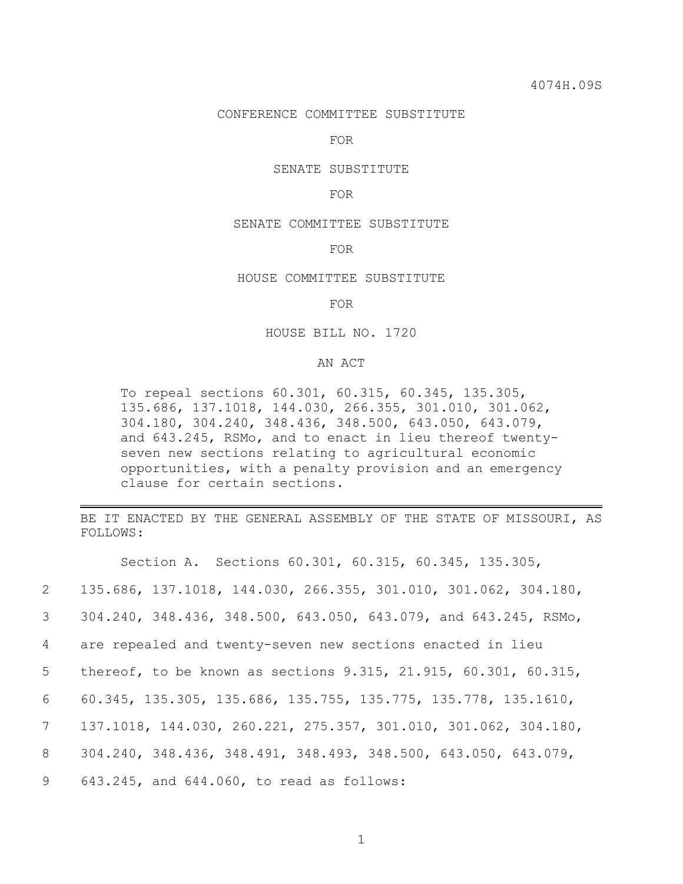#### CONFERENCE COMMITTEE SUBSTITUTE

FOR

## SENATE SUBSTITUTE

#### FOR

### SENATE COMMITTEE SUBSTITUTE

#### FOR

## HOUSE COMMITTEE SUBSTITUTE

#### FOR

### HOUSE BILL NO. 1720

## AN ACT

To repeal sections 60.301, 60.315, 60.345, 135.305, 135.686, 137.1018, 144.030, 266.355, 301.010, 301.062, 304.180, 304.240, 348.436, 348.500, 643.050, 643.079, and 643.245, RSMo, and to enact in lieu thereof twentyseven new sections relating to agricultural economic opportunities, with a penalty provision and an emergency clause for certain sections.

BE IT ENACTED BY THE GENERAL ASSEMBLY OF THE STATE OF MISSOURI, AS FOLLOWS:

|                 | Section A. Sections 60.301, 60.315, 60.345, 135.305,                                |
|-----------------|-------------------------------------------------------------------------------------|
| $\overline{2}$  | 135.686, 137.1018, 144.030, 266.355, 301.010, 301.062, 304.180,                     |
| 3 <sup>7</sup>  | 304.240, 348.436, 348.500, 643.050, 643.079, and 643.245, RSMo,                     |
| $4 -$           | are repealed and twenty-seven new sections enacted in lieu                          |
| 5               | thereof, to be known as sections $9.315$ , $21.915$ , $60.301$ , $60.315$ ,         |
| 6               | 60.345, 135.305, 135.686, 135.755, 135.775, 135.778, 135.1610,                      |
| $7\overline{ }$ | 137.1018, 144.030, 260.221, 275.357, 301.010, 301.062, 304.180,                     |
| 8               | $304.240$ , $348.436$ , $348.491$ , $348.493$ , $348.500$ , $643.050$ , $643.079$ , |
| 9               | 643.245, and 644.060, to read as follows:                                           |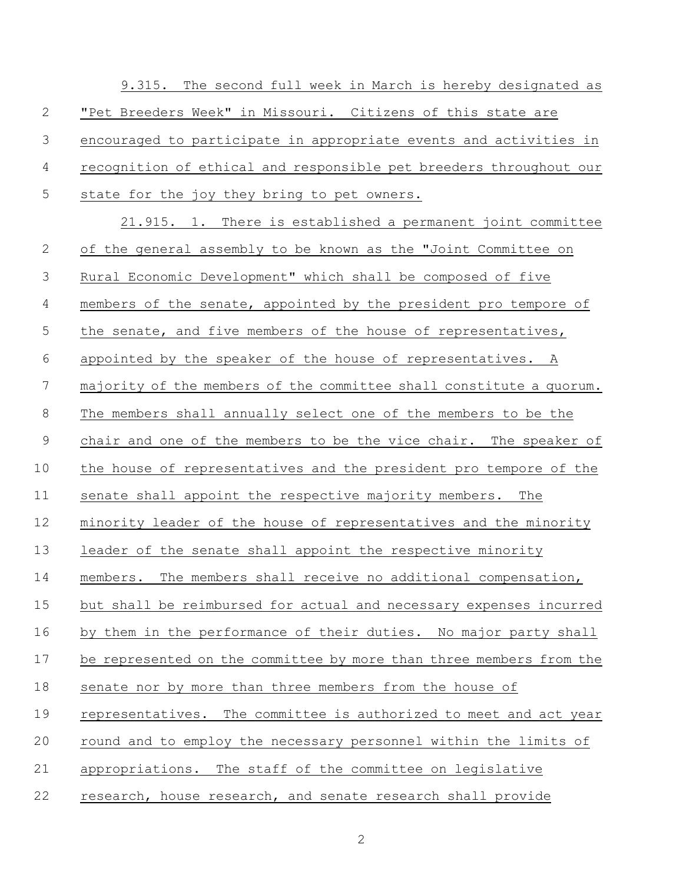|                | 9.315. The second full week in March is hereby designated as         |
|----------------|----------------------------------------------------------------------|
| $\overline{2}$ | "Pet Breeders Week" in Missouri. Citizens of this state are          |
| 3              | encouraged to participate in appropriate events and activities in    |
| 4              | recognition of ethical and responsible pet breeders throughout our   |
| 5              | state for the joy they bring to pet owners.                          |
|                | 21.915. 1. There is established a permanent joint committee          |
| $\mathbf{2}$   | of the general assembly to be known as the "Joint Committee on       |
| 3              | Rural Economic Development" which shall be composed of five          |
| 4              | members of the senate, appointed by the president pro tempore of     |
| 5              | the senate, and five members of the house of representatives,        |
| 6              | appointed by the speaker of the house of representatives. A          |
| 7              | majority of the members of the committee shall constitute a quorum.  |
| 8              | The members shall annually select one of the members to be the       |
| $\mathsf 9$    | chair and one of the members to be the vice chair. The speaker of    |
| 10             | the house of representatives and the president pro tempore of the    |
| 11             | senate shall appoint the respective majority members. The            |
| 12             | minority leader of the house of representatives and the minority     |
| 13             | leader of the senate shall appoint the respective minority           |
| 14             | members. The members shall receive no additional compensation,       |
| 15             | but shall be reimbursed for actual and necessary expenses incurred   |
| 16             | by them in the performance of their duties. No major party shall     |
| 17             | be represented on the committee by more than three members from the  |
| 18             | senate nor by more than three members from the house of              |
| 19             | The committee is authorized to meet and act year<br>representatives. |
| 20             | round and to employ the necessary personnel within the limits of     |
| 21             | The staff of the committee on legislative<br>appropriations.         |
| 22             | research, house research, and senate research shall provide          |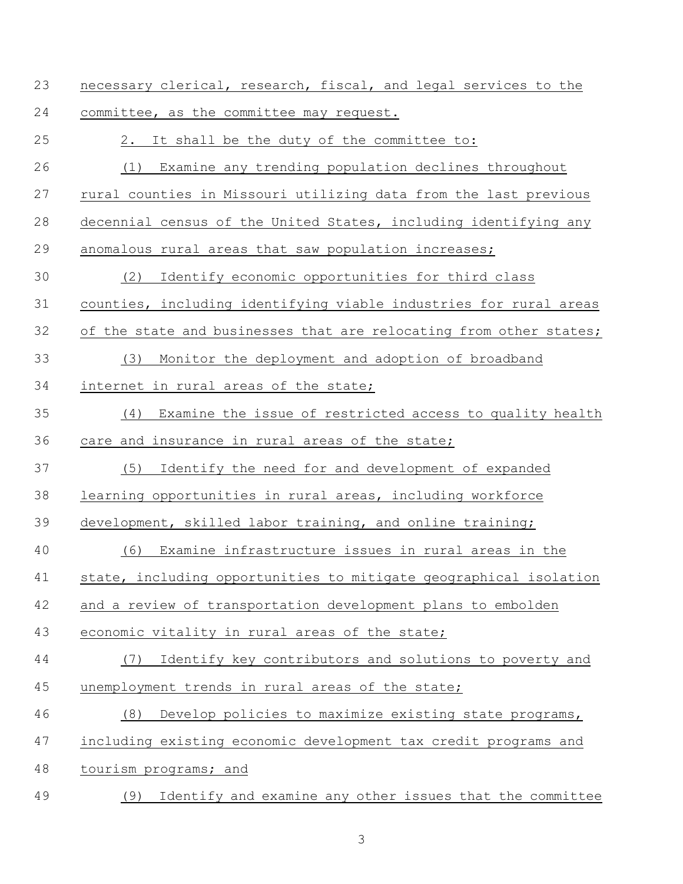| 23 | necessary clerical, research, fiscal, and legal services to the    |
|----|--------------------------------------------------------------------|
| 24 | committee, as the committee may request.                           |
| 25 | It shall be the duty of the committee to:<br>2.                    |
| 26 | Examine any trending population declines throughout<br>(1)         |
| 27 | rural counties in Missouri utilizing data from the last previous   |
| 28 | decennial census of the United States, including identifying any   |
| 29 | anomalous rural areas that saw population increases;               |
| 30 | Identify economic opportunities for third class<br>(2)             |
| 31 | counties, including identifying viable industries for rural areas  |
| 32 | of the state and businesses that are relocating from other states; |
| 33 | Monitor the deployment and adoption of broadband<br>(3)            |
| 34 | internet in rural areas of the state;                              |
| 35 | (4)<br>Examine the issue of restricted access to quality health    |
| 36 | care and insurance in rural areas of the state;                    |
| 37 | Identify the need for and development of expanded<br>(5)           |
| 38 | learning opportunities in rural areas, including workforce         |
| 39 | development, skilled labor training, and online training;          |
| 40 | Examine infrastructure issues in rural areas in the<br>(6)         |
| 41 | state, including opportunities to mitigate geographical isolation  |
| 42 | and a review of transportation development plans to embolden       |
| 43 | economic vitality in rural areas of the state;                     |
| 44 | Identify key contributors and solutions to poverty and<br>(7)      |
| 45 | unemployment trends in rural areas of the state;                   |
| 46 | Develop policies to maximize existing state programs,<br>(8)       |
| 47 | including existing economic development tax credit programs and    |
| 48 | tourism programs; and                                              |
| 49 | Identify and examine any other issues that the committee<br>(9)    |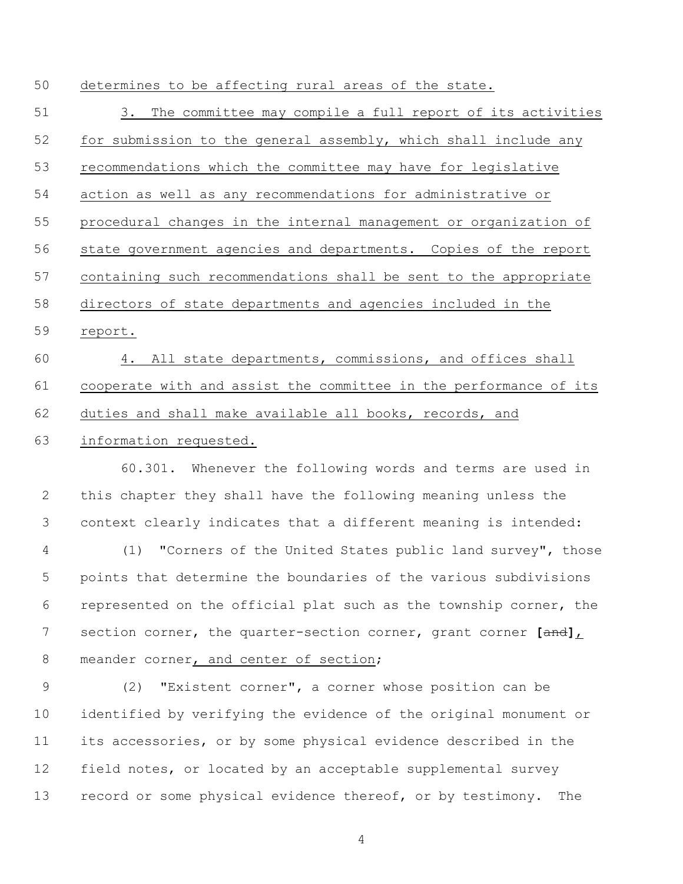determines to be affecting rural areas of the state.

 3. The committee may compile a full report of its activities for submission to the general assembly, which shall include any recommendations which the committee may have for legislative action as well as any recommendations for administrative or procedural changes in the internal management or organization of state government agencies and departments. Copies of the report containing such recommendations shall be sent to the appropriate directors of state departments and agencies included in the report. 4. All state departments, commissions, and offices shall cooperate with and assist the committee in the performance of its duties and shall make available all books, records, and information requested. 60.301. Whenever the following words and terms are used in this chapter they shall have the following meaning unless the context clearly indicates that a different meaning is intended: (1) "Corners of the United States public land survey", those points that determine the boundaries of the various subdivisions represented on the official plat such as the township corner, the section corner, the quarter-section corner, grant corner **[**and**]**, 8 meander corner, and center of section; (2) "Existent corner", a corner whose position can be identified by verifying the evidence of the original monument or its accessories, or by some physical evidence described in the field notes, or located by an acceptable supplemental survey

record or some physical evidence thereof, or by testimony. The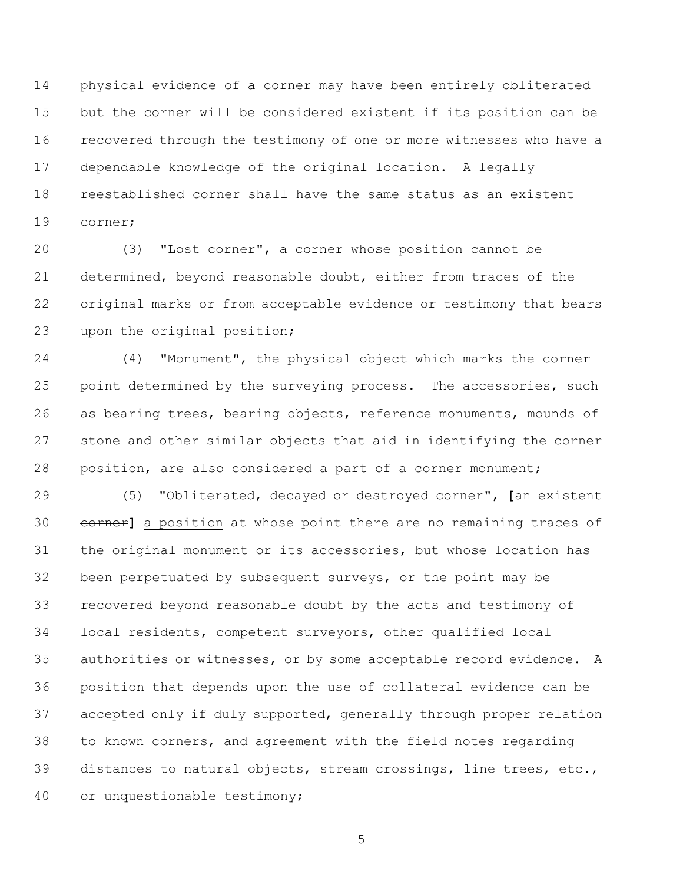physical evidence of a corner may have been entirely obliterated but the corner will be considered existent if its position can be recovered through the testimony of one or more witnesses who have a dependable knowledge of the original location. A legally reestablished corner shall have the same status as an existent corner;

 (3) "Lost corner", a corner whose position cannot be determined, beyond reasonable doubt, either from traces of the original marks or from acceptable evidence or testimony that bears upon the original position;

 (4) "Monument", the physical object which marks the corner 25 point determined by the surveying process. The accessories, such as bearing trees, bearing objects, reference monuments, mounds of stone and other similar objects that aid in identifying the corner position, are also considered a part of a corner monument;

 (5) "Obliterated, decayed or destroyed corner", **[**an existent corner**]** a position at whose point there are no remaining traces of the original monument or its accessories, but whose location has been perpetuated by subsequent surveys, or the point may be recovered beyond reasonable doubt by the acts and testimony of local residents, competent surveyors, other qualified local authorities or witnesses, or by some acceptable record evidence. A position that depends upon the use of collateral evidence can be accepted only if duly supported, generally through proper relation to known corners, and agreement with the field notes regarding distances to natural objects, stream crossings, line trees, etc., or unquestionable testimony;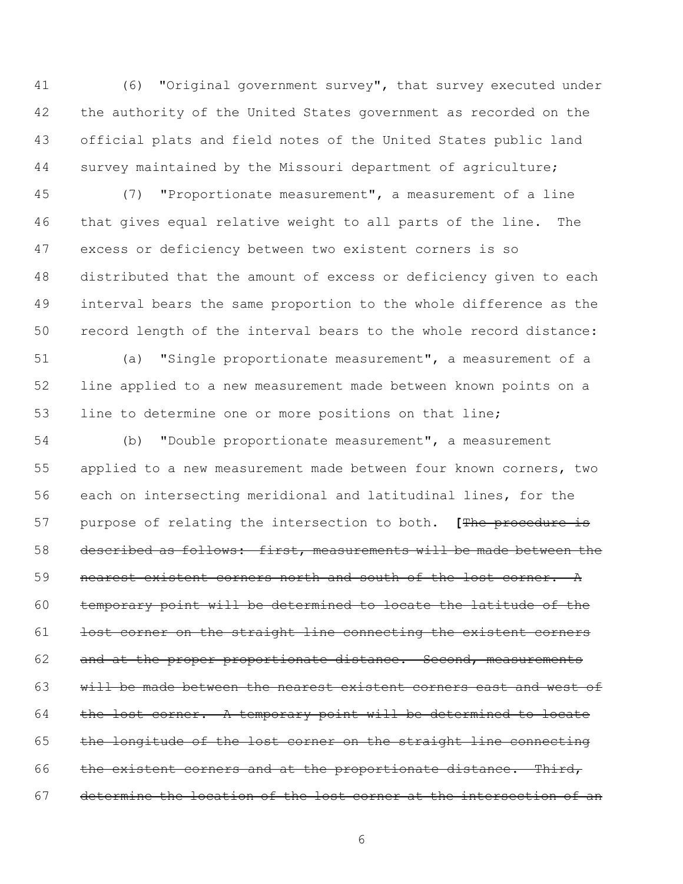(6) "Original government survey", that survey executed under the authority of the United States government as recorded on the official plats and field notes of the United States public land survey maintained by the Missouri department of agriculture;

 (7) "Proportionate measurement", a measurement of a line that gives equal relative weight to all parts of the line. The excess or deficiency between two existent corners is so distributed that the amount of excess or deficiency given to each interval bears the same proportion to the whole difference as the record length of the interval bears to the whole record distance:

 (a) "Single proportionate measurement", a measurement of a line applied to a new measurement made between known points on a line to determine one or more positions on that line;

 (b) "Double proportionate measurement", a measurement applied to a new measurement made between four known corners, two each on intersecting meridional and latitudinal lines, for the purpose of relating the intersection to both. **[**The procedure is described as follows: first, measurements will be made between the **nearest existent corners north and south of the lost corner.** A temporary point will be determined to locate the latitude of the 61 lost corner on the straight line connecting the existent corners 62 and at the proper proportionate distance. Second, measurements will be made between the nearest existent corners east and west of 64 the lost corner. A temporary point will be determined to locate 65 the longitude of the lost corner on the straight line connecting 66 the existent corners and at the proportionate distance. Third, determine the location of the lost corner at the intersection of an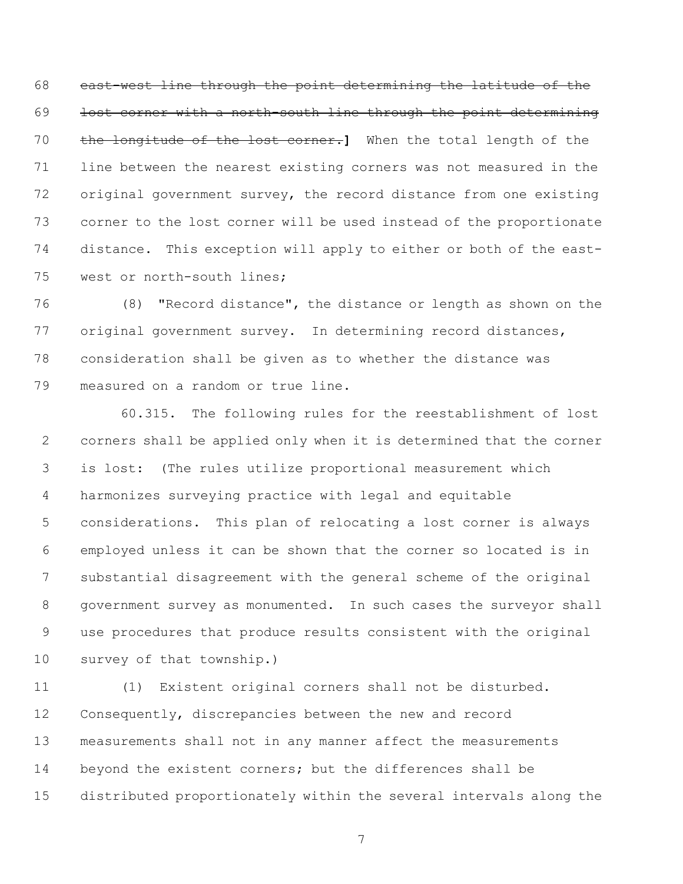east-west line through the point determining the latitude of the 69 lost corner with a north-south line through the point determining the longitude of the lost corner.**]** When the total length of the line between the nearest existing corners was not measured in the original government survey, the record distance from one existing corner to the lost corner will be used instead of the proportionate distance. This exception will apply to either or both of the east-west or north-south lines;

 (8) "Record distance", the distance or length as shown on the original government survey. In determining record distances, consideration shall be given as to whether the distance was measured on a random or true line.

60.315. The following rules for the reestablishment of lost corners shall be applied only when it is determined that the corner is lost: (The rules utilize proportional measurement which harmonizes surveying practice with legal and equitable considerations. This plan of relocating a lost corner is always employed unless it can be shown that the corner so located is in substantial disagreement with the general scheme of the original government survey as monumented. In such cases the surveyor shall use procedures that produce results consistent with the original survey of that township.)

 (1) Existent original corners shall not be disturbed. Consequently, discrepancies between the new and record measurements shall not in any manner affect the measurements beyond the existent corners; but the differences shall be distributed proportionately within the several intervals along the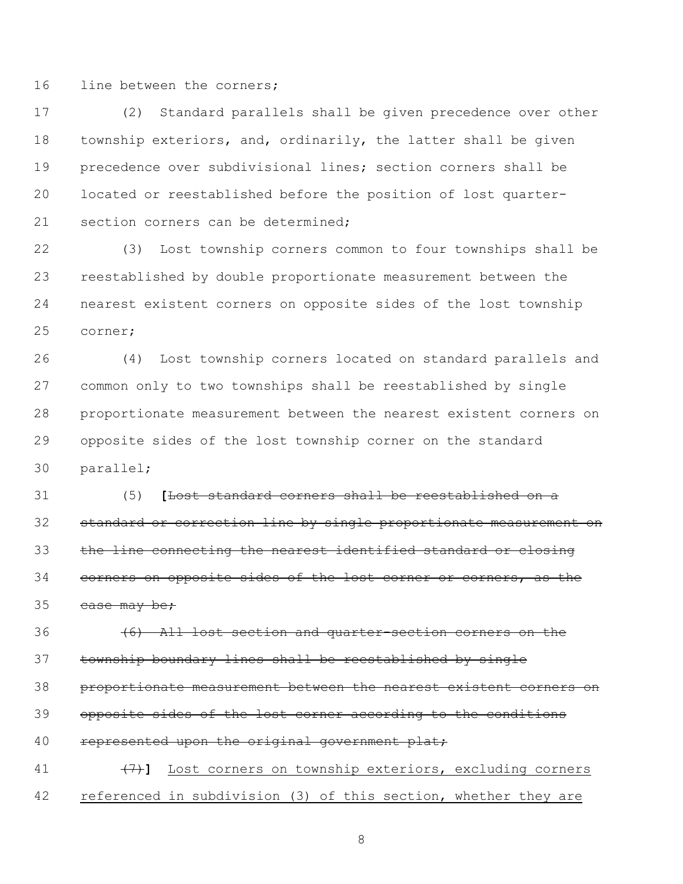16 line between the corners;

 (2) Standard parallels shall be given precedence over other township exteriors, and, ordinarily, the latter shall be given precedence over subdivisional lines; section corners shall be located or reestablished before the position of lost quarter-21 section corners can be determined;

 (3) Lost township corners common to four townships shall be reestablished by double proportionate measurement between the nearest existent corners on opposite sides of the lost township corner;

 (4) Lost township corners located on standard parallels and common only to two townships shall be reestablished by single proportionate measurement between the nearest existent corners on opposite sides of the lost township corner on the standard parallel;

 (5) **[**Lost standard corners shall be reestablished on a standard or correction line by single proportionate measurement on 33 the line connecting the nearest identified standard or closing corners on opposite sides of the lost corner or corners, as the case may be;

 (6) All lost section and quarter-section corners on the township boundary lines shall be reestablished by single proportionate measurement between the nearest existent corners on opposite sides of the lost corner according to the conditions 40 represented upon the original government plat; (7)**]** Lost corners on township exteriors, excluding corners

referenced in subdivision (3) of this section, whether they are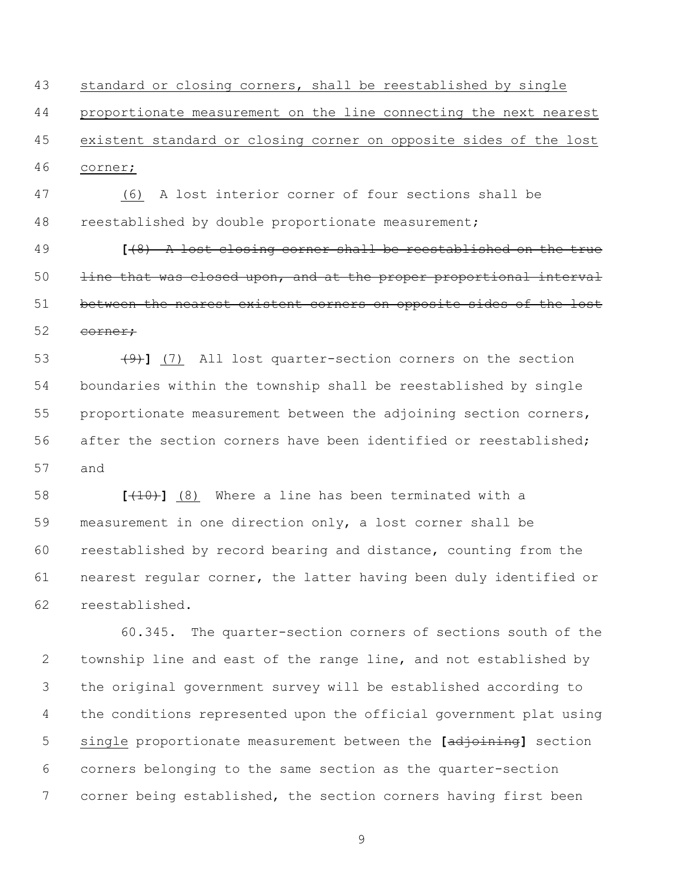standard or closing corners, shall be reestablished by single proportionate measurement on the line connecting the next nearest existent standard or closing corner on opposite sides of the lost corner;

 (6) A lost interior corner of four sections shall be reestablished by double proportionate measurement;

 **[**(8) A lost closing corner shall be reestablished on the true 50 line that was closed upon, and at the proper proportional interval 51 between the nearest existent corners on opposite sides of the lost 52 corner;

 (9)**]** (7) All lost quarter-section corners on the section boundaries within the township shall be reestablished by single proportionate measurement between the adjoining section corners, after the section corners have been identified or reestablished; and

 **[**(10)**]** (8) Where a line has been terminated with a measurement in one direction only, a lost corner shall be reestablished by record bearing and distance, counting from the nearest regular corner, the latter having been duly identified or reestablished.

60.345. The quarter-section corners of sections south of the township line and east of the range line, and not established by the original government survey will be established according to the conditions represented upon the official government plat using single proportionate measurement between the **[**adjoining**]** section corners belonging to the same section as the quarter-section corner being established, the section corners having first been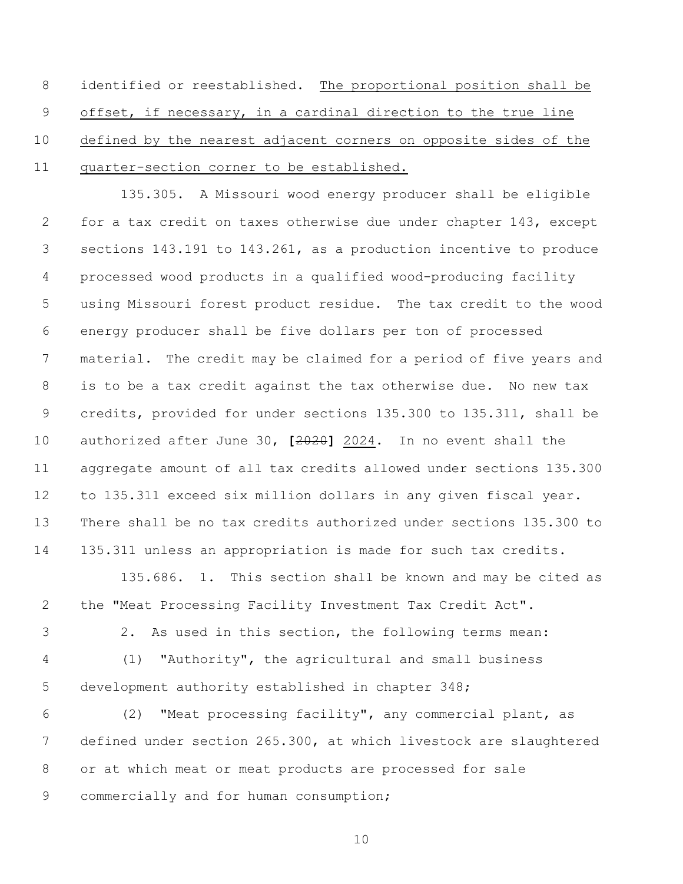8 identified or reestablished. The proportional position shall be offset, if necessary, in a cardinal direction to the true line defined by the nearest adjacent corners on opposite sides of the quarter-section corner to be established.

135.305. A Missouri wood energy producer shall be eligible for a tax credit on taxes otherwise due under chapter 143, except sections 143.191 to 143.261, as a production incentive to produce processed wood products in a qualified wood-producing facility using Missouri forest product residue. The tax credit to the wood energy producer shall be five dollars per ton of processed material. The credit may be claimed for a period of five years and is to be a tax credit against the tax otherwise due. No new tax credits, provided for under sections 135.300 to 135.311, shall be authorized after June 30, **[**2020**]** 2024. In no event shall the aggregate amount of all tax credits allowed under sections 135.300 to 135.311 exceed six million dollars in any given fiscal year. There shall be no tax credits authorized under sections 135.300 to 135.311 unless an appropriation is made for such tax credits.

135.686. 1. This section shall be known and may be cited as the "Meat Processing Facility Investment Tax Credit Act".

2. As used in this section, the following terms mean:

 (1) "Authority", the agricultural and small business development authority established in chapter 348;

 (2) "Meat processing facility", any commercial plant, as defined under section 265.300, at which livestock are slaughtered or at which meat or meat products are processed for sale commercially and for human consumption;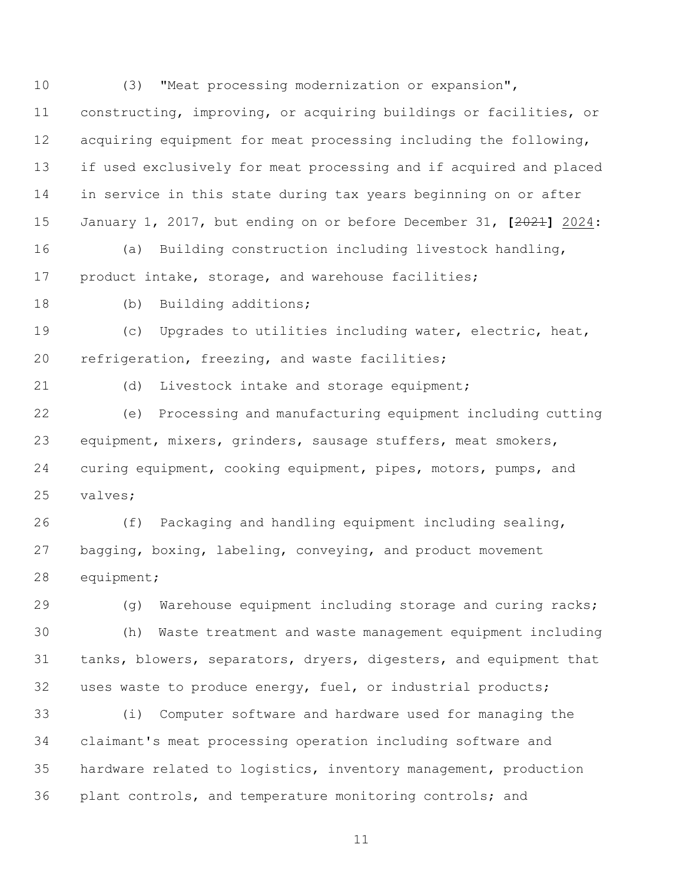(3) "Meat processing modernization or expansion", constructing, improving, or acquiring buildings or facilities, or acquiring equipment for meat processing including the following, if used exclusively for meat processing and if acquired and placed in service in this state during tax years beginning on or after January 1, 2017, but ending on or before December 31, **[**2021**]** 2024: (a) Building construction including livestock handling, product intake, storage, and warehouse facilities; 18 (b) Building additions; (c) Upgrades to utilities including water, electric, heat, refrigeration, freezing, and waste facilities; (d) Livestock intake and storage equipment; (e) Processing and manufacturing equipment including cutting equipment, mixers, grinders, sausage stuffers, meat smokers, curing equipment, cooking equipment, pipes, motors, pumps, and valves; (f) Packaging and handling equipment including sealing, bagging, boxing, labeling, conveying, and product movement equipment; (g) Warehouse equipment including storage and curing racks; (h) Waste treatment and waste management equipment including tanks, blowers, separators, dryers, digesters, and equipment that uses waste to produce energy, fuel, or industrial products; (i) Computer software and hardware used for managing the claimant's meat processing operation including software and hardware related to logistics, inventory management, production 36 plant controls, and temperature monitoring controls; and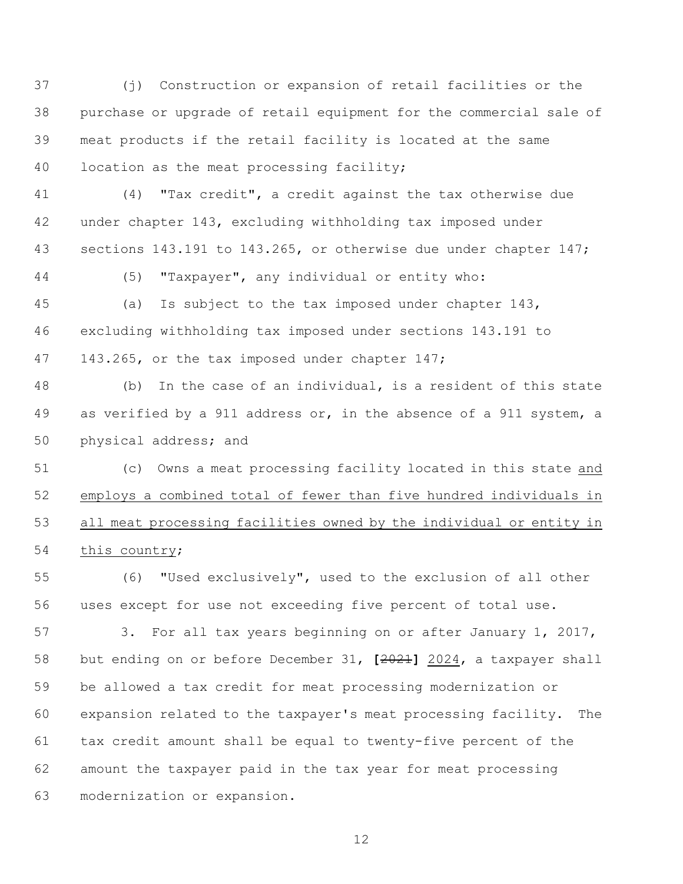(j) Construction or expansion of retail facilities or the purchase or upgrade of retail equipment for the commercial sale of meat products if the retail facility is located at the same 40 location as the meat processing facility;

 (4) "Tax credit", a credit against the tax otherwise due under chapter 143, excluding withholding tax imposed under 43 sections 143.191 to 143.265, or otherwise due under chapter 147;

(5) "Taxpayer", any individual or entity who:

 (a) Is subject to the tax imposed under chapter 143, excluding withholding tax imposed under sections 143.191 to 47 143.265, or the tax imposed under chapter 147;

 (b) In the case of an individual, is a resident of this state 49 as verified by a 911 address or, in the absence of a 911 system, a physical address; and

 (c) Owns a meat processing facility located in this state and employs a combined total of fewer than five hundred individuals in all meat processing facilities owned by the individual or entity in this country;

 (6) "Used exclusively", used to the exclusion of all other uses except for use not exceeding five percent of total use.

57 3. For all tax years beginning on or after January 1, 2017, but ending on or before December 31, **[**2021**]** 2024, a taxpayer shall be allowed a tax credit for meat processing modernization or expansion related to the taxpayer's meat processing facility. The tax credit amount shall be equal to twenty-five percent of the amount the taxpayer paid in the tax year for meat processing modernization or expansion.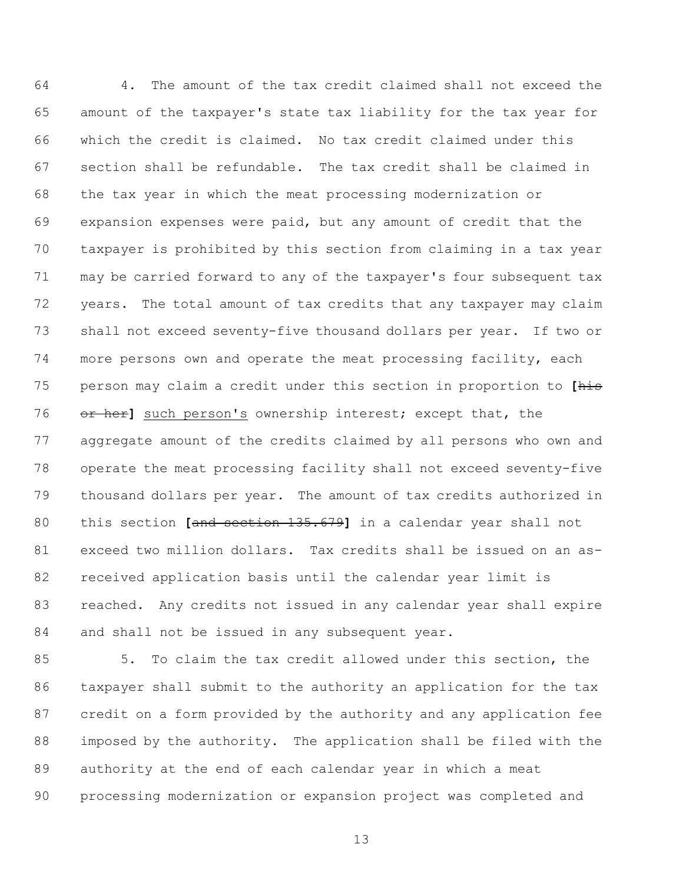4. The amount of the tax credit claimed shall not exceed the amount of the taxpayer's state tax liability for the tax year for which the credit is claimed. No tax credit claimed under this section shall be refundable. The tax credit shall be claimed in the tax year in which the meat processing modernization or expansion expenses were paid, but any amount of credit that the taxpayer is prohibited by this section from claiming in a tax year may be carried forward to any of the taxpayer's four subsequent tax years. The total amount of tax credits that any taxpayer may claim shall not exceed seventy-five thousand dollars per year. If two or more persons own and operate the meat processing facility, each person may claim a credit under this section in proportion to **[**his or her**]** such person's ownership interest; except that, the aggregate amount of the credits claimed by all persons who own and operate the meat processing facility shall not exceed seventy-five thousand dollars per year. The amount of tax credits authorized in this section **[**and section 135.679**]** in a calendar year shall not exceed two million dollars. Tax credits shall be issued on an as- received application basis until the calendar year limit is reached. Any credits not issued in any calendar year shall expire 84 and shall not be issued in any subsequent year.

 5. To claim the tax credit allowed under this section, the taxpayer shall submit to the authority an application for the tax credit on a form provided by the authority and any application fee imposed by the authority. The application shall be filed with the authority at the end of each calendar year in which a meat processing modernization or expansion project was completed and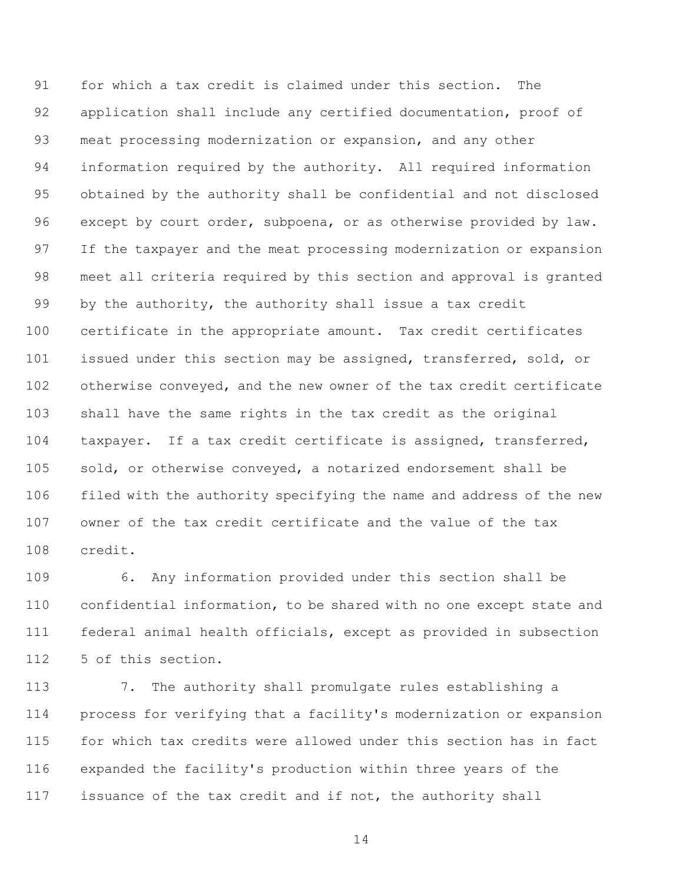for which a tax credit is claimed under this section. The application shall include any certified documentation, proof of meat processing modernization or expansion, and any other information required by the authority. All required information obtained by the authority shall be confidential and not disclosed 96 except by court order, subpoena, or as otherwise provided by law. If the taxpayer and the meat processing modernization or expansion meet all criteria required by this section and approval is granted by the authority, the authority shall issue a tax credit certificate in the appropriate amount. Tax credit certificates issued under this section may be assigned, transferred, sold, or otherwise conveyed, and the new owner of the tax credit certificate shall have the same rights in the tax credit as the original taxpayer. If a tax credit certificate is assigned, transferred, sold, or otherwise conveyed, a notarized endorsement shall be filed with the authority specifying the name and address of the new owner of the tax credit certificate and the value of the tax credit.

 6. Any information provided under this section shall be confidential information, to be shared with no one except state and federal animal health officials, except as provided in subsection 5 of this section.

 7. The authority shall promulgate rules establishing a process for verifying that a facility's modernization or expansion for which tax credits were allowed under this section has in fact expanded the facility's production within three years of the issuance of the tax credit and if not, the authority shall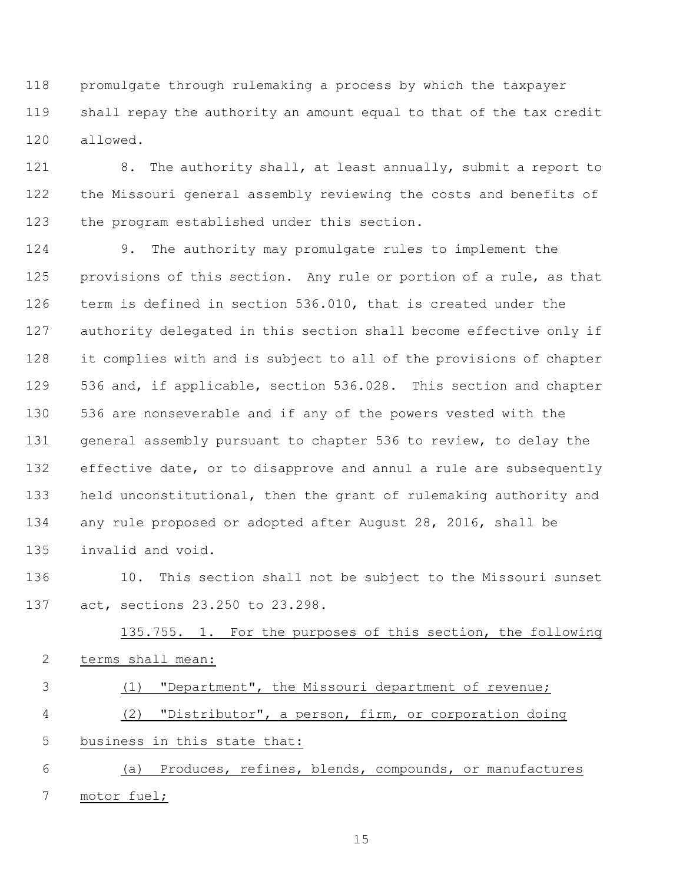promulgate through rulemaking a process by which the taxpayer shall repay the authority an amount equal to that of the tax credit allowed.

121 8. The authority shall, at least annually, submit a report to the Missouri general assembly reviewing the costs and benefits of the program established under this section.

 9. The authority may promulgate rules to implement the provisions of this section. Any rule or portion of a rule, as that term is defined in section 536.010, that is created under the authority delegated in this section shall become effective only if it complies with and is subject to all of the provisions of chapter 536 and, if applicable, section 536.028. This section and chapter 536 are nonseverable and if any of the powers vested with the general assembly pursuant to chapter 536 to review, to delay the effective date, or to disapprove and annul a rule are subsequently held unconstitutional, then the grant of rulemaking authority and any rule proposed or adopted after August 28, 2016, shall be invalid and void.

 10. This section shall not be subject to the Missouri sunset act, sections 23.250 to 23.298.

135.755. 1. For the purposes of this section, the following 2 terms shall mean: (1) "Department", the Missouri department of revenue; (2) "Distributor", a person, firm, or corporation doing 5 business in this state that: (a) Produces, refines, blends, compounds, or manufactures

motor fuel;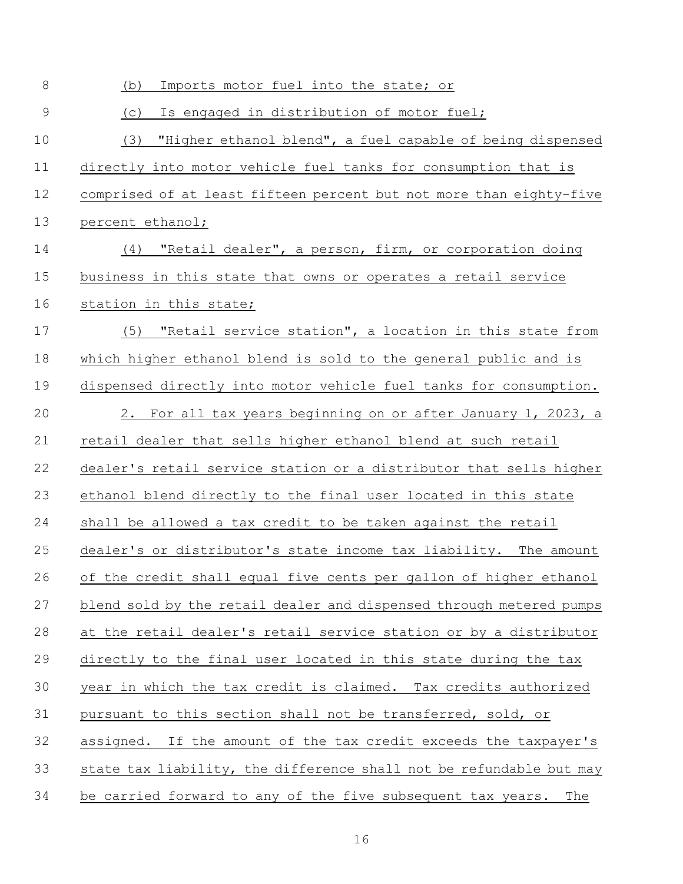| 8           | Imports motor fuel into the state; or<br>(b)                        |
|-------------|---------------------------------------------------------------------|
| $\mathsf 9$ | Is engaged in distribution of motor fuel;<br>(C)                    |
| 10          | (3) "Higher ethanol blend", a fuel capable of being dispensed       |
| 11          | directly into motor vehicle fuel tanks for consumption that is      |
| 12          | comprised of at least fifteen percent but not more than eighty-five |
| 13          | percent ethanol;                                                    |
| 14          | (4) "Retail dealer", a person, firm, or corporation doing           |
| 15          | business in this state that owns or operates a retail service       |
| 16          | station in this state;                                              |
| 17          | "Retail service station", a location in this state from<br>(5)      |
| 18          | which higher ethanol blend is sold to the general public and is     |
| 19          | dispensed directly into motor vehicle fuel tanks for consumption.   |
| 20          | 2. For all tax years beginning on or after January 1, 2023, a       |
| 21          | retail dealer that sells higher ethanol blend at such retail        |
| 22          | dealer's retail service station or a distributor that sells higher  |
| 23          | ethanol blend directly to the final user located in this state      |
| 24          | shall be allowed a tax credit to be taken against the retail        |
| 25          | dealer's or distributor's state income tax liability. The amount    |
| 26          | of the credit shall equal five cents per gallon of higher ethanol   |
| 27          | blend sold by the retail dealer and dispensed through metered pumps |
| 28          | at the retail dealer's retail service station or by a distributor   |
| 29          | directly to the final user located in this state during the tax     |
| 30          | year in which the tax credit is claimed. Tax credits authorized     |
| 31          | pursuant to this section shall not be transferred, sold, or         |
| 32          | assigned. If the amount of the tax credit exceeds the taxpayer's    |
| 33          | state tax liability, the difference shall not be refundable but may |
| 34          | be carried forward to any of the five subsequent tax years.<br>The  |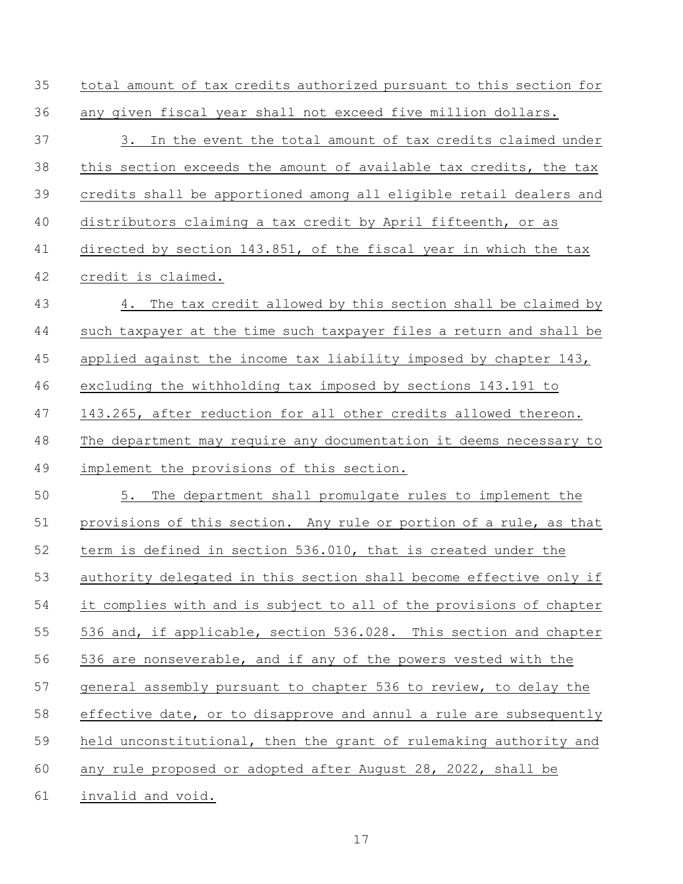| 35 | total amount of tax credits authorized pursuant to this section for |
|----|---------------------------------------------------------------------|
| 36 | any given fiscal year shall not exceed five million dollars.        |
| 37 | 3. In the event the total amount of tax credits claimed under       |
| 38 | this section exceeds the amount of available tax credits, the tax   |
| 39 | credits shall be apportioned among all eligible retail dealers and  |
| 40 | distributors claiming a tax credit by April fifteenth, or as        |
| 41 | directed by section 143.851, of the fiscal year in which the tax    |
| 42 | credit is claimed.                                                  |
| 43 | The tax credit allowed by this section shall be claimed by<br>4.    |
| 44 | such taxpayer at the time such taxpayer files a return and shall be |
| 45 | applied against the income tax liability imposed by chapter 143,    |
| 46 | excluding the withholding tax imposed by sections 143.191 to        |
| 47 | 143.265, after reduction for all other credits allowed thereon.     |
| 48 | The department may require any documentation it deems necessary to  |
| 49 | implement the provisions of this section.                           |
| 50 | 5.<br>The department shall promulgate rules to implement the        |
| 51 | provisions of this section. Any rule or portion of a rule, as that  |
| 52 | term is defined in section 536.010, that is created under the       |
| 53 | authority delegated in this section shall become effective only if  |
| 54 | it complies with and is subject to all of the provisions of chapter |
| 55 | 536 and, if applicable, section 536.028. This section and chapter   |
| 56 | 536 are nonseverable, and if any of the powers vested with the      |
| 57 | general assembly pursuant to chapter 536 to review, to delay the    |
| 58 | effective date, or to disapprove and annul a rule are subsequently  |
| 59 | held unconstitutional, then the grant of rulemaking authority and   |
| 60 | any rule proposed or adopted after August 28, 2022, shall be        |
| 61 | invalid and void.                                                   |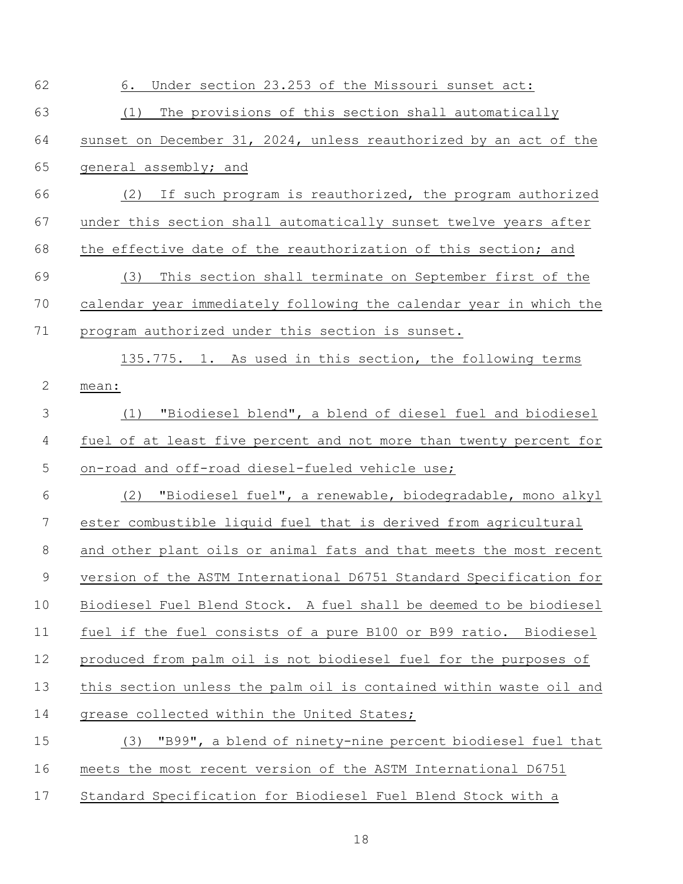| 62            | Under section 23.253 of the Missouri sunset act:<br>6.             |
|---------------|--------------------------------------------------------------------|
| 63            | The provisions of this section shall automatically<br>(1)          |
| 64            | sunset on December 31, 2024, unless reauthorized by an act of the  |
| 65            | general assembly; and                                              |
| 66            | If such program is reauthorized, the program authorized<br>(2)     |
| 67            | under this section shall automatically sunset twelve years after   |
| 68            | the effective date of the reauthorization of this section; and     |
| 69            | This section shall terminate on September first of the<br>(3)      |
| 70            | calendar year immediately following the calendar year in which the |
| 71            | program authorized under this section is sunset.                   |
|               | 135.775. 1. As used in this section, the following terms           |
| $\mathbf{2}$  | mean:                                                              |
| $\mathcal{S}$ | "Biodiesel blend", a blend of diesel fuel and biodiesel<br>(1)     |
| 4             | fuel of at least five percent and not more than twenty percent for |
| 5             | on-road and off-road diesel-fueled vehicle use;                    |
| 6             | "Biodiesel fuel", a renewable, biodegradable, mono alkyl<br>(2)    |
| 7             | ester combustible liquid fuel that is derived from agricultural    |
| 8             | and other plant oils or animal fats and that meets the most recent |
| 9             | version of the ASTM International D6751 Standard Specification for |
| 10            | Biodiesel Fuel Blend Stock. A fuel shall be deemed to be biodiesel |
| 11            | fuel if the fuel consists of a pure B100 or B99 ratio. Biodiesel   |
| 12            | produced from palm oil is not biodiesel fuel for the purposes of   |
| 13            | this section unless the palm oil is contained within waste oil and |
| 14            | grease collected within the United States;                         |
| 15            | (3) "B99", a blend of ninety-nine percent biodiesel fuel that      |
| 16            | meets the most recent version of the ASTM International D6751      |
| 17            | Standard Specification for Biodiesel Fuel Blend Stock with a       |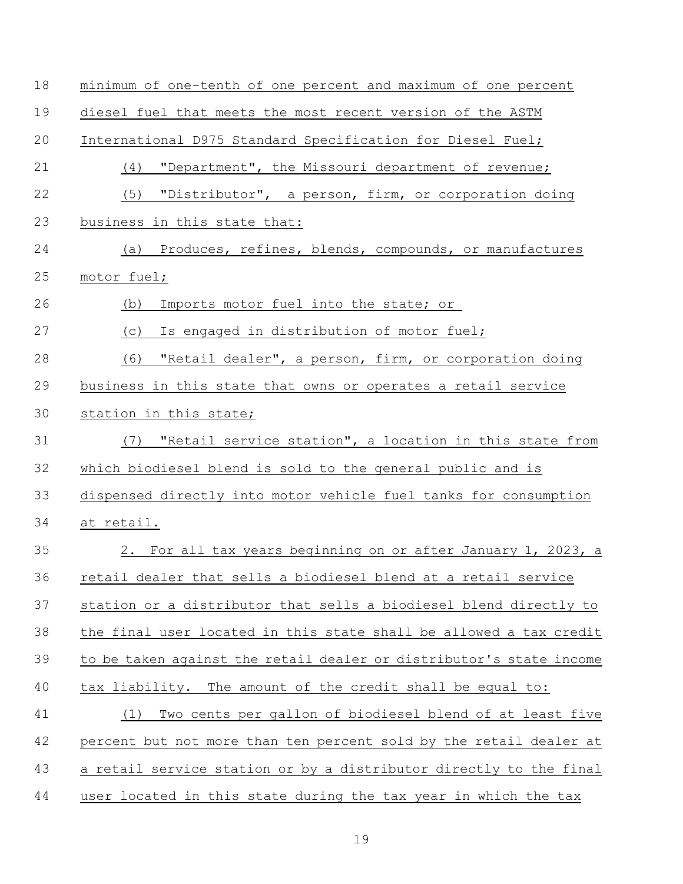| 18 | minimum of one-tenth of one percent and maximum of one percent      |
|----|---------------------------------------------------------------------|
| 19 | diesel fuel that meets the most recent version of the ASTM          |
| 20 | International D975 Standard Specification for Diesel Fuel;          |
| 21 | "Department", the Missouri department of revenue;<br>(4)            |
| 22 | "Distributor", a person, firm, or corporation doing<br>(5)          |
| 23 | business in this state that:                                        |
| 24 | (a) Produces, refines, blends, compounds, or manufactures           |
| 25 | motor fuel;                                                         |
| 26 | Imports motor fuel into the state; or<br>(b)                        |
| 27 | Is engaged in distribution of motor fuel;<br>(C)                    |
| 28 | "Retail dealer", a person, firm, or corporation doing<br>(6)        |
| 29 | business in this state that owns or operates a retail service       |
| 30 | station in this state;                                              |
| 31 | "Retail service station", a location in this state from<br>(7)      |
| 32 | which biodiesel blend is sold to the general public and is          |
| 33 | dispensed directly into motor vehicle fuel tanks for consumption    |
| 34 | at retail.                                                          |
| 35 | 2. For all tax years beginning on or after January 1, 2023, a       |
| 36 | retail dealer that sells a biodiesel blend at a retail service      |
| 37 | station or a distributor that sells a biodiesel blend directly to   |
| 38 | the final user located in this state shall be allowed a tax credit  |
| 39 | to be taken against the retail dealer or distributor's state income |
| 40 | tax liability. The amount of the credit shall be equal to:          |
| 41 | Two cents per gallon of biodiesel blend of at least five<br>(1)     |
| 42 | percent but not more than ten percent sold by the retail dealer at  |
| 43 | a retail service station or by a distributor directly to the final  |
| 44 | user located in this state during the tax year in which the tax     |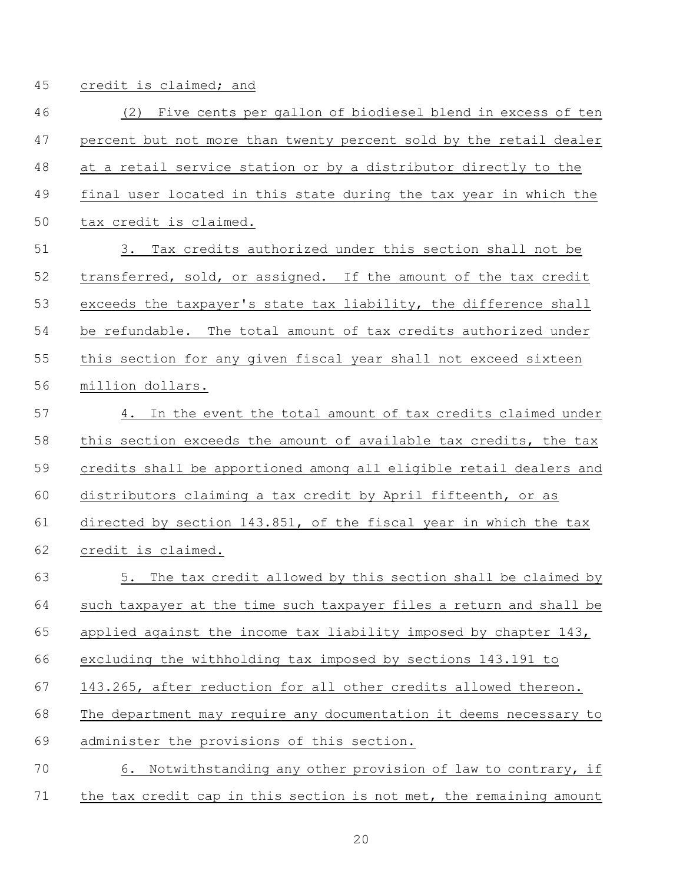credit is claimed; and

 (2) Five cents per gallon of biodiesel blend in excess of ten percent but not more than twenty percent sold by the retail dealer at a retail service station or by a distributor directly to the final user located in this state during the tax year in which the tax credit is claimed. 3. Tax credits authorized under this section shall not be transferred, sold, or assigned. If the amount of the tax credit exceeds the taxpayer's state tax liability, the difference shall be refundable. The total amount of tax credits authorized under this section for any given fiscal year shall not exceed sixteen million dollars. 4. In the event the total amount of tax credits claimed under this section exceeds the amount of available tax credits, the tax credits shall be apportioned among all eligible retail dealers and distributors claiming a tax credit by April fifteenth, or as directed by section 143.851, of the fiscal year in which the tax credit is claimed. 5. The tax credit allowed by this section shall be claimed by such taxpayer at the time such taxpayer files a return and shall be

applied against the income tax liability imposed by chapter 143,

excluding the withholding tax imposed by sections 143.191 to

143.265, after reduction for all other credits allowed thereon.

The department may require any documentation it deems necessary to

administer the provisions of this section.

 6. Notwithstanding any other provision of law to contrary, if the tax credit cap in this section is not met, the remaining amount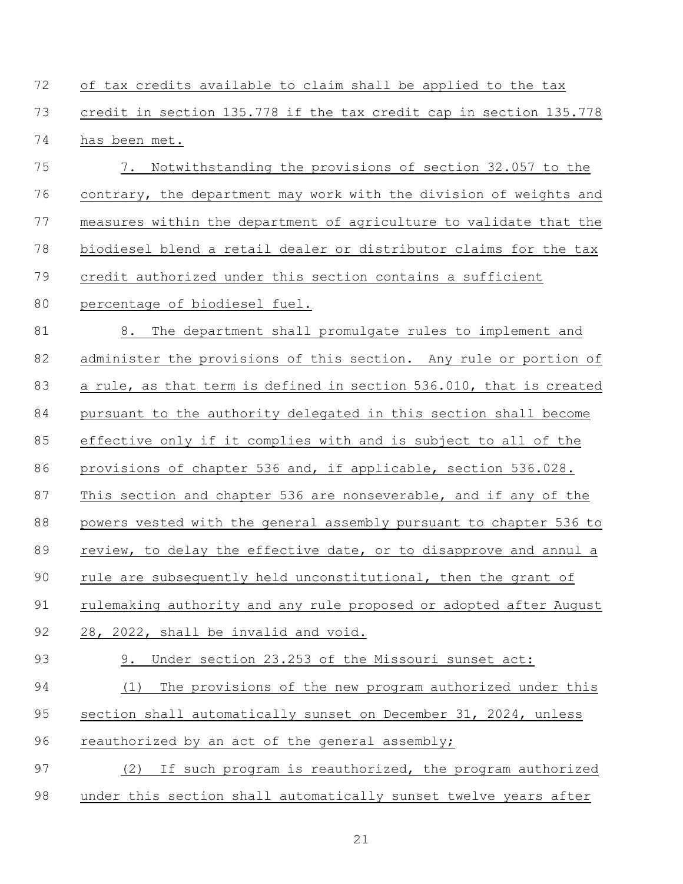of tax credits available to claim shall be applied to the tax credit in section 135.778 if the tax credit cap in section 135.778 has been met.

 7. Notwithstanding the provisions of section 32.057 to the contrary, the department may work with the division of weights and measures within the department of agriculture to validate that the biodiesel blend a retail dealer or distributor claims for the tax credit authorized under this section contains a sufficient

# percentage of biodiesel fuel.

81 8. The department shall promulgate rules to implement and 82 administer the provisions of this section. Any rule or portion of a rule, as that term is defined in section 536.010, that is created pursuant to the authority delegated in this section shall become effective only if it complies with and is subject to all of the provisions of chapter 536 and, if applicable, section 536.028. 87 This section and chapter 536 are nonseverable, and if any of the powers vested with the general assembly pursuant to chapter 536 to review, to delay the effective date, or to disapprove and annul a 90 rule are subsequently held unconstitutional, then the grant of rulemaking authority and any rule proposed or adopted after August 28, 2022, shall be invalid and void. 9. Under section 23.253 of the Missouri sunset act: (1) The provisions of the new program authorized under this section shall automatically sunset on December 31, 2024, unless

96 reauthorized by an act of the general assembly;

 (2) If such program is reauthorized, the program authorized under this section shall automatically sunset twelve years after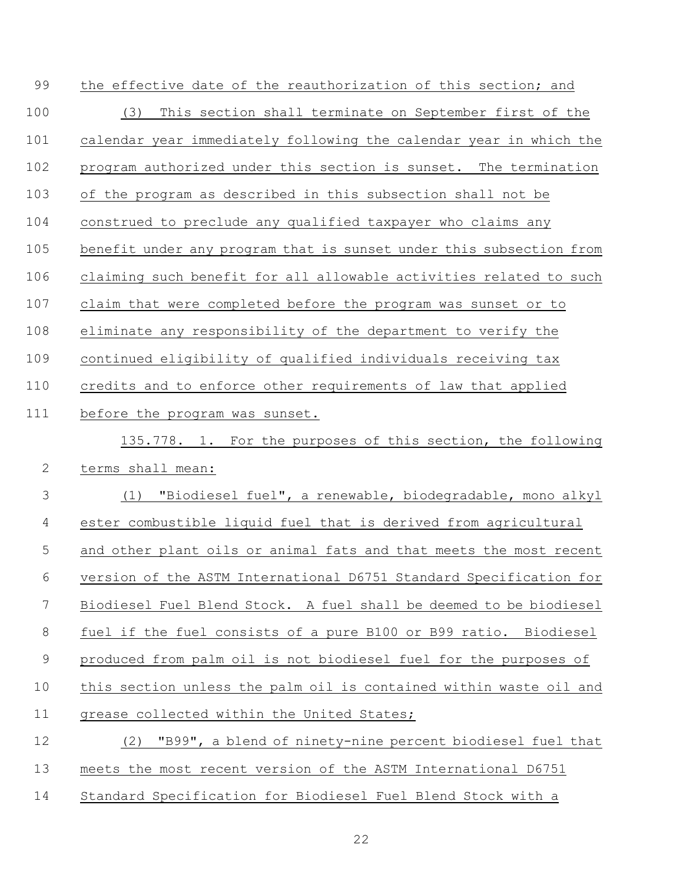| 99             | the effective date of the reauthorization of this section; and      |
|----------------|---------------------------------------------------------------------|
| 100            | This section shall terminate on September first of the<br>(3)       |
| 101            | calendar year immediately following the calendar year in which the  |
| 102            | program authorized under this section is sunset. The termination    |
| 103            | of the program as described in this subsection shall not be         |
| 104            | construed to preclude any qualified taxpayer who claims any         |
| 105            | benefit under any program that is sunset under this subsection from |
| 106            | claiming such benefit for all allowable activities related to such  |
| 107            | claim that were completed before the program was sunset or to       |
| 108            | eliminate any responsibility of the department to verify the        |
| 109            | continued eligibility of qualified individuals receiving tax        |
| 110            | credits and to enforce other requirements of law that applied       |
| 111            | before the program was sunset.                                      |
|                | 135.778. 1. For the purposes of this section, the following         |
| $\mathbf{2}$   | terms shall mean:                                                   |
| 3              | "Biodiesel fuel", a renewable, biodegradable, mono alkyl<br>(1)     |
| 4              | ester combustible liquid fuel that is derived from agricultural     |
| 5              | and other plant oils or animal fats and that meets the most recent  |
| 6              | version of the ASTM International D6751 Standard Specification for  |
| $\overline{7}$ | Biodiesel Fuel Blend Stock. A fuel shall be deemed to be biodiesel  |
| 8              | fuel if the fuel consists of a pure B100 or B99 ratio. Biodiesel    |
| $\mathsf 9$    | produced from palm oil is not biodiesel fuel for the purposes of    |
| 10             | this section unless the palm oil is contained within waste oil and  |
| 11             | grease collected within the United States;                          |
| 12             | "B99", a blend of ninety-nine percent biodiesel fuel that<br>(2)    |
| 13             | meets the most recent version of the ASTM International D6751       |
| 14             | Standard Specification for Biodiesel Fuel Blend Stock with a        |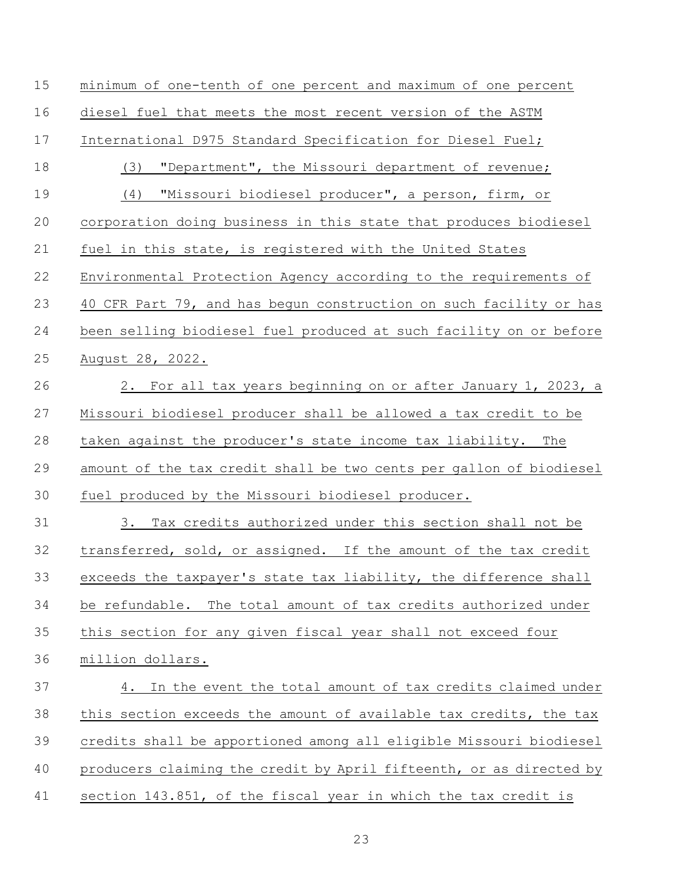| 15 | minimum of one-tenth of one percent and maximum of one percent      |
|----|---------------------------------------------------------------------|
| 16 | diesel fuel that meets the most recent version of the ASTM          |
| 17 | International D975 Standard Specification for Diesel Fuel;          |
| 18 | "Department", the Missouri department of revenue;<br>(3)            |
| 19 | "Missouri biodiesel producer", a person, firm, or<br>(4)            |
| 20 | corporation doing business in this state that produces biodiesel    |
| 21 | fuel in this state, is registered with the United States            |
| 22 | Environmental Protection Agency according to the requirements of    |
| 23 | 40 CFR Part 79, and has begun construction on such facility or has  |
| 24 | been selling biodiesel fuel produced at such facility on or before  |
| 25 | August 28, 2022.                                                    |
| 26 | 2. For all tax years beginning on or after January 1, 2023, a       |
| 27 | Missouri biodiesel producer shall be allowed a tax credit to be     |
| 28 | taken against the producer's state income tax liability. The        |
| 29 | amount of the tax credit shall be two cents per gallon of biodiesel |
| 30 | fuel produced by the Missouri biodiesel producer.                   |
| 31 | Tax credits authorized under this section shall not be<br>3.        |
| 32 | transferred, sold, or assigned. If the amount of the tax credit     |
| 33 | exceeds the taxpayer's state tax liability, the difference shall    |
| 34 | be refundable. The total amount of tax credits authorized under     |
| 35 | this section for any given fiscal year shall not exceed four        |
| 36 | million dollars.                                                    |
| 37 | In the event the total amount of tax credits claimed under<br>4.    |
| 38 | this section exceeds the amount of available tax credits, the tax   |
| 39 | credits shall be apportioned among all eligible Missouri biodiesel  |
| 40 | producers claiming the credit by April fifteenth, or as directed by |
| 41 | section 143.851, of the fiscal year in which the tax credit is      |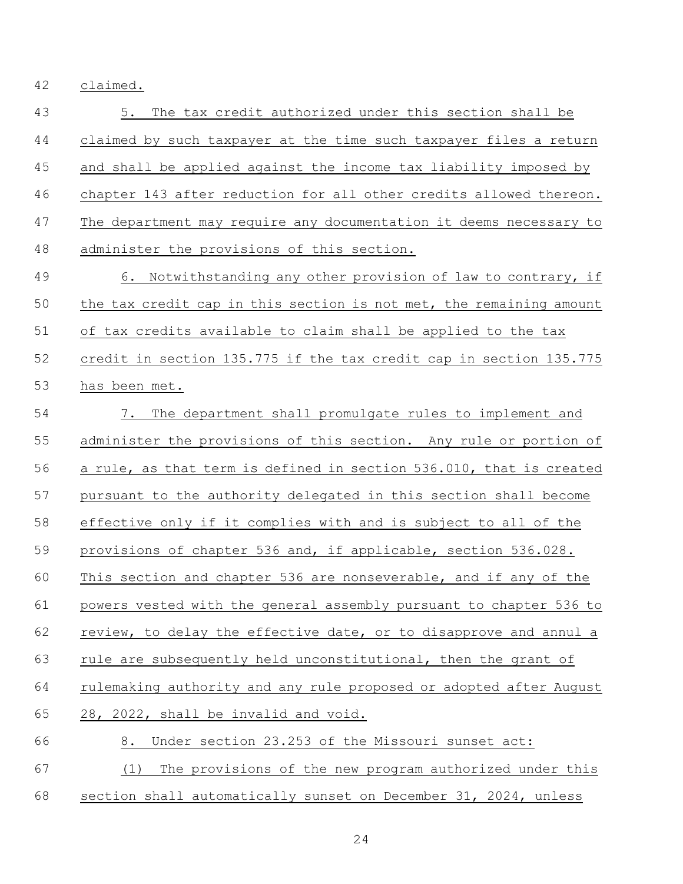claimed.

 5. The tax credit authorized under this section shall be claimed by such taxpayer at the time such taxpayer files a return and shall be applied against the income tax liability imposed by chapter 143 after reduction for all other credits allowed thereon. The department may require any documentation it deems necessary to administer the provisions of this section. 49 6. Notwithstanding any other provision of law to contrary, if

 the tax credit cap in this section is not met, the remaining amount of tax credits available to claim shall be applied to the tax credit in section 135.775 if the tax credit cap in section 135.775 has been met.

 7. The department shall promulgate rules to implement and administer the provisions of this section. Any rule or portion of a rule, as that term is defined in section 536.010, that is created pursuant to the authority delegated in this section shall become effective only if it complies with and is subject to all of the provisions of chapter 536 and, if applicable, section 536.028. This section and chapter 536 are nonseverable, and if any of the powers vested with the general assembly pursuant to chapter 536 to review, to delay the effective date, or to disapprove and annul a rule are subsequently held unconstitutional, then the grant of rulemaking authority and any rule proposed or adopted after August 28, 2022, shall be invalid and void. 8. Under section 23.253 of the Missouri sunset act: (1) The provisions of the new program authorized under this

section shall automatically sunset on December 31, 2024, unless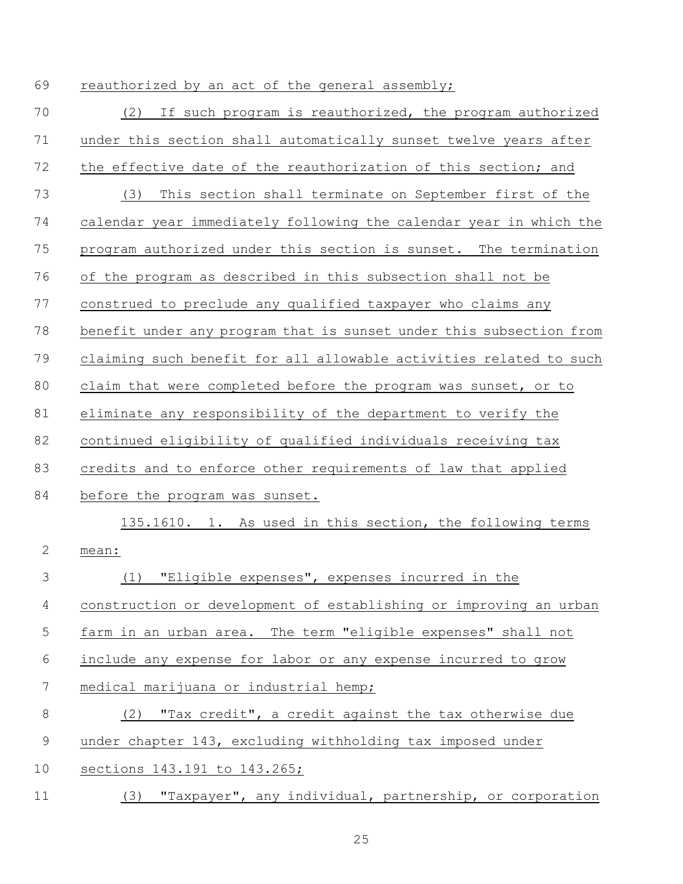69 reauthorized by an act of the general assembly;

| 70           | If such program is reauthorized, the program authorized<br>(2)      |
|--------------|---------------------------------------------------------------------|
| 71           | under this section shall automatically sunset twelve years after    |
| 72           | the effective date of the reauthorization of this section; and      |
| 73           | This section shall terminate on September first of the<br>(3)       |
| 74           | calendar year immediately following the calendar year in which the  |
| 75           | program authorized under this section is sunset. The termination    |
| 76           | of the program as described in this subsection shall not be         |
| 77           | construed to preclude any qualified taxpayer who claims any         |
| 78           | benefit under any program that is sunset under this subsection from |
| 79           | claiming such benefit for all allowable activities related to such  |
| 80           | claim that were completed before the program was sunset, or to      |
| 81           | eliminate any responsibility of the department to verify the        |
| 82           | continued eligibility of qualified individuals receiving tax        |
| 83           | credits and to enforce other requirements of law that applied       |
| 84           | before the program was sunset.                                      |
|              | 135.1610. 1. As used in this section, the following terms           |
| $\mathbf{2}$ | mean:                                                               |
| 3            | "Eligible expenses", expenses incurred in the<br>(1)                |
| 4            | construction or development of establishing or improving an urban   |
| 5            | farm in an urban area. The term "eligible expenses" shall not       |
| 6            | include any expense for labor or any expense incurred to grow       |
| 7            | medical marijuana or industrial hemp;                               |
| 8            | "Tax credit", a credit against the tax otherwise due<br>(2)         |
| $\mathsf 9$  | under chapter 143, excluding withholding tax imposed under          |
| 10           | sections 143.191 to 143.265;                                        |
| 11           | "Taxpayer", any individual, partnership, or corporation<br>(3)      |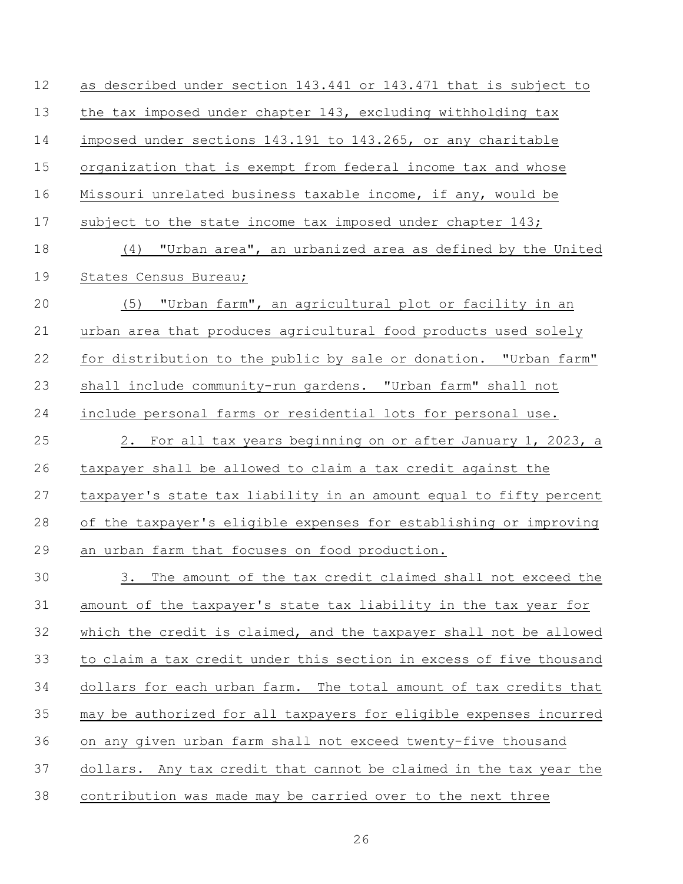| 12 | as described under section 143.441 or 143.471 that is subject to    |
|----|---------------------------------------------------------------------|
| 13 | the tax imposed under chapter 143, excluding withholding tax        |
| 14 | imposed under sections 143.191 to 143.265, or any charitable        |
| 15 | organization that is exempt from federal income tax and whose       |
| 16 | Missouri unrelated business taxable income, if any, would be        |
| 17 | subject to the state income tax imposed under chapter 143;          |
| 18 | (4) "Urban area", an urbanized area as defined by the United        |
| 19 | States Census Bureau;                                               |
| 20 | (5) "Urban farm", an agricultural plot or facility in an            |
| 21 | urban area that produces agricultural food products used solely     |
| 22 | for distribution to the public by sale or donation. "Urban farm"    |
| 23 | shall include community-run gardens. "Urban farm" shall not         |
| 24 | include personal farms or residential lots for personal use.        |
| 25 | 2. For all tax years beginning on or after January 1, 2023, a       |
| 26 | taxpayer shall be allowed to claim a tax credit against the         |
| 27 | taxpayer's state tax liability in an amount equal to fifty percent  |
| 28 | of the taxpayer's eligible expenses for establishing or improving   |
| 29 | an urban farm that focuses on food production.                      |
| 30 | 3.<br>The amount of the tax credit claimed shall not exceed the     |
| 31 | amount of the taxpayer's state tax liability in the tax year for    |
| 32 | which the credit is claimed, and the taxpayer shall not be allowed  |
| 33 | to claim a tax credit under this section in excess of five thousand |
| 34 | dollars for each urban farm. The total amount of tax credits that   |
| 35 | may be authorized for all taxpayers for eligible expenses incurred  |
| 36 | on any given urban farm shall not exceed twenty-five thousand       |
| 37 | dollars. Any tax credit that cannot be claimed in the tax year the  |
| 38 | contribution was made may be carried over to the next three         |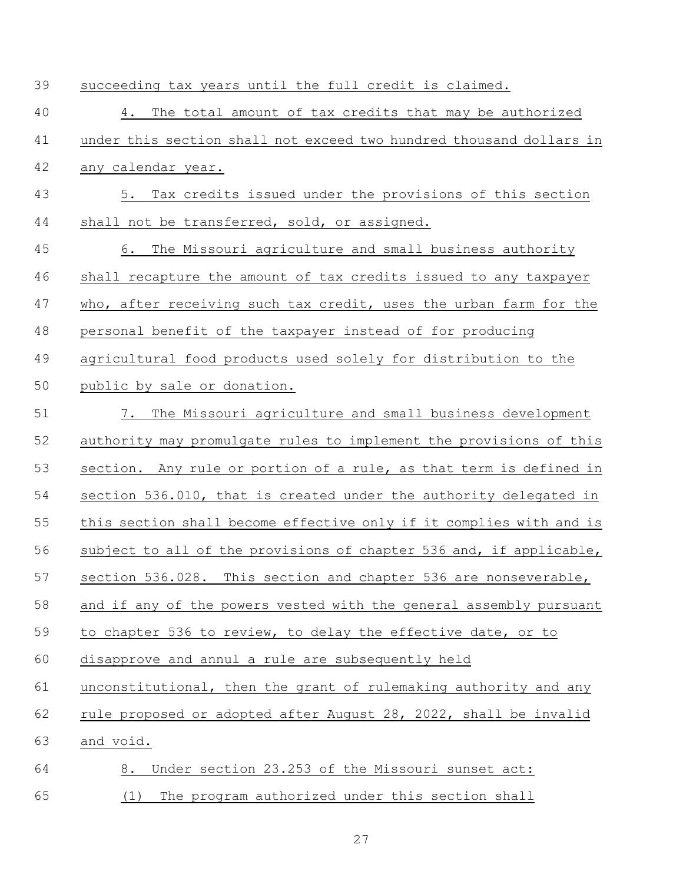| 39 | succeeding tax years until the full credit is claimed.              |
|----|---------------------------------------------------------------------|
| 40 | The total amount of tax credits that may be authorized<br>4.        |
| 41 | under this section shall not exceed two hundred thousand dollars in |
| 42 | any calendar year.                                                  |
| 43 | Tax credits issued under the provisions of this section<br>5.       |
| 44 | shall not be transferred, sold, or assigned.                        |
| 45 | The Missouri agriculture and small business authority<br>6.         |
| 46 | shall recapture the amount of tax credits issued to any taxpayer    |
| 47 | who, after receiving such tax credit, uses the urban farm for the   |
| 48 | personal benefit of the taxpayer instead of for producing           |
| 49 | agricultural food products used solely for distribution to the      |
| 50 | public by sale or donation.                                         |
| 51 | 7. The Missouri agriculture and small business development          |
| 52 | authority may promulgate rules to implement the provisions of this  |
| 53 | section. Any rule or portion of a rule, as that term is defined in  |
| 54 | section 536.010, that is created under the authority delegated in   |
| 55 | this section shall become effective only if it complies with and is |
| 56 | subject to all of the provisions of chapter 536 and, if applicable, |
| 57 | section 536.028. This section and chapter 536 are nonseverable,     |
| 58 | and if any of the powers vested with the general assembly pursuant  |
| 59 | to chapter 536 to review, to delay the effective date, or to        |
| 60 | disapprove and annul a rule are subsequently held                   |
| 61 | unconstitutional, then the grant of rulemaking authority and any    |
| 62 | rule proposed or adopted after August 28, 2022, shall be invalid    |
| 63 | and void.                                                           |
| 64 | Under section 23.253 of the Missouri sunset act:<br>8.              |
| 65 | The program authorized under this section shall<br>(1)              |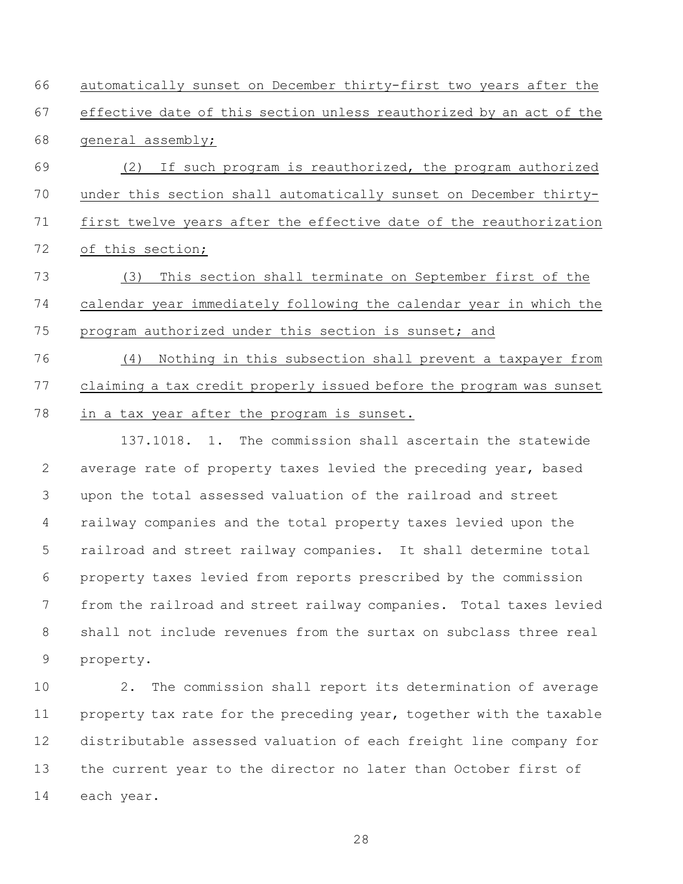automatically sunset on December thirty-first two years after the effective date of this section unless reauthorized by an act of the general assembly; (2) If such program is reauthorized, the program authorized under this section shall automatically sunset on December thirty- first twelve years after the effective date of the reauthorization of this section;

 (3) This section shall terminate on September first of the calendar year immediately following the calendar year in which the program authorized under this section is sunset; and

 (4) Nothing in this subsection shall prevent a taxpayer from claiming a tax credit properly issued before the program was sunset in a tax year after the program is sunset.

137.1018. 1. The commission shall ascertain the statewide average rate of property taxes levied the preceding year, based upon the total assessed valuation of the railroad and street railway companies and the total property taxes levied upon the railroad and street railway companies. It shall determine total property taxes levied from reports prescribed by the commission from the railroad and street railway companies. Total taxes levied shall not include revenues from the surtax on subclass three real property.

 2. The commission shall report its determination of average 11 property tax rate for the preceding year, together with the taxable distributable assessed valuation of each freight line company for the current year to the director no later than October first of each year.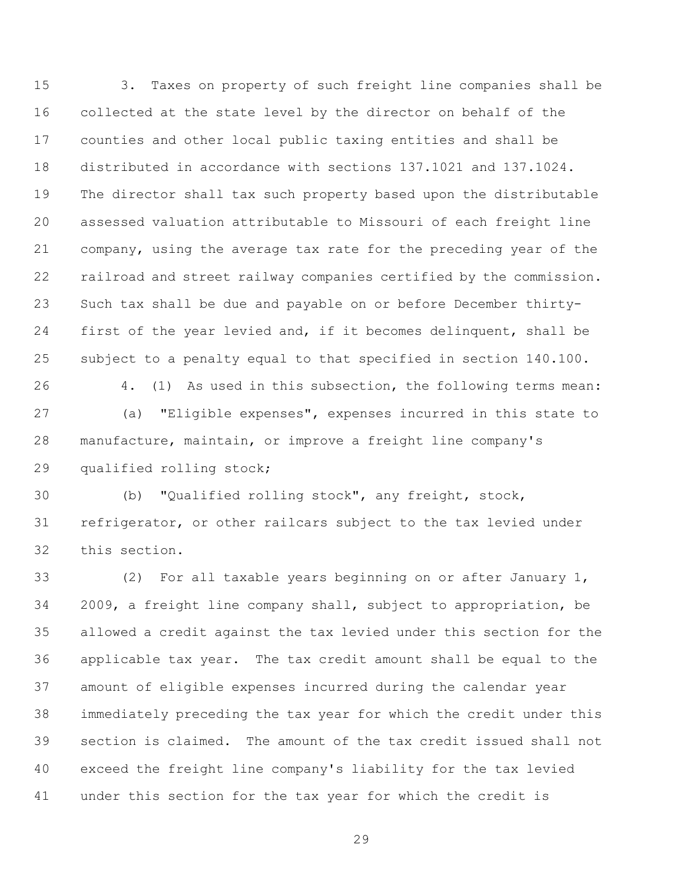3. Taxes on property of such freight line companies shall be collected at the state level by the director on behalf of the counties and other local public taxing entities and shall be distributed in accordance with sections 137.1021 and 137.1024. The director shall tax such property based upon the distributable assessed valuation attributable to Missouri of each freight line company, using the average tax rate for the preceding year of the railroad and street railway companies certified by the commission. Such tax shall be due and payable on or before December thirty- first of the year levied and, if it becomes delinquent, shall be subject to a penalty equal to that specified in section 140.100. 4. (1) As used in this subsection, the following terms mean:

 (a) "Eligible expenses", expenses incurred in this state to manufacture, maintain, or improve a freight line company's qualified rolling stock;

 (b) "Qualified rolling stock", any freight, stock, refrigerator, or other railcars subject to the tax levied under this section.

 (2) For all taxable years beginning on or after January 1, 2009, a freight line company shall, subject to appropriation, be allowed a credit against the tax levied under this section for the applicable tax year. The tax credit amount shall be equal to the amount of eligible expenses incurred during the calendar year immediately preceding the tax year for which the credit under this section is claimed. The amount of the tax credit issued shall not exceed the freight line company's liability for the tax levied under this section for the tax year for which the credit is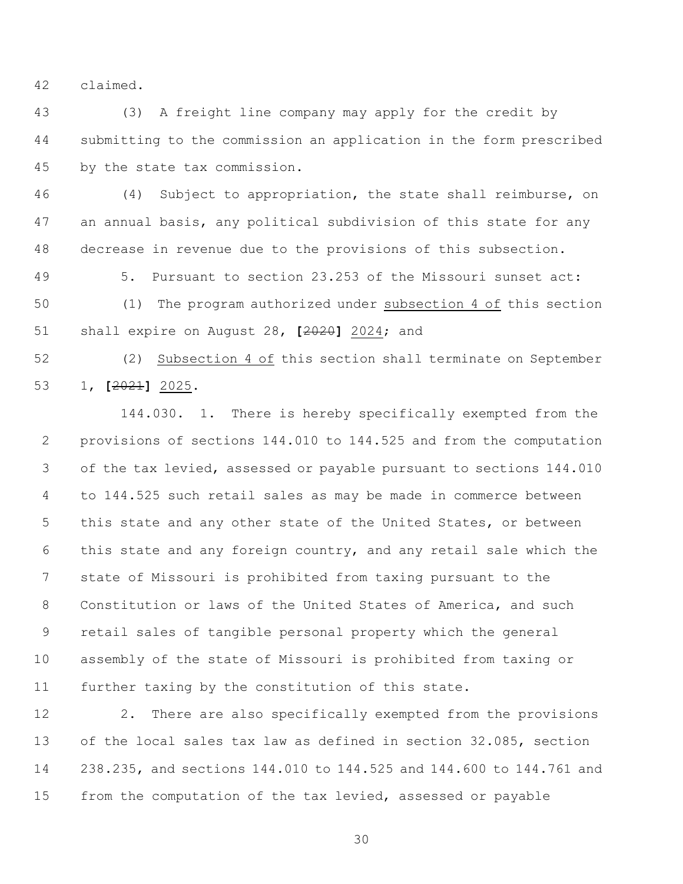claimed.

 (3) A freight line company may apply for the credit by submitting to the commission an application in the form prescribed by the state tax commission.

 (4) Subject to appropriation, the state shall reimburse, on an annual basis, any political subdivision of this state for any decrease in revenue due to the provisions of this subsection.

5. Pursuant to section 23.253 of the Missouri sunset act:

 (1) The program authorized under subsection 4 of this section shall expire on August 28, **[**2020**]** 2024; and

 (2) Subsection 4 of this section shall terminate on September 1, **[**2021**]** 2025.

144.030. 1. There is hereby specifically exempted from the provisions of sections 144.010 to 144.525 and from the computation of the tax levied, assessed or payable pursuant to sections 144.010 to 144.525 such retail sales as may be made in commerce between this state and any other state of the United States, or between this state and any foreign country, and any retail sale which the state of Missouri is prohibited from taxing pursuant to the Constitution or laws of the United States of America, and such retail sales of tangible personal property which the general assembly of the state of Missouri is prohibited from taxing or further taxing by the constitution of this state.

 2. There are also specifically exempted from the provisions of the local sales tax law as defined in section 32.085, section 238.235, and sections 144.010 to 144.525 and 144.600 to 144.761 and from the computation of the tax levied, assessed or payable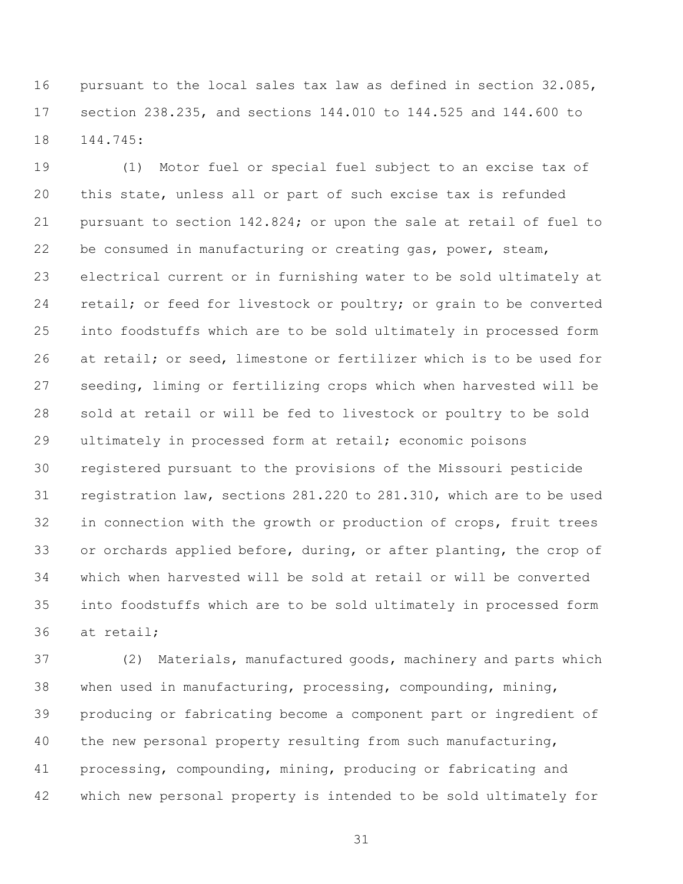pursuant to the local sales tax law as defined in section 32.085, section 238.235, and sections 144.010 to 144.525 and 144.600 to 144.745:

 (1) Motor fuel or special fuel subject to an excise tax of this state, unless all or part of such excise tax is refunded pursuant to section 142.824; or upon the sale at retail of fuel to be consumed in manufacturing or creating gas, power, steam, electrical current or in furnishing water to be sold ultimately at retail; or feed for livestock or poultry; or grain to be converted into foodstuffs which are to be sold ultimately in processed form at retail; or seed, limestone or fertilizer which is to be used for seeding, liming or fertilizing crops which when harvested will be sold at retail or will be fed to livestock or poultry to be sold ultimately in processed form at retail; economic poisons registered pursuant to the provisions of the Missouri pesticide registration law, sections 281.220 to 281.310, which are to be used in connection with the growth or production of crops, fruit trees or orchards applied before, during, or after planting, the crop of which when harvested will be sold at retail or will be converted into foodstuffs which are to be sold ultimately in processed form at retail;

 (2) Materials, manufactured goods, machinery and parts which when used in manufacturing, processing, compounding, mining, producing or fabricating become a component part or ingredient of the new personal property resulting from such manufacturing, processing, compounding, mining, producing or fabricating and which new personal property is intended to be sold ultimately for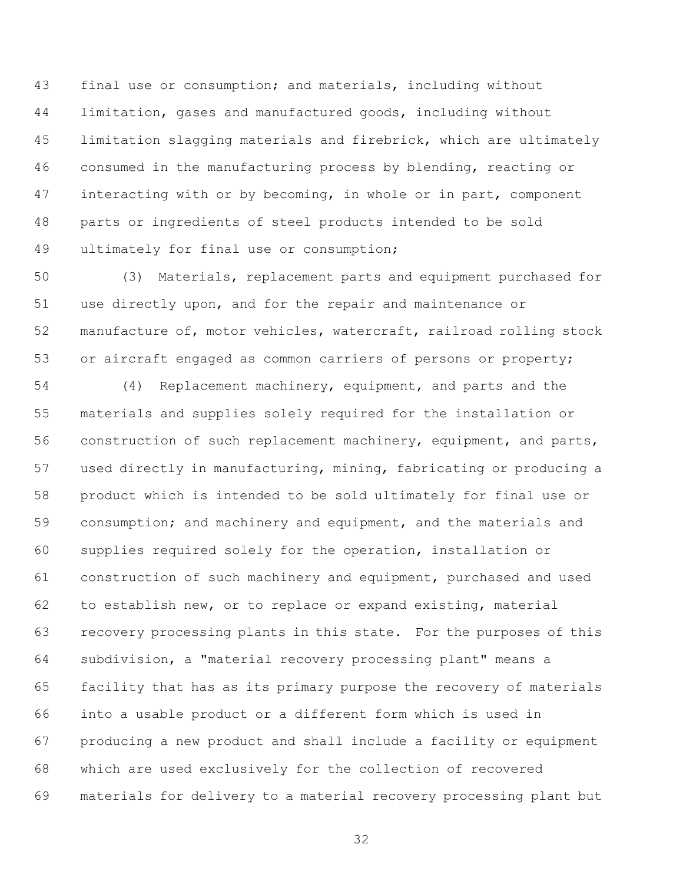final use or consumption; and materials, including without limitation, gases and manufactured goods, including without limitation slagging materials and firebrick, which are ultimately consumed in the manufacturing process by blending, reacting or 47 interacting with or by becoming, in whole or in part, component parts or ingredients of steel products intended to be sold ultimately for final use or consumption;

 (3) Materials, replacement parts and equipment purchased for use directly upon, and for the repair and maintenance or manufacture of, motor vehicles, watercraft, railroad rolling stock or aircraft engaged as common carriers of persons or property;

 (4) Replacement machinery, equipment, and parts and the materials and supplies solely required for the installation or 56 construction of such replacement machinery, equipment, and parts, used directly in manufacturing, mining, fabricating or producing a product which is intended to be sold ultimately for final use or 59 consumption; and machinery and equipment, and the materials and supplies required solely for the operation, installation or construction of such machinery and equipment, purchased and used to establish new, or to replace or expand existing, material recovery processing plants in this state. For the purposes of this subdivision, a "material recovery processing plant" means a facility that has as its primary purpose the recovery of materials into a usable product or a different form which is used in producing a new product and shall include a facility or equipment which are used exclusively for the collection of recovered materials for delivery to a material recovery processing plant but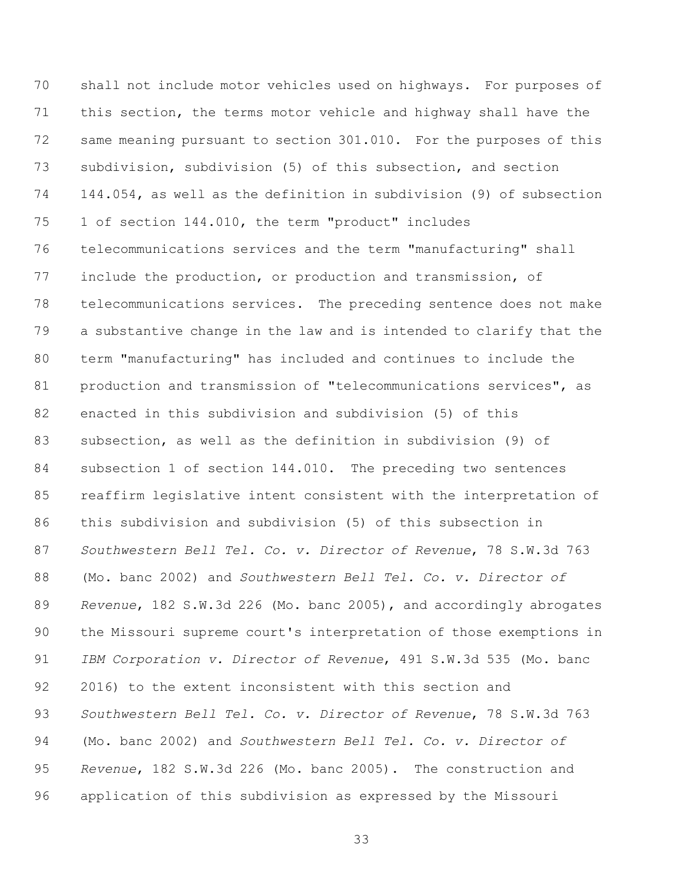shall not include motor vehicles used on highways. For purposes of this section, the terms motor vehicle and highway shall have the same meaning pursuant to section 301.010. For the purposes of this subdivision, subdivision (5) of this subsection, and section 144.054, as well as the definition in subdivision (9) of subsection 1 of section 144.010, the term "product" includes telecommunications services and the term "manufacturing" shall include the production, or production and transmission, of telecommunications services. The preceding sentence does not make a substantive change in the law and is intended to clarify that the term "manufacturing" has included and continues to include the 81 production and transmission of "telecommunications services", as enacted in this subdivision and subdivision (5) of this subsection, as well as the definition in subdivision (9) of subsection 1 of section 144.010. The preceding two sentences reaffirm legislative intent consistent with the interpretation of this subdivision and subdivision (5) of this subsection in *Southwestern Bell Tel. Co. v. Director of Revenue*, 78 S.W.3d 763 (Mo. banc 2002) and *Southwestern Bell Tel. Co. v. Director of Revenue*, 182 S.W.3d 226 (Mo. banc 2005), and accordingly abrogates the Missouri supreme court's interpretation of those exemptions in *IBM Corporation v. Director of Revenue*, 491 S.W.3d 535 (Mo. banc 2016) to the extent inconsistent with this section and *Southwestern Bell Tel. Co. v. Director of Revenue*, 78 S.W.3d 763 (Mo. banc 2002) and *Southwestern Bell Tel. Co. v. Director of Revenue*, 182 S.W.3d 226 (Mo. banc 2005). The construction and application of this subdivision as expressed by the Missouri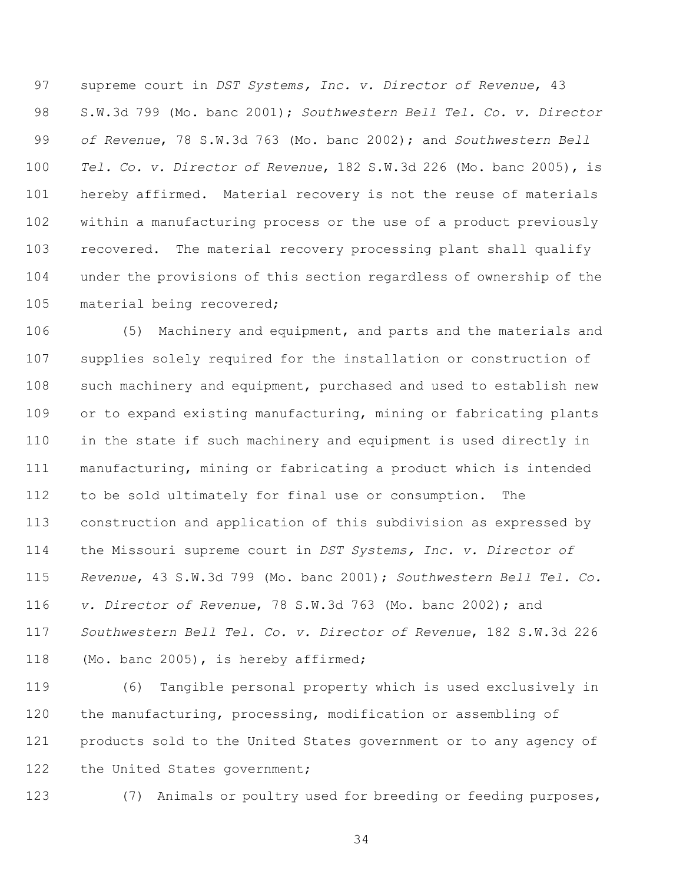supreme court in *DST Systems, Inc. v. Director of Revenue*, 43 S.W.3d 799 (Mo. banc 2001); *Southwestern Bell Tel. Co. v. Director of Revenue*, 78 S.W.3d 763 (Mo. banc 2002); and *Southwestern Bell Tel. Co. v. Director of Revenue*, 182 S.W.3d 226 (Mo. banc 2005), is hereby affirmed. Material recovery is not the reuse of materials within a manufacturing process or the use of a product previously recovered. The material recovery processing plant shall qualify under the provisions of this section regardless of ownership of the material being recovered;

 (5) Machinery and equipment, and parts and the materials and supplies solely required for the installation or construction of such machinery and equipment, purchased and used to establish new or to expand existing manufacturing, mining or fabricating plants in the state if such machinery and equipment is used directly in manufacturing, mining or fabricating a product which is intended to be sold ultimately for final use or consumption. The construction and application of this subdivision as expressed by the Missouri supreme court in *DST Systems, Inc. v. Director of Revenue*, 43 S.W.3d 799 (Mo. banc 2001); *Southwestern Bell Tel. Co. v. Director of Revenue*, 78 S.W.3d 763 (Mo. banc 2002); and *Southwestern Bell Tel. Co. v. Director of Revenue*, 182 S.W.3d 226 (Mo. banc 2005), is hereby affirmed;

 (6) Tangible personal property which is used exclusively in the manufacturing, processing, modification or assembling of products sold to the United States government or to any agency of 122 the United States government;

(7) Animals or poultry used for breeding or feeding purposes,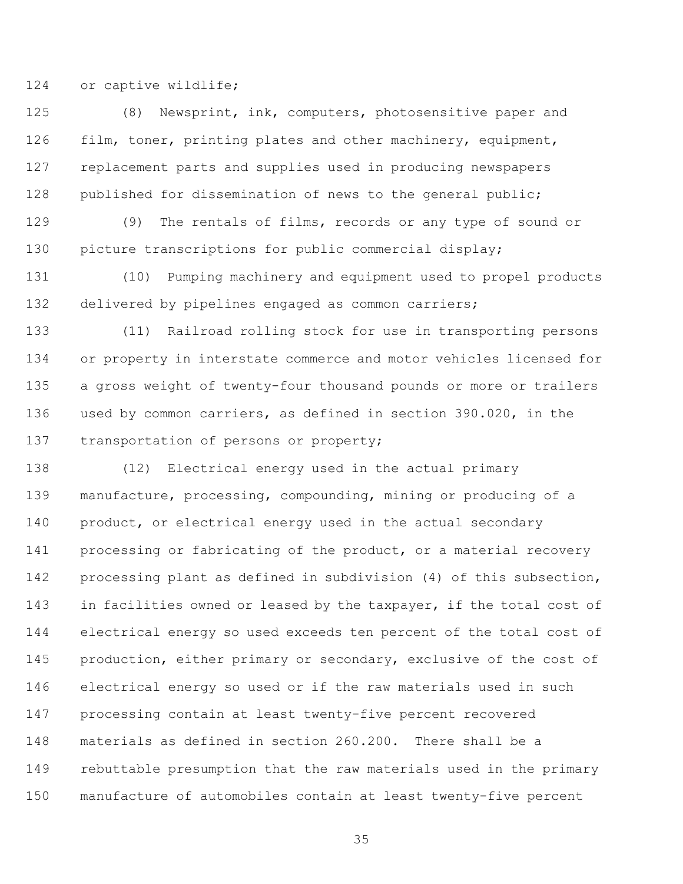or captive wildlife;

 (8) Newsprint, ink, computers, photosensitive paper and film, toner, printing plates and other machinery, equipment, replacement parts and supplies used in producing newspapers published for dissemination of news to the general public;

 (9) The rentals of films, records or any type of sound or picture transcriptions for public commercial display;

 (10) Pumping machinery and equipment used to propel products delivered by pipelines engaged as common carriers;

 (11) Railroad rolling stock for use in transporting persons or property in interstate commerce and motor vehicles licensed for a gross weight of twenty-four thousand pounds or more or trailers used by common carriers, as defined in section 390.020, in the 137 transportation of persons or property;

 (12) Electrical energy used in the actual primary manufacture, processing, compounding, mining or producing of a product, or electrical energy used in the actual secondary 141 processing or fabricating of the product, or a material recovery processing plant as defined in subdivision (4) of this subsection, in facilities owned or leased by the taxpayer, if the total cost of electrical energy so used exceeds ten percent of the total cost of 145 production, either primary or secondary, exclusive of the cost of electrical energy so used or if the raw materials used in such processing contain at least twenty-five percent recovered materials as defined in section 260.200. There shall be a rebuttable presumption that the raw materials used in the primary manufacture of automobiles contain at least twenty-five percent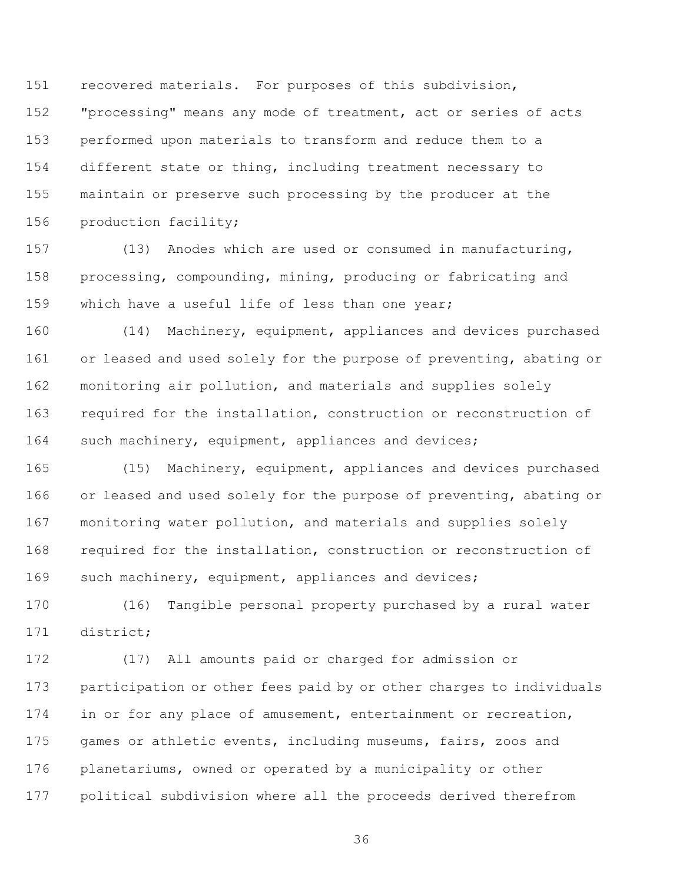recovered materials. For purposes of this subdivision, "processing" means any mode of treatment, act or series of acts performed upon materials to transform and reduce them to a different state or thing, including treatment necessary to maintain or preserve such processing by the producer at the production facility;

 (13) Anodes which are used or consumed in manufacturing, processing, compounding, mining, producing or fabricating and which have a useful life of less than one year;

 (14) Machinery, equipment, appliances and devices purchased 161 or leased and used solely for the purpose of preventing, abating or monitoring air pollution, and materials and supplies solely required for the installation, construction or reconstruction of such machinery, equipment, appliances and devices;

 (15) Machinery, equipment, appliances and devices purchased 166 or leased and used solely for the purpose of preventing, abating or monitoring water pollution, and materials and supplies solely required for the installation, construction or reconstruction of such machinery, equipment, appliances and devices;

 (16) Tangible personal property purchased by a rural water district;

 (17) All amounts paid or charged for admission or participation or other fees paid by or other charges to individuals in or for any place of amusement, entertainment or recreation, games or athletic events, including museums, fairs, zoos and planetariums, owned or operated by a municipality or other political subdivision where all the proceeds derived therefrom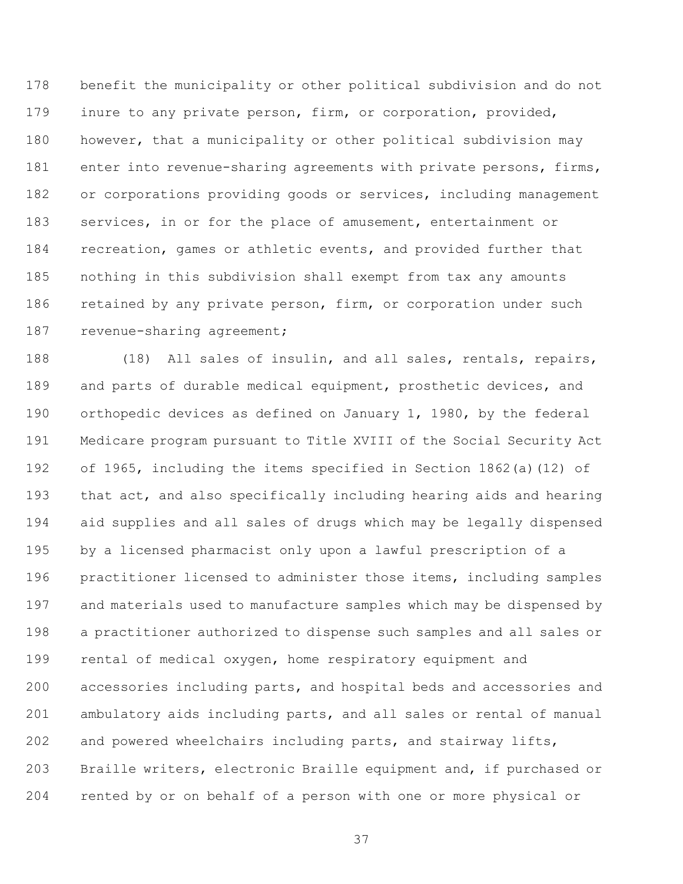benefit the municipality or other political subdivision and do not inure to any private person, firm, or corporation, provided, however, that a municipality or other political subdivision may enter into revenue-sharing agreements with private persons, firms, 182 or corporations providing goods or services, including management services, in or for the place of amusement, entertainment or recreation, games or athletic events, and provided further that nothing in this subdivision shall exempt from tax any amounts 186 retained by any private person, firm, or corporation under such 187 revenue-sharing agreement;

 (18) All sales of insulin, and all sales, rentals, repairs, and parts of durable medical equipment, prosthetic devices, and orthopedic devices as defined on January 1, 1980, by the federal Medicare program pursuant to Title XVIII of the Social Security Act of 1965, including the items specified in Section 1862(a)(12) of that act, and also specifically including hearing aids and hearing aid supplies and all sales of drugs which may be legally dispensed by a licensed pharmacist only upon a lawful prescription of a practitioner licensed to administer those items, including samples and materials used to manufacture samples which may be dispensed by a practitioner authorized to dispense such samples and all sales or rental of medical oxygen, home respiratory equipment and accessories including parts, and hospital beds and accessories and

 ambulatory aids including parts, and all sales or rental of manual and powered wheelchairs including parts, and stairway lifts, Braille writers, electronic Braille equipment and, if purchased or rented by or on behalf of a person with one or more physical or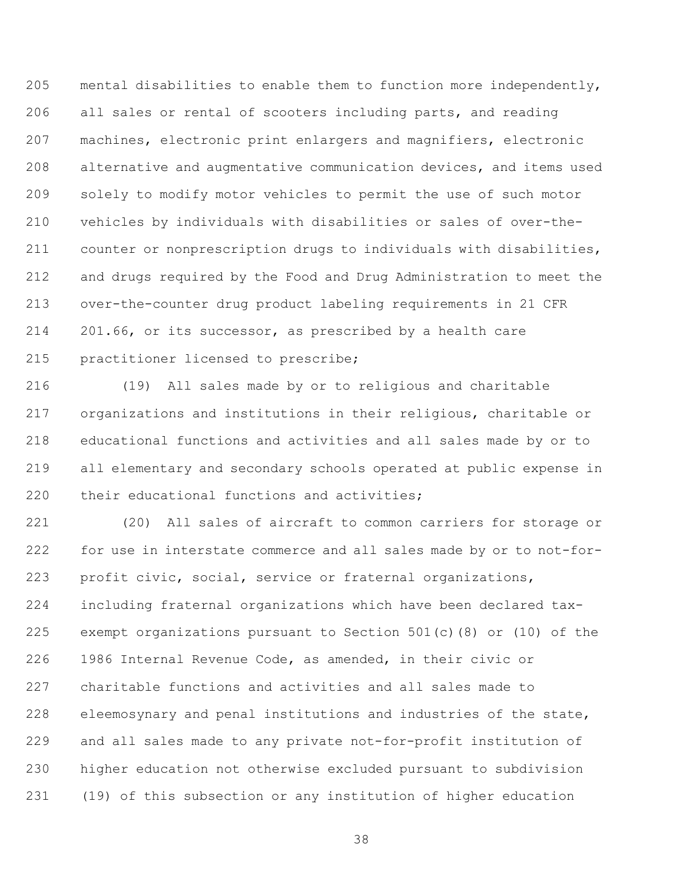mental disabilities to enable them to function more independently, all sales or rental of scooters including parts, and reading machines, electronic print enlargers and magnifiers, electronic alternative and augmentative communication devices, and items used solely to modify motor vehicles to permit the use of such motor vehicles by individuals with disabilities or sales of over-the- counter or nonprescription drugs to individuals with disabilities, and drugs required by the Food and Drug Administration to meet the over-the-counter drug product labeling requirements in 21 CFR 201.66, or its successor, as prescribed by a health care practitioner licensed to prescribe;

 (19) All sales made by or to religious and charitable organizations and institutions in their religious, charitable or educational functions and activities and all sales made by or to all elementary and secondary schools operated at public expense in their educational functions and activities;

 (20) All sales of aircraft to common carriers for storage or for use in interstate commerce and all sales made by or to not-for- profit civic, social, service or fraternal organizations, including fraternal organizations which have been declared tax- exempt organizations pursuant to Section 501(c)(8) or (10) of the 1986 Internal Revenue Code, as amended, in their civic or charitable functions and activities and all sales made to eleemosynary and penal institutions and industries of the state, and all sales made to any private not-for-profit institution of higher education not otherwise excluded pursuant to subdivision (19) of this subsection or any institution of higher education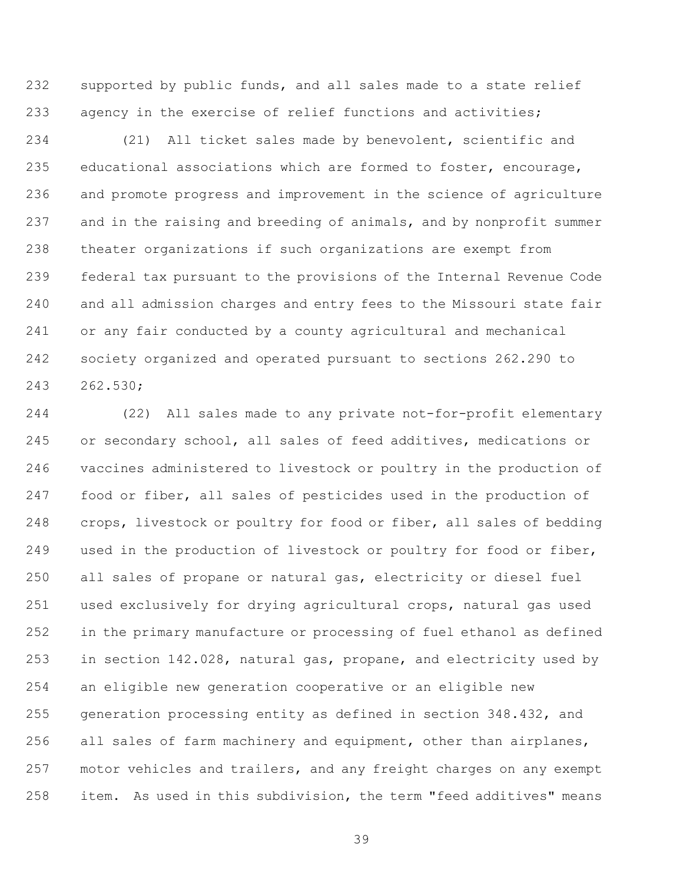supported by public funds, and all sales made to a state relief agency in the exercise of relief functions and activities;

 (21) All ticket sales made by benevolent, scientific and educational associations which are formed to foster, encourage, and promote progress and improvement in the science of agriculture and in the raising and breeding of animals, and by nonprofit summer theater organizations if such organizations are exempt from federal tax pursuant to the provisions of the Internal Revenue Code and all admission charges and entry fees to the Missouri state fair or any fair conducted by a county agricultural and mechanical society organized and operated pursuant to sections 262.290 to 262.530;

 (22) All sales made to any private not-for-profit elementary or secondary school, all sales of feed additives, medications or vaccines administered to livestock or poultry in the production of food or fiber, all sales of pesticides used in the production of crops, livestock or poultry for food or fiber, all sales of bedding used in the production of livestock or poultry for food or fiber, all sales of propane or natural gas, electricity or diesel fuel used exclusively for drying agricultural crops, natural gas used in the primary manufacture or processing of fuel ethanol as defined in section 142.028, natural gas, propane, and electricity used by an eligible new generation cooperative or an eligible new generation processing entity as defined in section 348.432, and all sales of farm machinery and equipment, other than airplanes, motor vehicles and trailers, and any freight charges on any exempt item. As used in this subdivision, the term "feed additives" means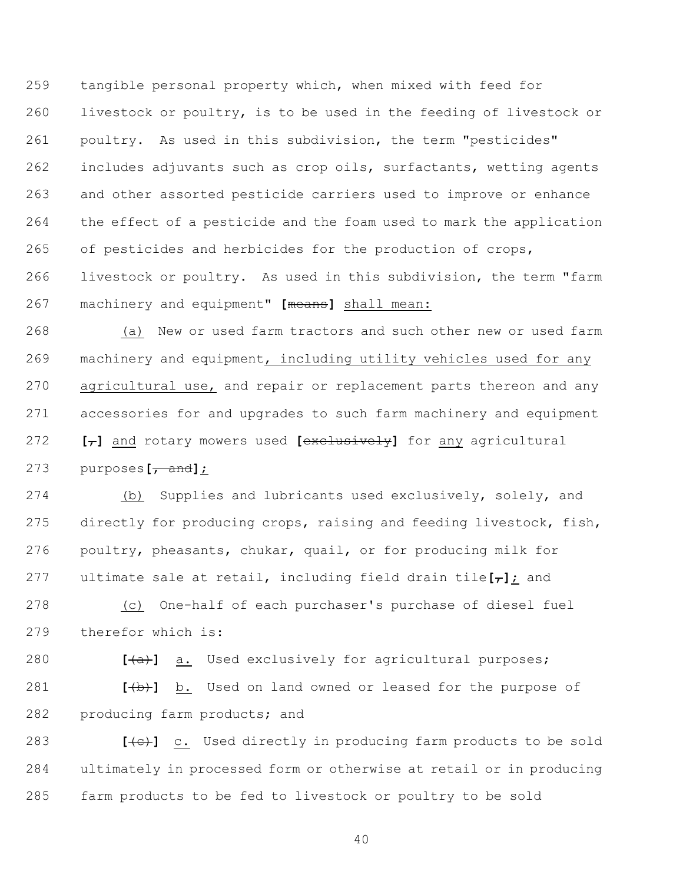tangible personal property which, when mixed with feed for livestock or poultry, is to be used in the feeding of livestock or poultry. As used in this subdivision, the term "pesticides" includes adjuvants such as crop oils, surfactants, wetting agents and other assorted pesticide carriers used to improve or enhance the effect of a pesticide and the foam used to mark the application of pesticides and herbicides for the production of crops, livestock or poultry. As used in this subdivision, the term "farm machinery and equipment" **[**means**]** shall mean:

 (a) New or used farm tractors and such other new or used farm machinery and equipment, including utility vehicles used for any 270 agricultural use, and repair or replacement parts thereon and any accessories for and upgrades to such farm machinery and equipment **[**,**]** and rotary mowers used **[**exclusively**]** for any agricultural purposes**[**, and**]**;

 (b) Supplies and lubricants used exclusively, solely, and directly for producing crops, raising and feeding livestock, fish, poultry, pheasants, chukar, quail, or for producing milk for 277 ultimate sale at retail, including field drain tile $[\tau]$ ; and

 (c) One-half of each purchaser's purchase of diesel fuel therefor which is:

**[(a)** a. Used exclusively for agricultural purposes;

 **[**(b)**]** b. Used on land owned or leased for the purpose of producing farm products; and

**[(c)]** c. Used directly in producing farm products to be sold ultimately in processed form or otherwise at retail or in producing farm products to be fed to livestock or poultry to be sold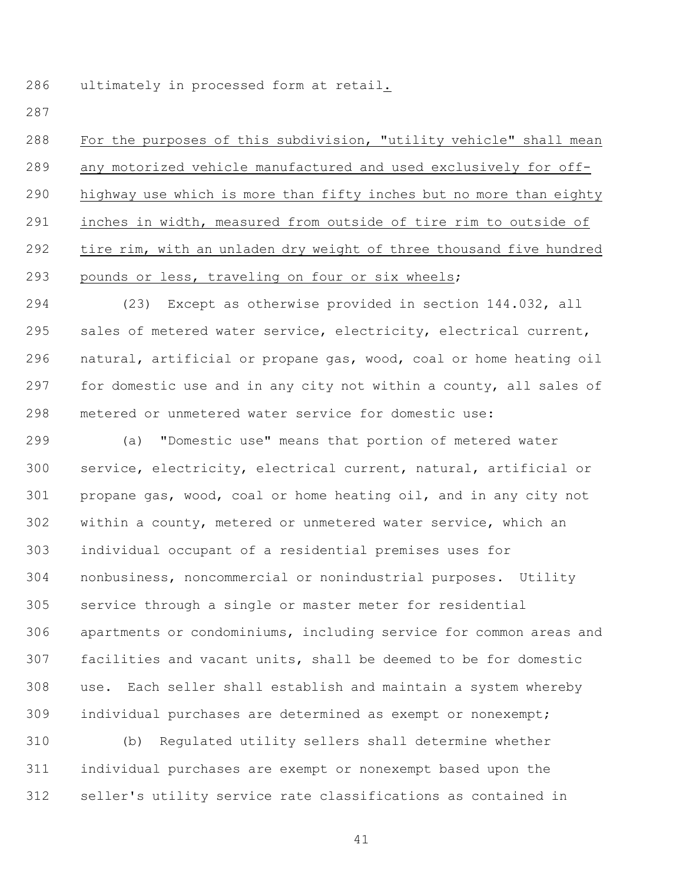ultimately in processed form at retail.

 For the purposes of this subdivision, "utility vehicle" shall mean any motorized vehicle manufactured and used exclusively for off- highway use which is more than fifty inches but no more than eighty inches in width, measured from outside of tire rim to outside of tire rim, with an unladen dry weight of three thousand five hundred pounds or less, traveling on four or six wheels;

 (23) Except as otherwise provided in section 144.032, all sales of metered water service, electricity, electrical current, natural, artificial or propane gas, wood, coal or home heating oil for domestic use and in any city not within a county, all sales of metered or unmetered water service for domestic use:

 (a) "Domestic use" means that portion of metered water service, electricity, electrical current, natural, artificial or propane gas, wood, coal or home heating oil, and in any city not within a county, metered or unmetered water service, which an individual occupant of a residential premises uses for nonbusiness, noncommercial or nonindustrial purposes. Utility service through a single or master meter for residential apartments or condominiums, including service for common areas and facilities and vacant units, shall be deemed to be for domestic use. Each seller shall establish and maintain a system whereby individual purchases are determined as exempt or nonexempt;

 (b) Regulated utility sellers shall determine whether individual purchases are exempt or nonexempt based upon the seller's utility service rate classifications as contained in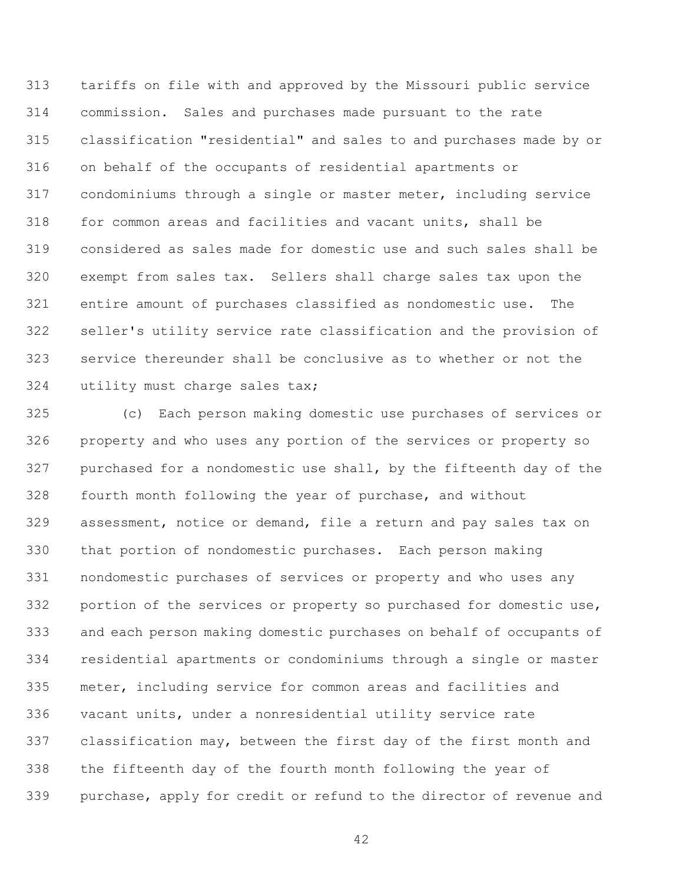tariffs on file with and approved by the Missouri public service commission. Sales and purchases made pursuant to the rate classification "residential" and sales to and purchases made by or on behalf of the occupants of residential apartments or condominiums through a single or master meter, including service for common areas and facilities and vacant units, shall be considered as sales made for domestic use and such sales shall be exempt from sales tax. Sellers shall charge sales tax upon the entire amount of purchases classified as nondomestic use. The seller's utility service rate classification and the provision of service thereunder shall be conclusive as to whether or not the utility must charge sales tax;

 (c) Each person making domestic use purchases of services or property and who uses any portion of the services or property so purchased for a nondomestic use shall, by the fifteenth day of the fourth month following the year of purchase, and without assessment, notice or demand, file a return and pay sales tax on that portion of nondomestic purchases. Each person making nondomestic purchases of services or property and who uses any portion of the services or property so purchased for domestic use, and each person making domestic purchases on behalf of occupants of residential apartments or condominiums through a single or master meter, including service for common areas and facilities and vacant units, under a nonresidential utility service rate classification may, between the first day of the first month and the fifteenth day of the fourth month following the year of purchase, apply for credit or refund to the director of revenue and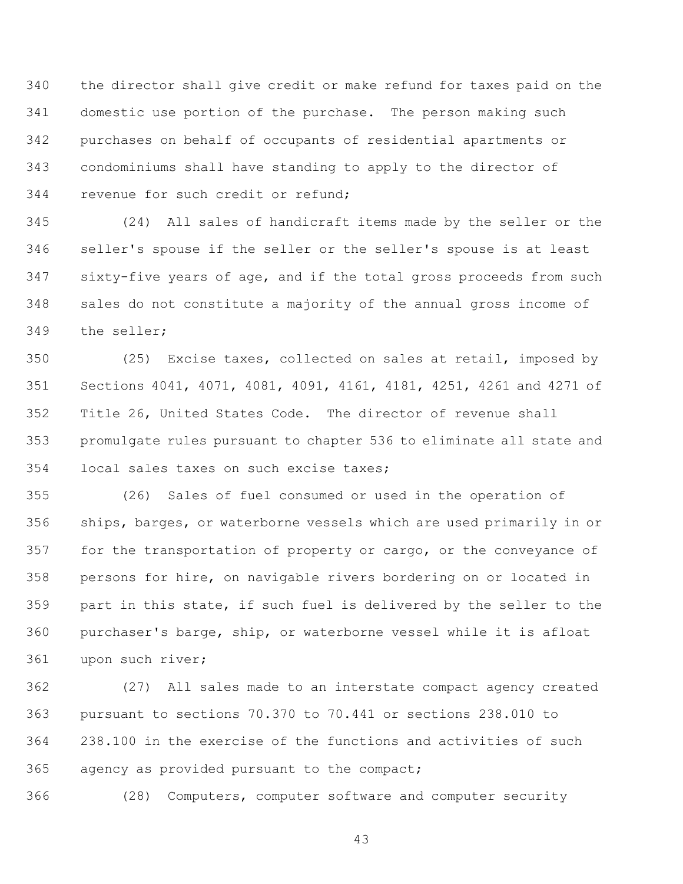the director shall give credit or make refund for taxes paid on the domestic use portion of the purchase. The person making such purchases on behalf of occupants of residential apartments or condominiums shall have standing to apply to the director of revenue for such credit or refund;

 (24) All sales of handicraft items made by the seller or the seller's spouse if the seller or the seller's spouse is at least sixty-five years of age, and if the total gross proceeds from such sales do not constitute a majority of the annual gross income of the seller;

 (25) Excise taxes, collected on sales at retail, imposed by Sections 4041, 4071, 4081, 4091, 4161, 4181, 4251, 4261 and 4271 of Title 26, United States Code. The director of revenue shall promulgate rules pursuant to chapter 536 to eliminate all state and local sales taxes on such excise taxes;

 (26) Sales of fuel consumed or used in the operation of ships, barges, or waterborne vessels which are used primarily in or for the transportation of property or cargo, or the conveyance of persons for hire, on navigable rivers bordering on or located in part in this state, if such fuel is delivered by the seller to the purchaser's barge, ship, or waterborne vessel while it is afloat upon such river;

 (27) All sales made to an interstate compact agency created pursuant to sections 70.370 to 70.441 or sections 238.010 to 238.100 in the exercise of the functions and activities of such agency as provided pursuant to the compact;

(28) Computers, computer software and computer security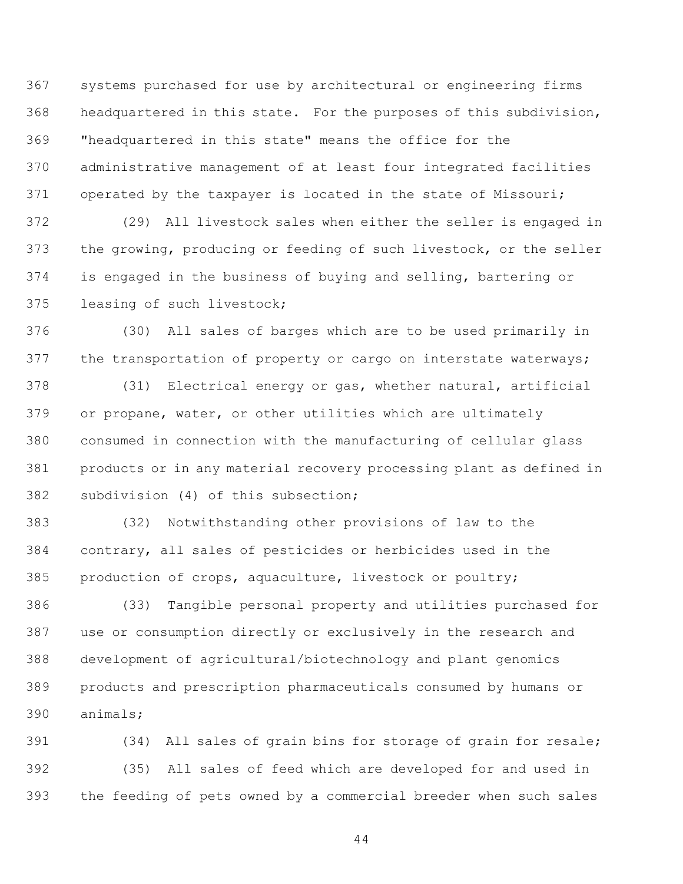systems purchased for use by architectural or engineering firms headquartered in this state. For the purposes of this subdivision, "headquartered in this state" means the office for the administrative management of at least four integrated facilities operated by the taxpayer is located in the state of Missouri;

 (29) All livestock sales when either the seller is engaged in the growing, producing or feeding of such livestock, or the seller is engaged in the business of buying and selling, bartering or leasing of such livestock;

 (30) All sales of barges which are to be used primarily in 377 the transportation of property or cargo on interstate waterways;

 (31) Electrical energy or gas, whether natural, artificial or propane, water, or other utilities which are ultimately consumed in connection with the manufacturing of cellular glass products or in any material recovery processing plant as defined in subdivision (4) of this subsection;

 (32) Notwithstanding other provisions of law to the contrary, all sales of pesticides or herbicides used in the production of crops, aquaculture, livestock or poultry;

 (33) Tangible personal property and utilities purchased for use or consumption directly or exclusively in the research and development of agricultural/biotechnology and plant genomics products and prescription pharmaceuticals consumed by humans or animals;

 (34) All sales of grain bins for storage of grain for resale; (35) All sales of feed which are developed for and used in the feeding of pets owned by a commercial breeder when such sales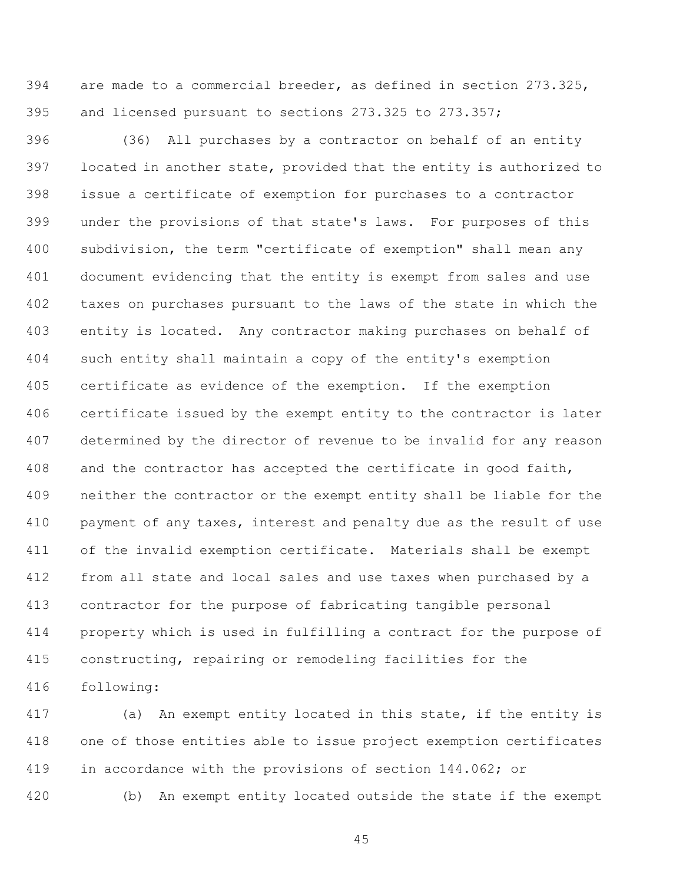are made to a commercial breeder, as defined in section 273.325, and licensed pursuant to sections 273.325 to 273.357;

 (36) All purchases by a contractor on behalf of an entity located in another state, provided that the entity is authorized to issue a certificate of exemption for purchases to a contractor under the provisions of that state's laws. For purposes of this subdivision, the term "certificate of exemption" shall mean any document evidencing that the entity is exempt from sales and use taxes on purchases pursuant to the laws of the state in which the entity is located. Any contractor making purchases on behalf of such entity shall maintain a copy of the entity's exemption certificate as evidence of the exemption. If the exemption certificate issued by the exempt entity to the contractor is later determined by the director of revenue to be invalid for any reason and the contractor has accepted the certificate in good faith, neither the contractor or the exempt entity shall be liable for the payment of any taxes, interest and penalty due as the result of use of the invalid exemption certificate. Materials shall be exempt from all state and local sales and use taxes when purchased by a contractor for the purpose of fabricating tangible personal property which is used in fulfilling a contract for the purpose of constructing, repairing or remodeling facilities for the following:

 (a) An exempt entity located in this state, if the entity is one of those entities able to issue project exemption certificates in accordance with the provisions of section 144.062; or

(b) An exempt entity located outside the state if the exempt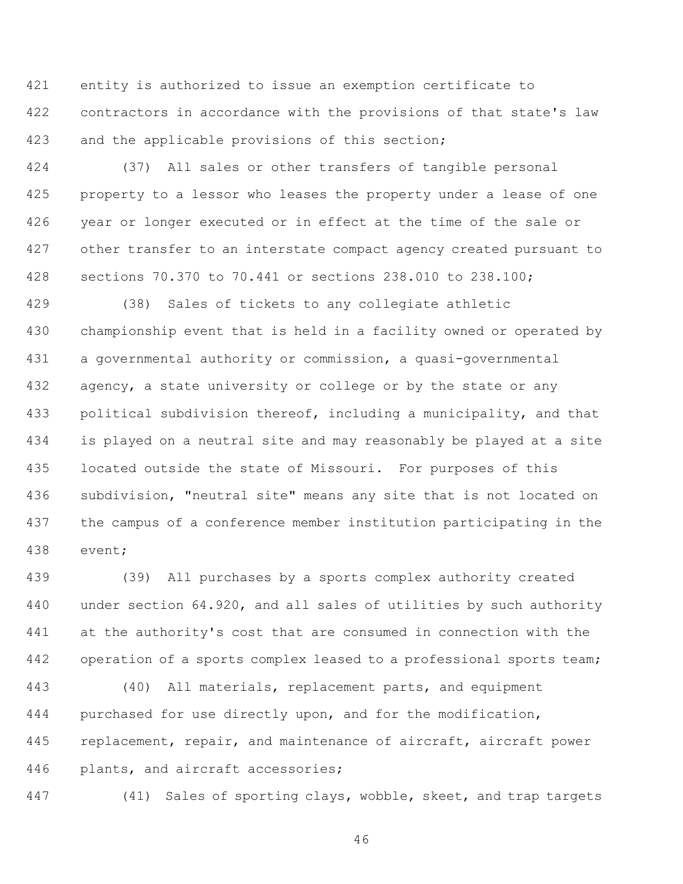entity is authorized to issue an exemption certificate to contractors in accordance with the provisions of that state's law and the applicable provisions of this section;

 (37) All sales or other transfers of tangible personal property to a lessor who leases the property under a lease of one year or longer executed or in effect at the time of the sale or other transfer to an interstate compact agency created pursuant to sections 70.370 to 70.441 or sections 238.010 to 238.100;

 (38) Sales of tickets to any collegiate athletic championship event that is held in a facility owned or operated by a governmental authority or commission, a quasi-governmental 432 agency, a state university or college or by the state or any political subdivision thereof, including a municipality, and that is played on a neutral site and may reasonably be played at a site located outside the state of Missouri. For purposes of this subdivision, "neutral site" means any site that is not located on the campus of a conference member institution participating in the event;

 (39) All purchases by a sports complex authority created under section 64.920, and all sales of utilities by such authority at the authority's cost that are consumed in connection with the operation of a sports complex leased to a professional sports team;

 (40) All materials, replacement parts, and equipment purchased for use directly upon, and for the modification, 445 replacement, repair, and maintenance of aircraft, aircraft power plants, and aircraft accessories;

(41) Sales of sporting clays, wobble, skeet, and trap targets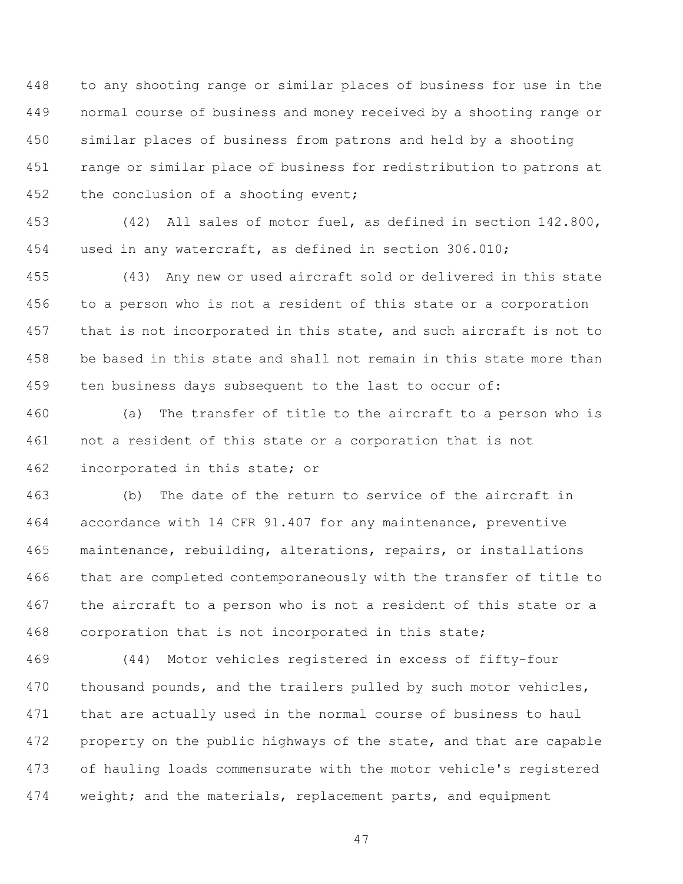to any shooting range or similar places of business for use in the normal course of business and money received by a shooting range or similar places of business from patrons and held by a shooting range or similar place of business for redistribution to patrons at the conclusion of a shooting event;

 (42) All sales of motor fuel, as defined in section 142.800, used in any watercraft, as defined in section 306.010;

 (43) Any new or used aircraft sold or delivered in this state to a person who is not a resident of this state or a corporation that is not incorporated in this state, and such aircraft is not to be based in this state and shall not remain in this state more than ten business days subsequent to the last to occur of:

 (a) The transfer of title to the aircraft to a person who is not a resident of this state or a corporation that is not incorporated in this state; or

 (b) The date of the return to service of the aircraft in accordance with 14 CFR 91.407 for any maintenance, preventive maintenance, rebuilding, alterations, repairs, or installations that are completed contemporaneously with the transfer of title to the aircraft to a person who is not a resident of this state or a corporation that is not incorporated in this state;

 (44) Motor vehicles registered in excess of fifty-four 470 thousand pounds, and the trailers pulled by such motor vehicles, that are actually used in the normal course of business to haul property on the public highways of the state, and that are capable of hauling loads commensurate with the motor vehicle's registered weight; and the materials, replacement parts, and equipment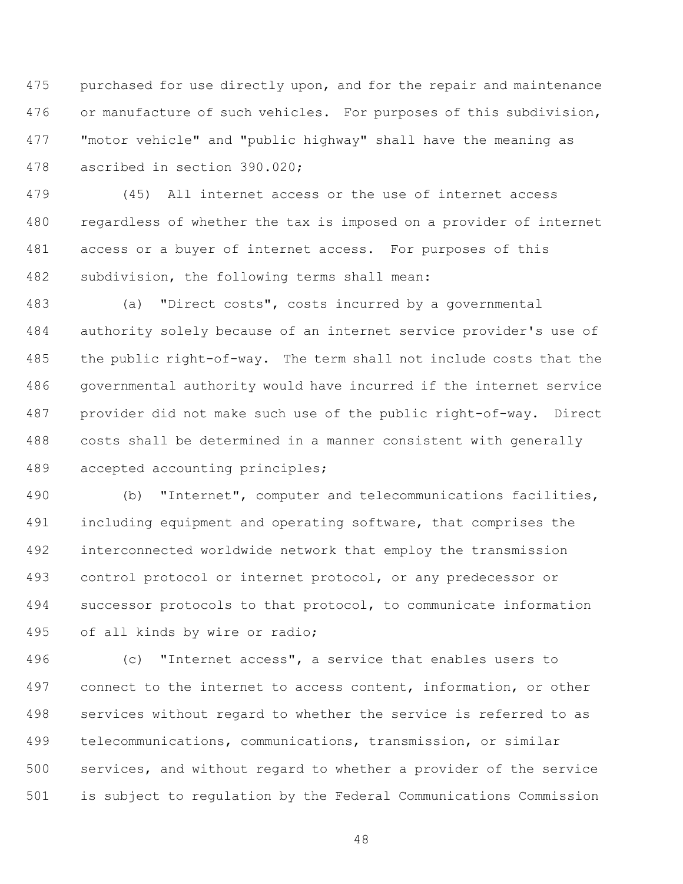purchased for use directly upon, and for the repair and maintenance or manufacture of such vehicles. For purposes of this subdivision, "motor vehicle" and "public highway" shall have the meaning as ascribed in section 390.020;

 (45) All internet access or the use of internet access regardless of whether the tax is imposed on a provider of internet access or a buyer of internet access. For purposes of this subdivision, the following terms shall mean:

 (a) "Direct costs", costs incurred by a governmental authority solely because of an internet service provider's use of the public right-of-way. The term shall not include costs that the governmental authority would have incurred if the internet service provider did not make such use of the public right-of-way. Direct costs shall be determined in a manner consistent with generally accepted accounting principles;

 (b) "Internet", computer and telecommunications facilities, including equipment and operating software, that comprises the interconnected worldwide network that employ the transmission control protocol or internet protocol, or any predecessor or successor protocols to that protocol, to communicate information of all kinds by wire or radio;

 (c) "Internet access", a service that enables users to connect to the internet to access content, information, or other services without regard to whether the service is referred to as telecommunications, communications, transmission, or similar services, and without regard to whether a provider of the service is subject to regulation by the Federal Communications Commission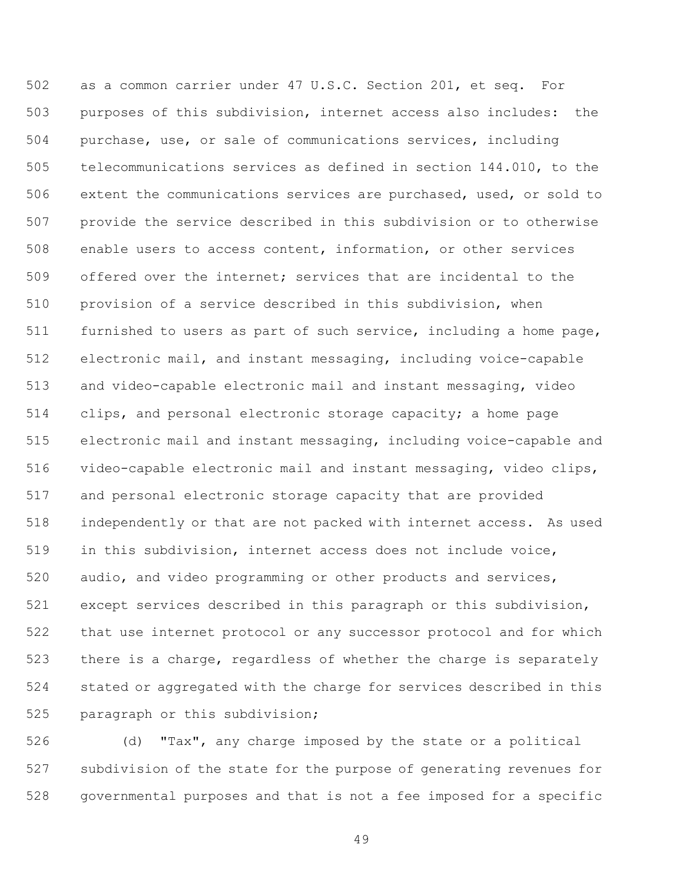as a common carrier under 47 U.S.C. Section 201, et seq. For purposes of this subdivision, internet access also includes: the purchase, use, or sale of communications services, including telecommunications services as defined in section 144.010, to the extent the communications services are purchased, used, or sold to provide the service described in this subdivision or to otherwise enable users to access content, information, or other services offered over the internet; services that are incidental to the provision of a service described in this subdivision, when furnished to users as part of such service, including a home page, electronic mail, and instant messaging, including voice-capable and video-capable electronic mail and instant messaging, video clips, and personal electronic storage capacity; a home page electronic mail and instant messaging, including voice-capable and video-capable electronic mail and instant messaging, video clips, and personal electronic storage capacity that are provided independently or that are not packed with internet access. As used in this subdivision, internet access does not include voice, audio, and video programming or other products and services, except services described in this paragraph or this subdivision, that use internet protocol or any successor protocol and for which there is a charge, regardless of whether the charge is separately stated or aggregated with the charge for services described in this paragraph or this subdivision;

 (d) "Tax", any charge imposed by the state or a political subdivision of the state for the purpose of generating revenues for governmental purposes and that is not a fee imposed for a specific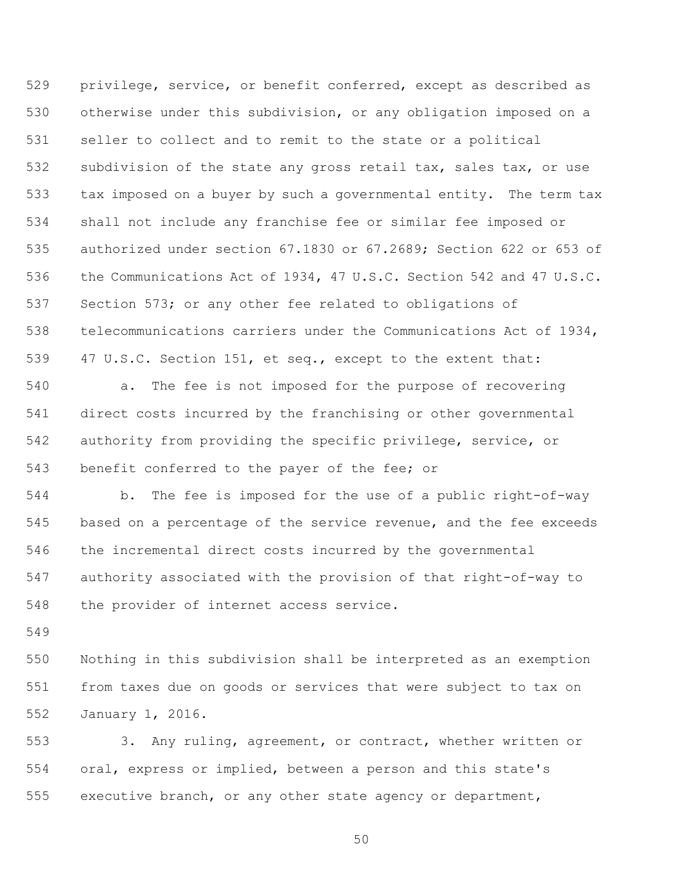privilege, service, or benefit conferred, except as described as otherwise under this subdivision, or any obligation imposed on a seller to collect and to remit to the state or a political subdivision of the state any gross retail tax, sales tax, or use tax imposed on a buyer by such a governmental entity. The term tax shall not include any franchise fee or similar fee imposed or authorized under section 67.1830 or 67.2689; Section 622 or 653 of the Communications Act of 1934, 47 U.S.C. Section 542 and 47 U.S.C. Section 573; or any other fee related to obligations of telecommunications carriers under the Communications Act of 1934, 47 U.S.C. Section 151, et seq., except to the extent that:

 a. The fee is not imposed for the purpose of recovering direct costs incurred by the franchising or other governmental authority from providing the specific privilege, service, or benefit conferred to the payer of the fee; or

 b. The fee is imposed for the use of a public right-of-way based on a percentage of the service revenue, and the fee exceeds the incremental direct costs incurred by the governmental authority associated with the provision of that right-of-way to the provider of internet access service.

 Nothing in this subdivision shall be interpreted as an exemption from taxes due on goods or services that were subject to tax on January 1, 2016.

 3. Any ruling, agreement, or contract, whether written or oral, express or implied, between a person and this state's executive branch, or any other state agency or department,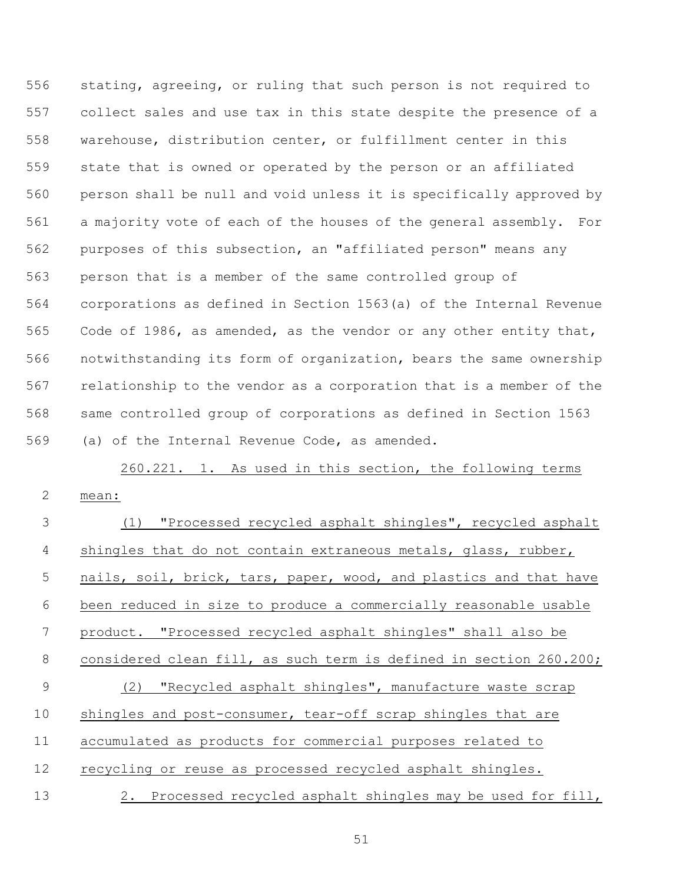stating, agreeing, or ruling that such person is not required to collect sales and use tax in this state despite the presence of a warehouse, distribution center, or fulfillment center in this state that is owned or operated by the person or an affiliated person shall be null and void unless it is specifically approved by a majority vote of each of the houses of the general assembly. For purposes of this subsection, an "affiliated person" means any person that is a member of the same controlled group of corporations as defined in Section 1563(a) of the Internal Revenue Code of 1986, as amended, as the vendor or any other entity that, notwithstanding its form of organization, bears the same ownership relationship to the vendor as a corporation that is a member of the same controlled group of corporations as defined in Section 1563 (a) of the Internal Revenue Code, as amended.

260.221. 1. As used in this section, the following terms mean: (1) "Processed recycled asphalt shingles", recycled asphalt

| 4  | shingles that do not contain extraneous metals, glass, rubber,     |
|----|--------------------------------------------------------------------|
| 5  | nails, soil, brick, tars, paper, wood, and plastics and that have  |
| 6  | been reduced in size to produce a commercially reasonable usable   |
| 7  | product. "Processed recycled asphalt shingles" shall also be       |
| 8  | considered clean fill, as such term is defined in section 260.200; |
| 9  | (2) "Recycled asphalt shingles", manufacture waste scrap           |
| 10 | shingles and post-consumer, tear-off scrap shingles that are       |
| 11 | accumulated as products for commercial purposes related to         |
| 12 | recycling or reuse as processed recycled asphalt shingles.         |
| 13 | 2. Processed recycled asphalt shingles may be used for fill,       |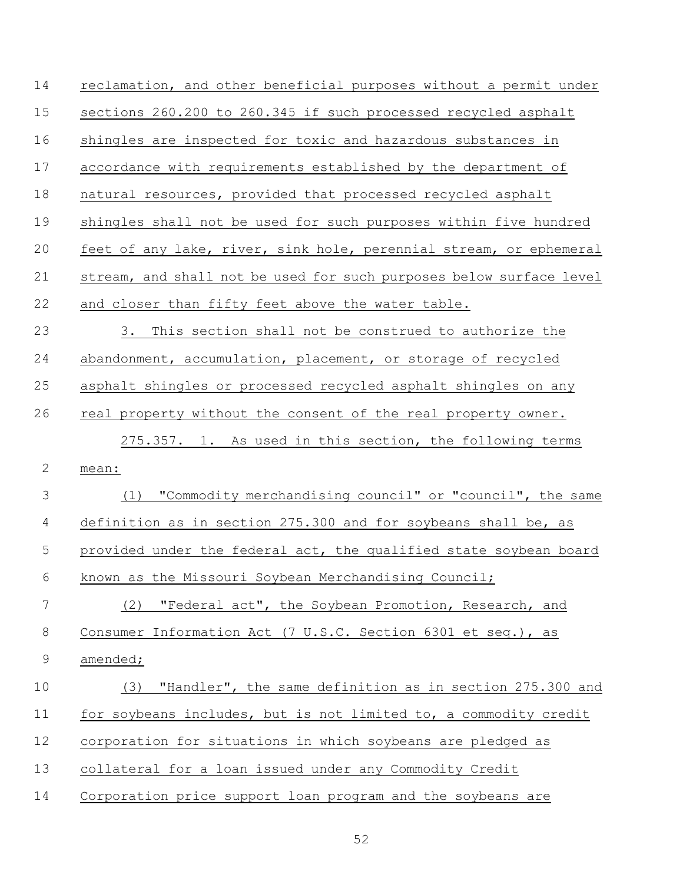| 14           | reclamation, and other beneficial purposes without a permit under   |
|--------------|---------------------------------------------------------------------|
| 15           | sections 260.200 to 260.345 if such processed recycled asphalt      |
| 16           | shingles are inspected for toxic and hazardous substances in        |
| 17           | accordance with requirements established by the department of       |
| 18           | natural resources, provided that processed recycled asphalt         |
| 19           | shingles shall not be used for such purposes within five hundred    |
| 20           | feet of any lake, river, sink hole, perennial stream, or ephemeral  |
| 21           | stream, and shall not be used for such purposes below surface level |
| 22           | and closer than fifty feet above the water table.                   |
| 23           | 3.<br>This section shall not be construed to authorize the          |
| 24           | abandonment, accumulation, placement, or storage of recycled        |
| 25           | asphalt shingles or processed recycled asphalt shingles on any      |
| 26           | real property without the consent of the real property owner.       |
|              | 275.357. 1. As used in this section, the following terms            |
| $\mathbf{2}$ | mean:                                                               |
| 3            | "Commodity merchandising council" or "council", the same<br>(1)     |
| 4            | definition as in section 275.300 and for soybeans shall be, as      |
| 5            | provided under the federal act, the qualified state soybean board   |
| 6            | known as the Missouri Soybean Merchandising Council;                |
| 7            | "Federal act", the Soybean Promotion, Research, and<br>(2)          |
| 8            | Consumer Information Act (7 U.S.C. Section 6301 et seq.), as        |
| $\mathsf 9$  | amended;                                                            |
| 10           | "Handler", the same definition as in section 275.300 and<br>(3)     |
| 11           | for soybeans includes, but is not limited to, a commodity credit    |
| 12           | corporation for situations in which soybeans are pledged as         |
| 13           | collateral for a loan issued under any Commodity Credit             |
| 14           | Corporation price support loan program and the soybeans are         |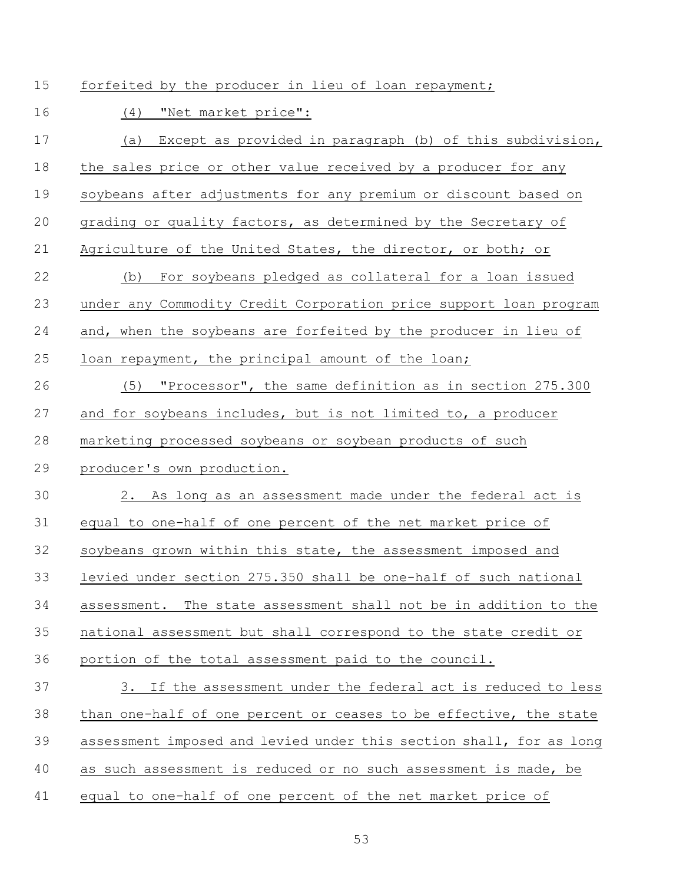15 forfeited by the producer in lieu of loan repayment;

(4) "Net market price":

| 17 | Except as provided in paragraph (b) of this subdivision,<br>(a)     |
|----|---------------------------------------------------------------------|
| 18 | the sales price or other value received by a producer for any       |
| 19 | soybeans after adjustments for any premium or discount based on     |
| 20 | grading or quality factors, as determined by the Secretary of       |
| 21 | Agriculture of the United States, the director, or both; or         |
| 22 | For soybeans pledged as collateral for a loan issued<br>(b)         |
| 23 | under any Commodity Credit Corporation price support loan program   |
| 24 | and, when the soybeans are forfeited by the producer in lieu of     |
| 25 | loan repayment, the principal amount of the loan;                   |
| 26 | "Processor", the same definition as in section 275.300<br>(5)       |
| 27 | and for soybeans includes, but is not limited to, a producer        |
| 28 | marketing processed soybeans or soybean products of such            |
| 29 | producer's own production.                                          |
| 30 | 2. As long as an assessment made under the federal act is           |
| 31 | equal to one-half of one percent of the net market price of         |
| 32 | soybeans grown within this state, the assessment imposed and        |
| 33 | levied under section 275.350 shall be one-half of such national     |
| 34 | assessment. The state assessment shall not be in addition to the    |
| 35 | national assessment but shall correspond to the state credit or     |
| 36 | portion of the total assessment paid to the council.                |
| 37 | 3. If the assessment under the federal act is reduced to less       |
| 38 | than one-half of one percent or ceases to be effective, the state   |
| 39 | assessment imposed and levied under this section shall, for as long |
| 40 | as such assessment is reduced or no such assessment is made, be     |
| 41 | equal to one-half of one percent of the net market price of         |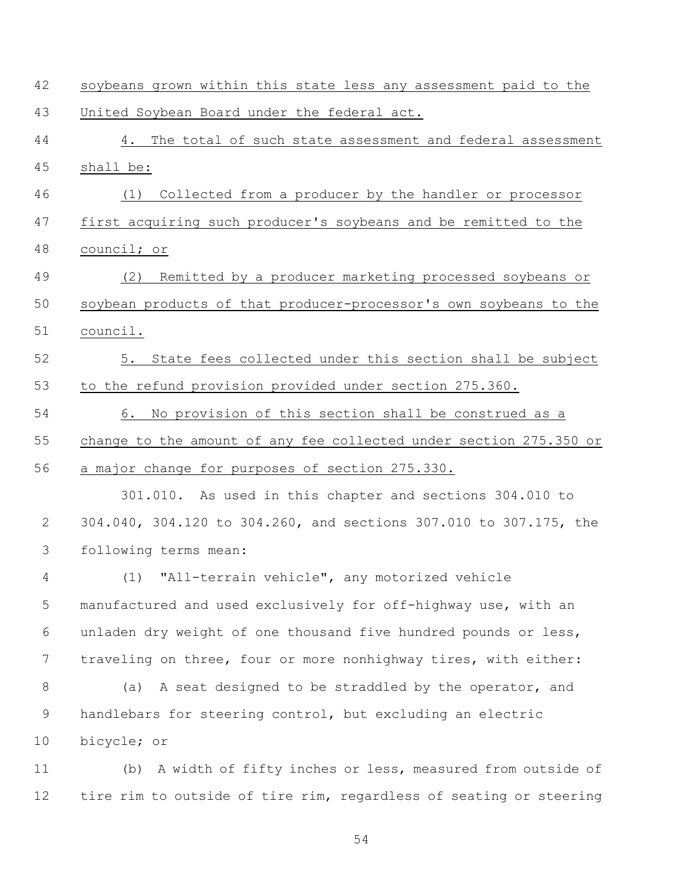| 42             | soybeans grown within this state less any assessment paid to the   |
|----------------|--------------------------------------------------------------------|
| 43             | United Soybean Board under the federal act.                        |
| 44             | 4. The total of such state assessment and federal assessment       |
| 45             | shall be:                                                          |
| 46             | Collected from a producer by the handler or processor<br>(1)       |
| 47             | first acquiring such producer's soybeans and be remitted to the    |
| 48             | council; or                                                        |
| 49             | (2) Remitted by a producer marketing processed soybeans or         |
| 50             | soybean products of that producer-processor's own soybeans to the  |
| 51             | council.                                                           |
| 52             | 5. State fees collected under this section shall be subject        |
| 53             | to the refund provision provided under section 275.360.            |
| 54             | 6. No provision of this section shall be construed as a            |
| 55             | change to the amount of any fee collected under section 275.350 or |
| 56             | a major change for purposes of section 275.330.                    |
|                | 301.010. As used in this chapter and sections 304.010 to           |
| $\mathbf{2}$   | 304.040, 304.120 to 304.260, and sections 307.010 to 307.175, the  |
| $\mathfrak{Z}$ | following terms mean:                                              |
| 4              | (1) "All-terrain vehicle", any motorized vehicle                   |
| 5              | manufactured and used exclusively for off-highway use, with an     |
| 6              | unladen dry weight of one thousand five hundred pounds or less,    |
| 7              | traveling on three, four or more nonhighway tires, with either:    |
| 8              | A seat designed to be straddled by the operator, and<br>(a)        |
| $\mathsf 9$    | handlebars for steering control, but excluding an electric         |
| 10             | bicycle; or                                                        |
| 11             | (b) A width of fifty inches or less, measured from outside of      |
| 12             | tire rim to outside of tire rim, regardless of seating or steering |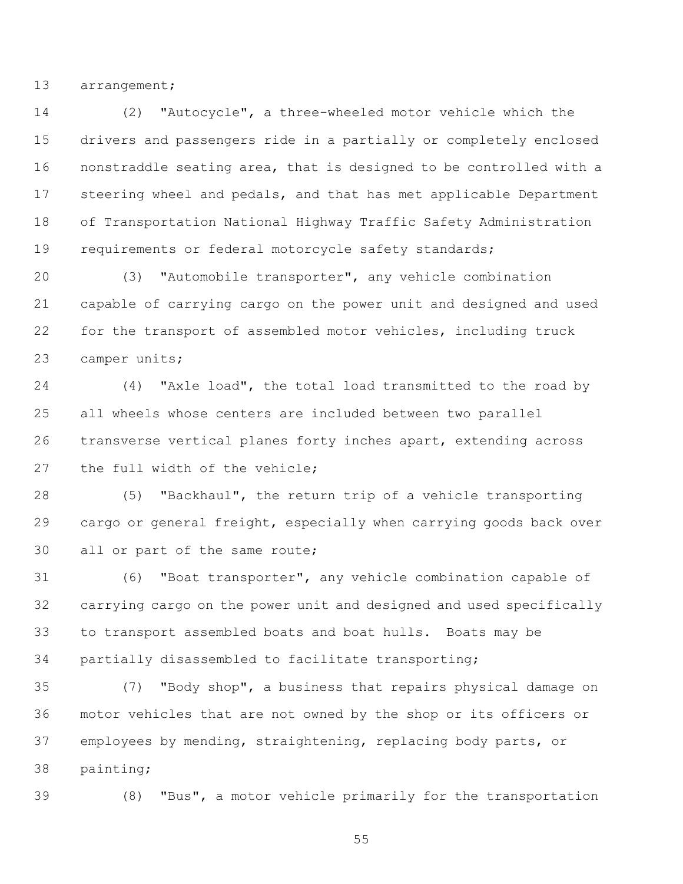arrangement;

 (2) "Autocycle", a three-wheeled motor vehicle which the drivers and passengers ride in a partially or completely enclosed nonstraddle seating area, that is designed to be controlled with a steering wheel and pedals, and that has met applicable Department of Transportation National Highway Traffic Safety Administration requirements or federal motorcycle safety standards;

 (3) "Automobile transporter", any vehicle combination capable of carrying cargo on the power unit and designed and used for the transport of assembled motor vehicles, including truck camper units;

 (4) "Axle load", the total load transmitted to the road by all wheels whose centers are included between two parallel transverse vertical planes forty inches apart, extending across the full width of the vehicle;

 (5) "Backhaul", the return trip of a vehicle transporting cargo or general freight, especially when carrying goods back over all or part of the same route;

 (6) "Boat transporter", any vehicle combination capable of carrying cargo on the power unit and designed and used specifically to transport assembled boats and boat hulls. Boats may be partially disassembled to facilitate transporting;

 (7) "Body shop", a business that repairs physical damage on motor vehicles that are not owned by the shop or its officers or employees by mending, straightening, replacing body parts, or painting;

(8) "Bus", a motor vehicle primarily for the transportation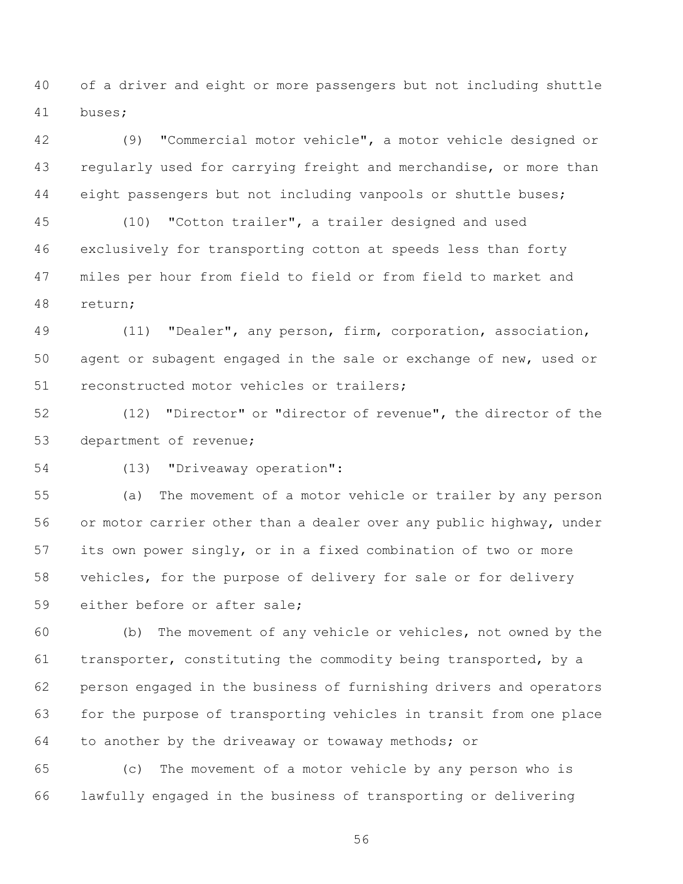of a driver and eight or more passengers but not including shuttle buses;

 (9) "Commercial motor vehicle", a motor vehicle designed or regularly used for carrying freight and merchandise, or more than eight passengers but not including vanpools or shuttle buses;

 (10) "Cotton trailer", a trailer designed and used exclusively for transporting cotton at speeds less than forty miles per hour from field to field or from field to market and return;

 (11) "Dealer", any person, firm, corporation, association, agent or subagent engaged in the sale or exchange of new, used or reconstructed motor vehicles or trailers;

 (12) "Director" or "director of revenue", the director of the department of revenue;

(13) "Driveaway operation":

 (a) The movement of a motor vehicle or trailer by any person or motor carrier other than a dealer over any public highway, under its own power singly, or in a fixed combination of two or more vehicles, for the purpose of delivery for sale or for delivery either before or after sale;

 (b) The movement of any vehicle or vehicles, not owned by the transporter, constituting the commodity being transported, by a person engaged in the business of furnishing drivers and operators for the purpose of transporting vehicles in transit from one place to another by the driveaway or towaway methods; or

 (c) The movement of a motor vehicle by any person who is lawfully engaged in the business of transporting or delivering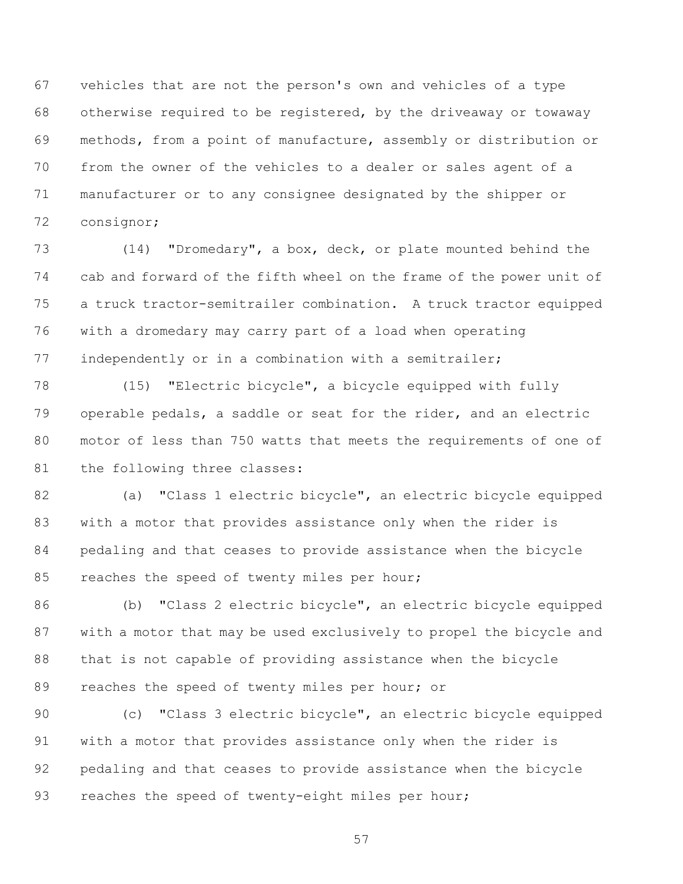vehicles that are not the person's own and vehicles of a type otherwise required to be registered, by the driveaway or towaway methods, from a point of manufacture, assembly or distribution or from the owner of the vehicles to a dealer or sales agent of a manufacturer or to any consignee designated by the shipper or consignor;

 (14) "Dromedary", a box, deck, or plate mounted behind the cab and forward of the fifth wheel on the frame of the power unit of a truck tractor-semitrailer combination. A truck tractor equipped with a dromedary may carry part of a load when operating independently or in a combination with a semitrailer;

 (15) "Electric bicycle", a bicycle equipped with fully operable pedals, a saddle or seat for the rider, and an electric motor of less than 750 watts that meets the requirements of one of 81 the following three classes:

 (a) "Class 1 electric bicycle", an electric bicycle equipped with a motor that provides assistance only when the rider is pedaling and that ceases to provide assistance when the bicycle 85 reaches the speed of twenty miles per hour;

 (b) "Class 2 electric bicycle", an electric bicycle equipped with a motor that may be used exclusively to propel the bicycle and that is not capable of providing assistance when the bicycle 89 reaches the speed of twenty miles per hour; or

 (c) "Class 3 electric bicycle", an electric bicycle equipped with a motor that provides assistance only when the rider is pedaling and that ceases to provide assistance when the bicycle reaches the speed of twenty-eight miles per hour;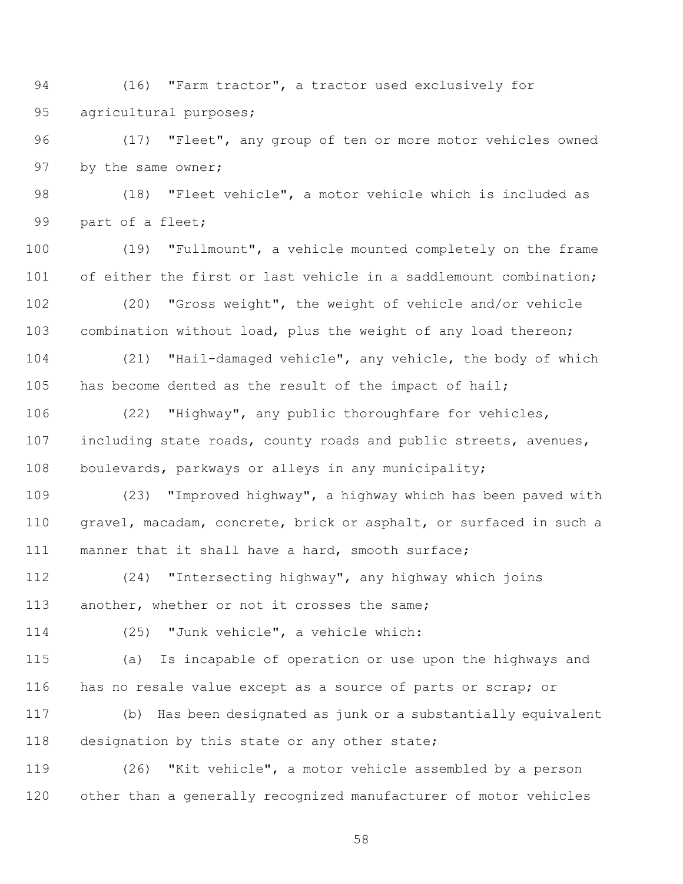94 (16) "Farm tractor", a tractor used exclusively for agricultural purposes;

 (17) "Fleet", any group of ten or more motor vehicles owned by the same owner;

 (18) "Fleet vehicle", a motor vehicle which is included as part of a fleet;

 (19) "Fullmount", a vehicle mounted completely on the frame 101 of either the first or last vehicle in a saddlemount combination;

 (20) "Gross weight", the weight of vehicle and/or vehicle combination without load, plus the weight of any load thereon;

 (21) "Hail-damaged vehicle", any vehicle, the body of which has become dented as the result of the impact of hail;

 (22) "Highway", any public thoroughfare for vehicles, including state roads, county roads and public streets, avenues, boulevards, parkways or alleys in any municipality;

 (23) "Improved highway", a highway which has been paved with gravel, macadam, concrete, brick or asphalt, or surfaced in such a manner that it shall have a hard, smooth surface;

 (24) "Intersecting highway", any highway which joins another, whether or not it crosses the same;

(25) "Junk vehicle", a vehicle which:

 (a) Is incapable of operation or use upon the highways and has no resale value except as a source of parts or scrap; or

 (b) Has been designated as junk or a substantially equivalent 118 designation by this state or any other state;

 (26) "Kit vehicle", a motor vehicle assembled by a person other than a generally recognized manufacturer of motor vehicles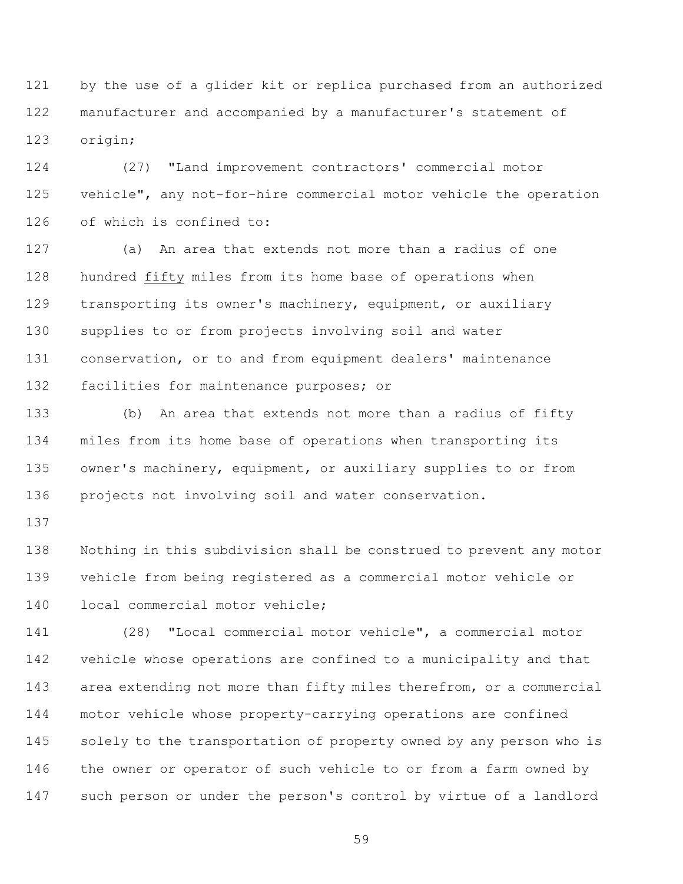by the use of a glider kit or replica purchased from an authorized manufacturer and accompanied by a manufacturer's statement of origin;

 (27) "Land improvement contractors' commercial motor vehicle", any not-for-hire commercial motor vehicle the operation of which is confined to:

 (a) An area that extends not more than a radius of one hundred fifty miles from its home base of operations when transporting its owner's machinery, equipment, or auxiliary supplies to or from projects involving soil and water conservation, or to and from equipment dealers' maintenance facilities for maintenance purposes; or

 (b) An area that extends not more than a radius of fifty miles from its home base of operations when transporting its owner's machinery, equipment, or auxiliary supplies to or from projects not involving soil and water conservation.

 Nothing in this subdivision shall be construed to prevent any motor vehicle from being registered as a commercial motor vehicle or local commercial motor vehicle;

 (28) "Local commercial motor vehicle", a commercial motor vehicle whose operations are confined to a municipality and that area extending not more than fifty miles therefrom, or a commercial motor vehicle whose property-carrying operations are confined solely to the transportation of property owned by any person who is the owner or operator of such vehicle to or from a farm owned by such person or under the person's control by virtue of a landlord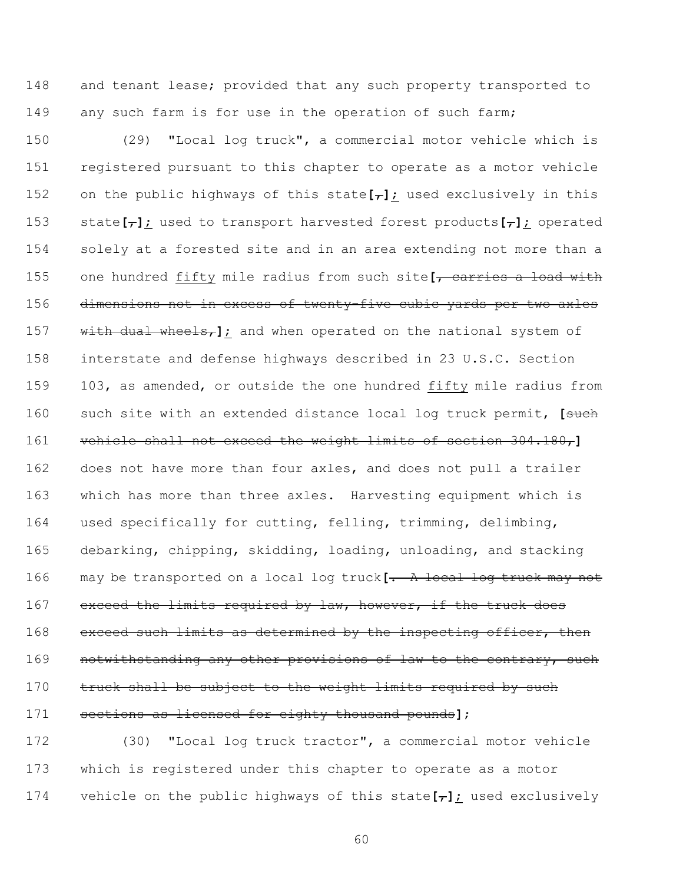148 and tenant lease; provided that any such property transported to any such farm is for use in the operation of such farm;

 (29) "Local log truck", a commercial motor vehicle which is registered pursuant to this chapter to operate as a motor vehicle on the public highways of this state**[**,**]**; used exclusively in this state**[**,**]**; used to transport harvested forest products**[**,**]**; operated solely at a forested site and in an area extending not more than a one hundred fifty mile radius from such site**[**, carries a load with 156 dimensions not in excess of twenty five cubic yards per two axles 157 with dual wheels<sub>r</sub>]; and when operated on the national system of interstate and defense highways described in 23 U.S.C. Section 103, as amended, or outside the one hundred fifty mile radius from such site with an extended distance local log truck permit, **[**such vehicle shall not exceed the weight limits of section 304.180,**]** does not have more than four axles, and does not pull a trailer which has more than three axles. Harvesting equipment which is used specifically for cutting, felling, trimming, delimbing, debarking, chipping, skidding, loading, unloading, and stacking may be transported on a local log truck**[**. A local log truck may not 167 exceed the limits required by law, however, if the truck does 168 exceed such limits as determined by the inspecting officer, then **notwithstanding any other provisions of law to the contrary, such** 170 truck shall be subject to the weight limits required by such sections as licensed for eighty thousand pounds**]**;

 (30) "Local log truck tractor", a commercial motor vehicle which is registered under this chapter to operate as a motor vehicle on the public highways of this state**[**,**]**; used exclusively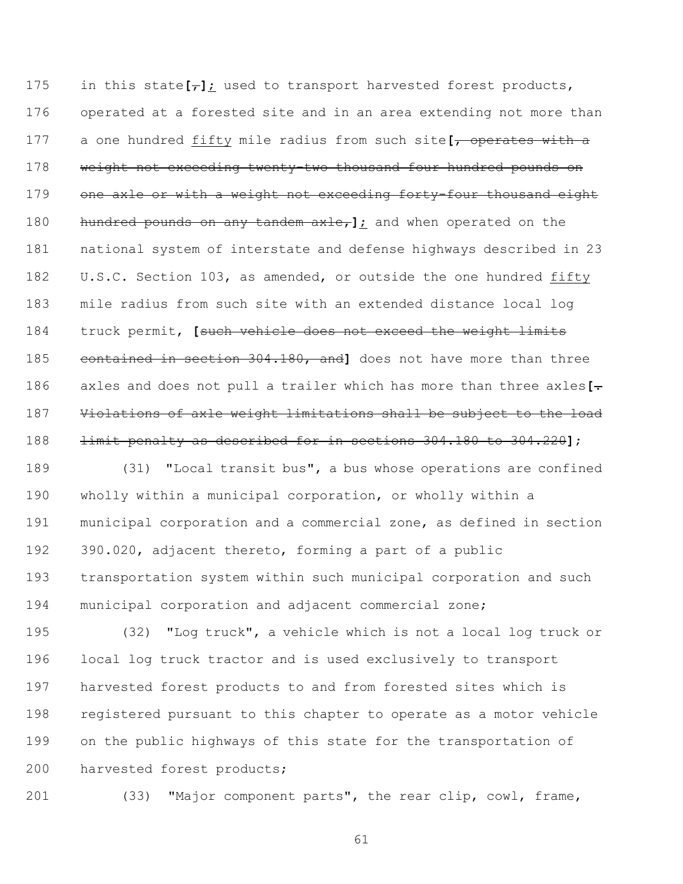175 in this state $\left[\frac{1}{2}\right]$ ; used to transport harvested forest products, operated at a forested site and in an area extending not more than a one hundred fifty mile radius from such site**[**, operates with a 178 weight not exceeding twenty-two thousand four hundred pounds on 179 one axle or with a weight not exceeding forty-four thousand eight hundred pounds on any tandem axle,**]**; and when operated on the national system of interstate and defense highways described in 23 182 U.S.C. Section 103, as amended, or outside the one hundred fifty mile radius from such site with an extended distance local log truck permit, **[**such vehicle does not exceed the weight limits contained in section 304.180, and**]** does not have more than three axles and does not pull a trailer which has more than three axles**[**. Violations of axle weight limitations shall be subject to the load limit penalty as described for in sections 304.180 to 304.220**]**;

 (31) "Local transit bus", a bus whose operations are confined wholly within a municipal corporation, or wholly within a municipal corporation and a commercial zone, as defined in section 390.020, adjacent thereto, forming a part of a public transportation system within such municipal corporation and such municipal corporation and adjacent commercial zone;

 (32) "Log truck", a vehicle which is not a local log truck or local log truck tractor and is used exclusively to transport harvested forest products to and from forested sites which is registered pursuant to this chapter to operate as a motor vehicle on the public highways of this state for the transportation of 200 harvested forest products;

(33) "Major component parts", the rear clip, cowl, frame,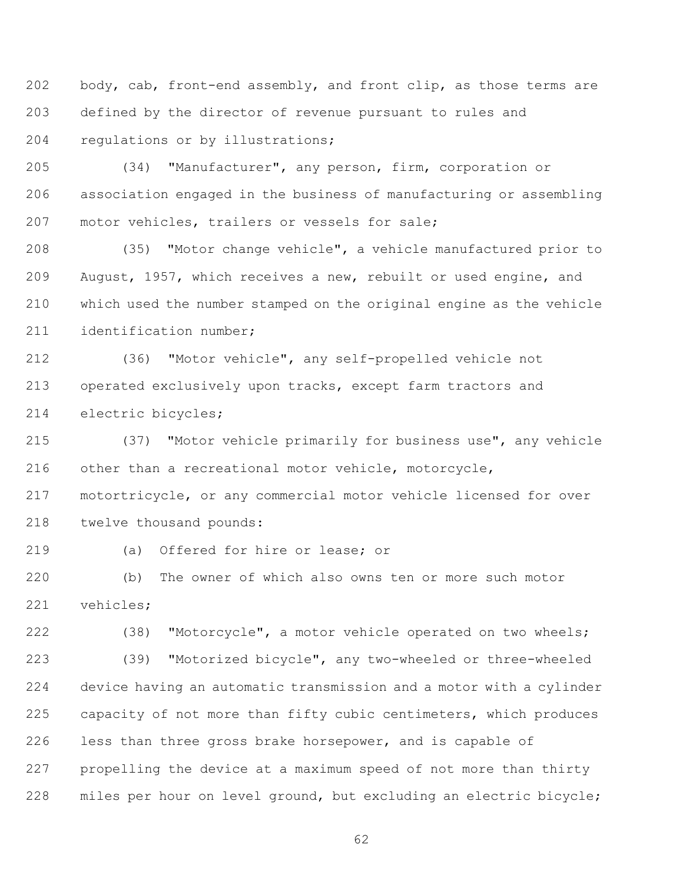202 body, cab, front-end assembly, and front clip, as those terms are defined by the director of revenue pursuant to rules and regulations or by illustrations;

 (34) "Manufacturer", any person, firm, corporation or association engaged in the business of manufacturing or assembling motor vehicles, trailers or vessels for sale;

 (35) "Motor change vehicle", a vehicle manufactured prior to August, 1957, which receives a new, rebuilt or used engine, and which used the number stamped on the original engine as the vehicle identification number;

 (36) "Motor vehicle", any self-propelled vehicle not operated exclusively upon tracks, except farm tractors and electric bicycles;

 (37) "Motor vehicle primarily for business use", any vehicle other than a recreational motor vehicle, motorcycle, motortricycle, or any commercial motor vehicle licensed for over twelve thousand pounds:

(a) Offered for hire or lease; or

 (b) The owner of which also owns ten or more such motor vehicles;

 (38) "Motorcycle", a motor vehicle operated on two wheels; (39) "Motorized bicycle", any two-wheeled or three-wheeled device having an automatic transmission and a motor with a cylinder capacity of not more than fifty cubic centimeters, which produces less than three gross brake horsepower, and is capable of propelling the device at a maximum speed of not more than thirty miles per hour on level ground, but excluding an electric bicycle;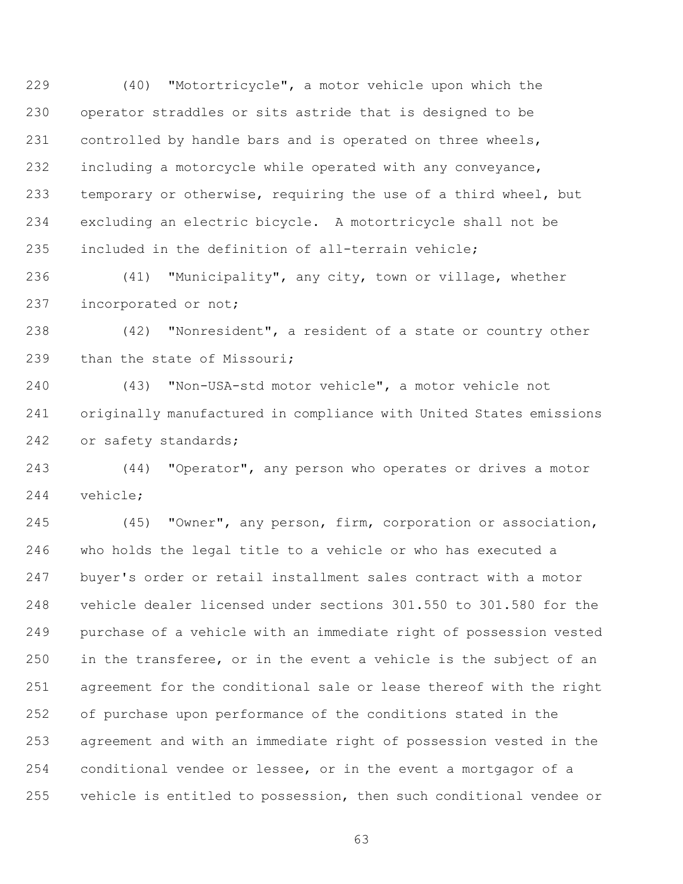(40) "Motortricycle", a motor vehicle upon which the operator straddles or sits astride that is designed to be controlled by handle bars and is operated on three wheels, including a motorcycle while operated with any conveyance, temporary or otherwise, requiring the use of a third wheel, but excluding an electric bicycle. A motortricycle shall not be included in the definition of all-terrain vehicle;

 (41) "Municipality", any city, town or village, whether incorporated or not;

 (42) "Nonresident", a resident of a state or country other 239 than the state of Missouri;

 (43) "Non-USA-std motor vehicle", a motor vehicle not originally manufactured in compliance with United States emissions or safety standards;

 (44) "Operator", any person who operates or drives a motor vehicle;

 (45) "Owner", any person, firm, corporation or association, who holds the legal title to a vehicle or who has executed a buyer's order or retail installment sales contract with a motor vehicle dealer licensed under sections 301.550 to 301.580 for the purchase of a vehicle with an immediate right of possession vested in the transferee, or in the event a vehicle is the subject of an agreement for the conditional sale or lease thereof with the right of purchase upon performance of the conditions stated in the agreement and with an immediate right of possession vested in the conditional vendee or lessee, or in the event a mortgagor of a vehicle is entitled to possession, then such conditional vendee or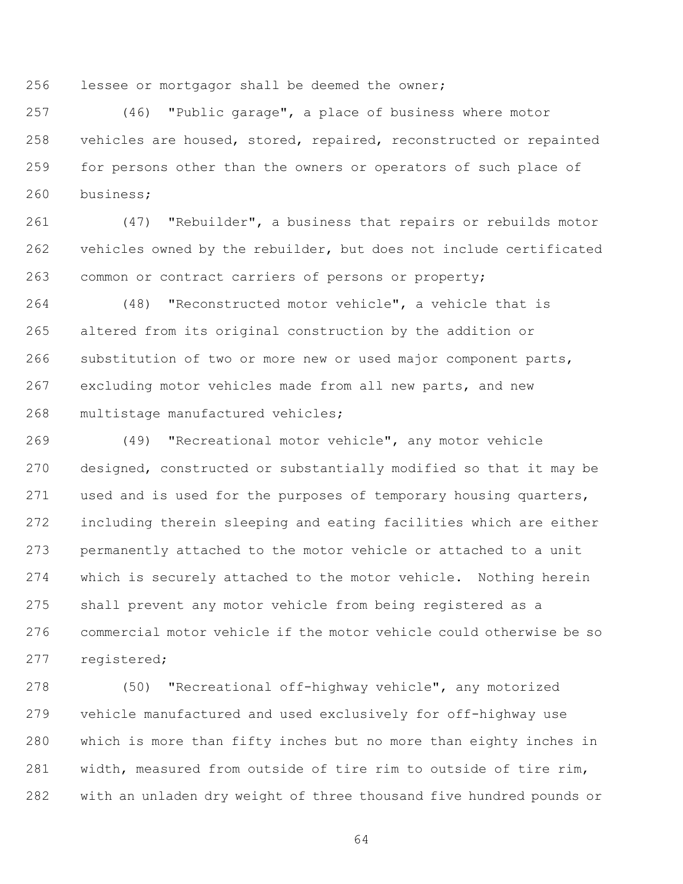lessee or mortgagor shall be deemed the owner;

 (46) "Public garage", a place of business where motor vehicles are housed, stored, repaired, reconstructed or repainted for persons other than the owners or operators of such place of business;

 (47) "Rebuilder", a business that repairs or rebuilds motor vehicles owned by the rebuilder, but does not include certificated common or contract carriers of persons or property;

 (48) "Reconstructed motor vehicle", a vehicle that is altered from its original construction by the addition or substitution of two or more new or used major component parts, excluding motor vehicles made from all new parts, and new multistage manufactured vehicles;

 (49) "Recreational motor vehicle", any motor vehicle designed, constructed or substantially modified so that it may be used and is used for the purposes of temporary housing quarters, including therein sleeping and eating facilities which are either permanently attached to the motor vehicle or attached to a unit which is securely attached to the motor vehicle. Nothing herein shall prevent any motor vehicle from being registered as a commercial motor vehicle if the motor vehicle could otherwise be so registered;

 (50) "Recreational off-highway vehicle", any motorized vehicle manufactured and used exclusively for off-highway use which is more than fifty inches but no more than eighty inches in width, measured from outside of tire rim to outside of tire rim, with an unladen dry weight of three thousand five hundred pounds or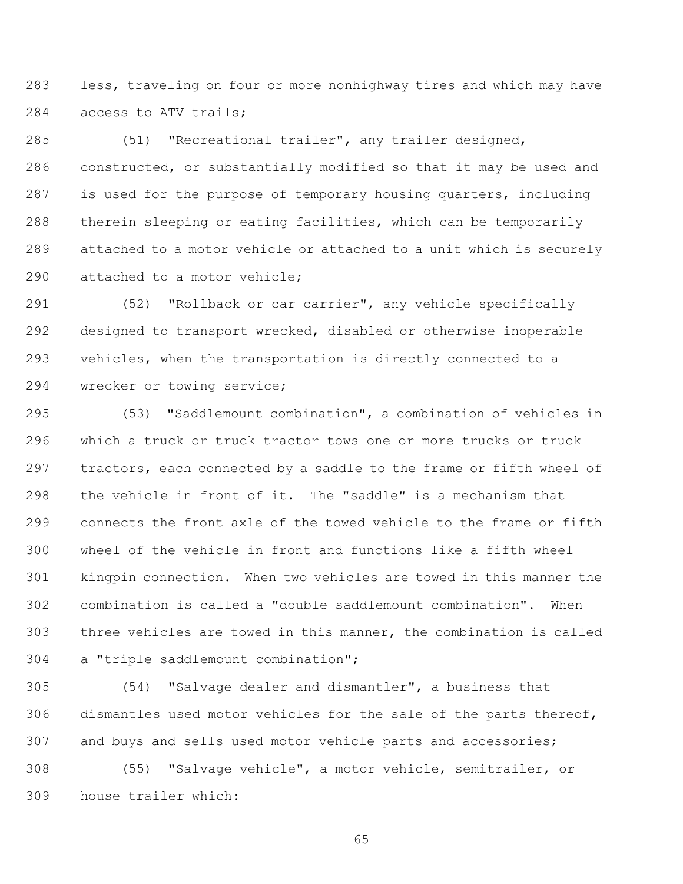less, traveling on four or more nonhighway tires and which may have access to ATV trails;

 (51) "Recreational trailer", any trailer designed, constructed, or substantially modified so that it may be used and is used for the purpose of temporary housing quarters, including therein sleeping or eating facilities, which can be temporarily attached to a motor vehicle or attached to a unit which is securely attached to a motor vehicle;

 (52) "Rollback or car carrier", any vehicle specifically designed to transport wrecked, disabled or otherwise inoperable vehicles, when the transportation is directly connected to a wrecker or towing service;

 (53) "Saddlemount combination", a combination of vehicles in which a truck or truck tractor tows one or more trucks or truck tractors, each connected by a saddle to the frame or fifth wheel of the vehicle in front of it. The "saddle" is a mechanism that connects the front axle of the towed vehicle to the frame or fifth wheel of the vehicle in front and functions like a fifth wheel kingpin connection. When two vehicles are towed in this manner the combination is called a "double saddlemount combination". When three vehicles are towed in this manner, the combination is called a "triple saddlemount combination";

 (54) "Salvage dealer and dismantler", a business that dismantles used motor vehicles for the sale of the parts thereof, and buys and sells used motor vehicle parts and accessories;

 (55) "Salvage vehicle", a motor vehicle, semitrailer, or house trailer which: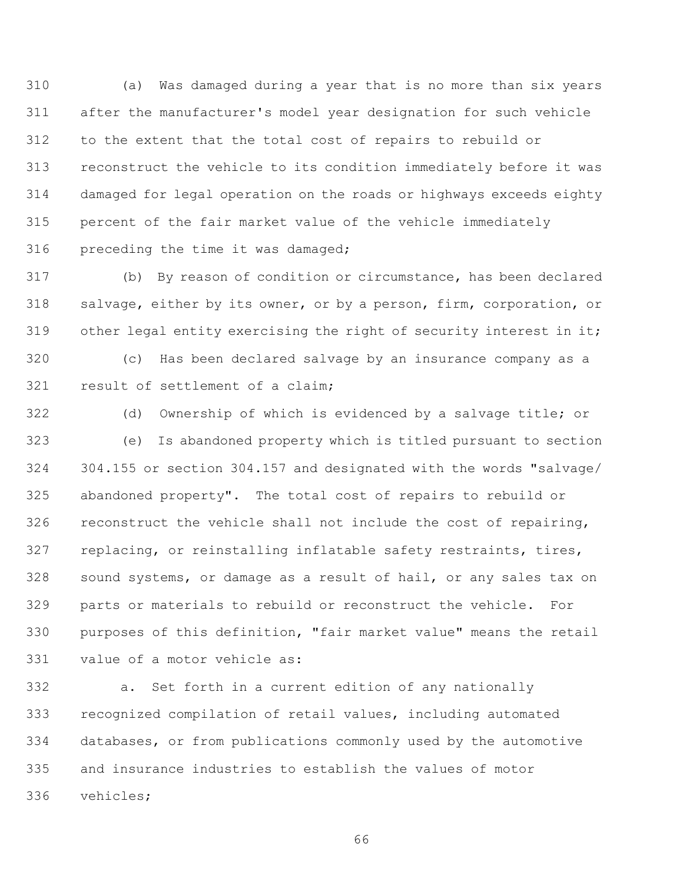(a) Was damaged during a year that is no more than six years after the manufacturer's model year designation for such vehicle to the extent that the total cost of repairs to rebuild or reconstruct the vehicle to its condition immediately before it was damaged for legal operation on the roads or highways exceeds eighty percent of the fair market value of the vehicle immediately preceding the time it was damaged;

 (b) By reason of condition or circumstance, has been declared salvage, either by its owner, or by a person, firm, corporation, or other legal entity exercising the right of security interest in it;

 (c) Has been declared salvage by an insurance company as a result of settlement of a claim;

 (d) Ownership of which is evidenced by a salvage title; or (e) Is abandoned property which is titled pursuant to section 304.155 or section 304.157 and designated with the words "salvage/ abandoned property". The total cost of repairs to rebuild or reconstruct the vehicle shall not include the cost of repairing, replacing, or reinstalling inflatable safety restraints, tires, sound systems, or damage as a result of hail, or any sales tax on parts or materials to rebuild or reconstruct the vehicle. For purposes of this definition, "fair market value" means the retail value of a motor vehicle as:

 a. Set forth in a current edition of any nationally recognized compilation of retail values, including automated databases, or from publications commonly used by the automotive and insurance industries to establish the values of motor vehicles;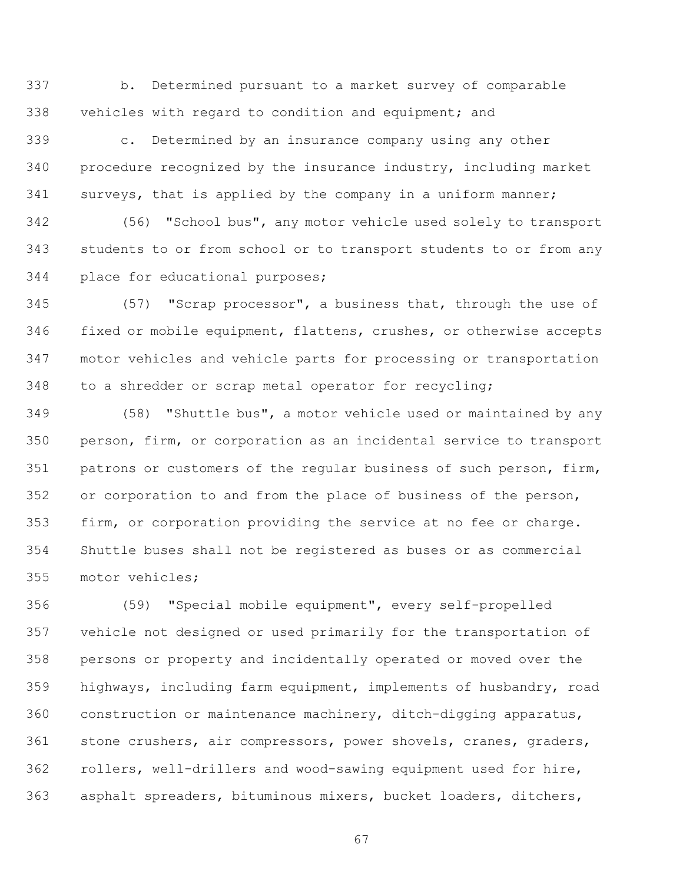b. Determined pursuant to a market survey of comparable vehicles with regard to condition and equipment; and

 c. Determined by an insurance company using any other procedure recognized by the insurance industry, including market surveys, that is applied by the company in a uniform manner;

 (56) "School bus", any motor vehicle used solely to transport students to or from school or to transport students to or from any place for educational purposes;

 (57) "Scrap processor", a business that, through the use of fixed or mobile equipment, flattens, crushes, or otherwise accepts motor vehicles and vehicle parts for processing or transportation to a shredder or scrap metal operator for recycling;

 (58) "Shuttle bus", a motor vehicle used or maintained by any person, firm, or corporation as an incidental service to transport patrons or customers of the regular business of such person, firm, or corporation to and from the place of business of the person, firm, or corporation providing the service at no fee or charge. Shuttle buses shall not be registered as buses or as commercial motor vehicles;

 (59) "Special mobile equipment", every self-propelled vehicle not designed or used primarily for the transportation of persons or property and incidentally operated or moved over the highways, including farm equipment, implements of husbandry, road construction or maintenance machinery, ditch-digging apparatus, stone crushers, air compressors, power shovels, cranes, graders, rollers, well-drillers and wood-sawing equipment used for hire, asphalt spreaders, bituminous mixers, bucket loaders, ditchers,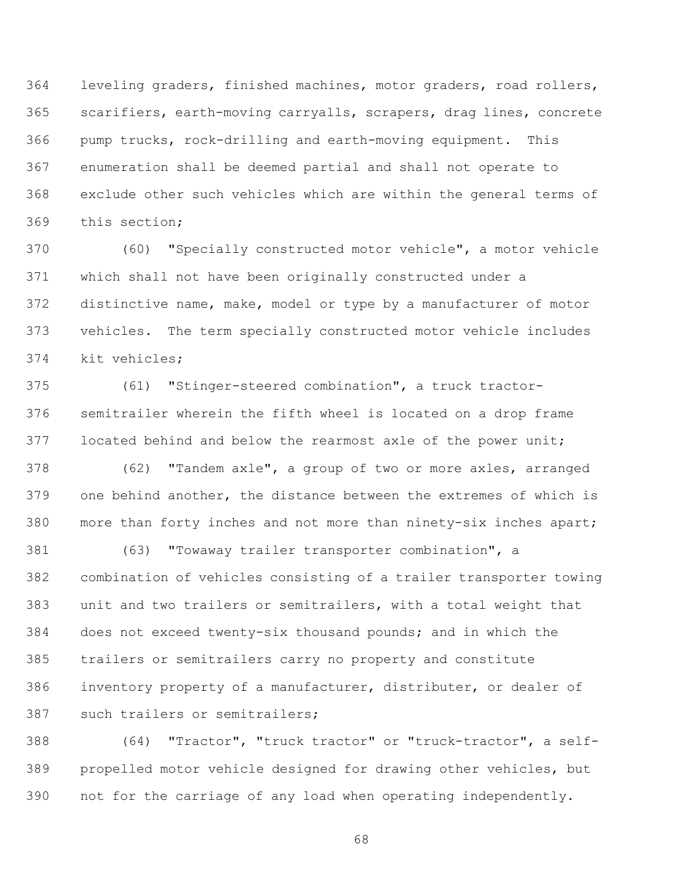leveling graders, finished machines, motor graders, road rollers, scarifiers, earth-moving carryalls, scrapers, drag lines, concrete pump trucks, rock-drilling and earth-moving equipment. This enumeration shall be deemed partial and shall not operate to exclude other such vehicles which are within the general terms of this section;

 (60) "Specially constructed motor vehicle", a motor vehicle which shall not have been originally constructed under a distinctive name, make, model or type by a manufacturer of motor vehicles. The term specially constructed motor vehicle includes kit vehicles;

 (61) "Stinger-steered combination", a truck tractor- semitrailer wherein the fifth wheel is located on a drop frame located behind and below the rearmost axle of the power unit;

 (62) "Tandem axle", a group of two or more axles, arranged one behind another, the distance between the extremes of which is more than forty inches and not more than ninety-six inches apart;

 (63) "Towaway trailer transporter combination", a combination of vehicles consisting of a trailer transporter towing unit and two trailers or semitrailers, with a total weight that does not exceed twenty-six thousand pounds; and in which the trailers or semitrailers carry no property and constitute inventory property of a manufacturer, distributer, or dealer of such trailers or semitrailers;

 (64) "Tractor", "truck tractor" or "truck-tractor", a self- propelled motor vehicle designed for drawing other vehicles, but not for the carriage of any load when operating independently.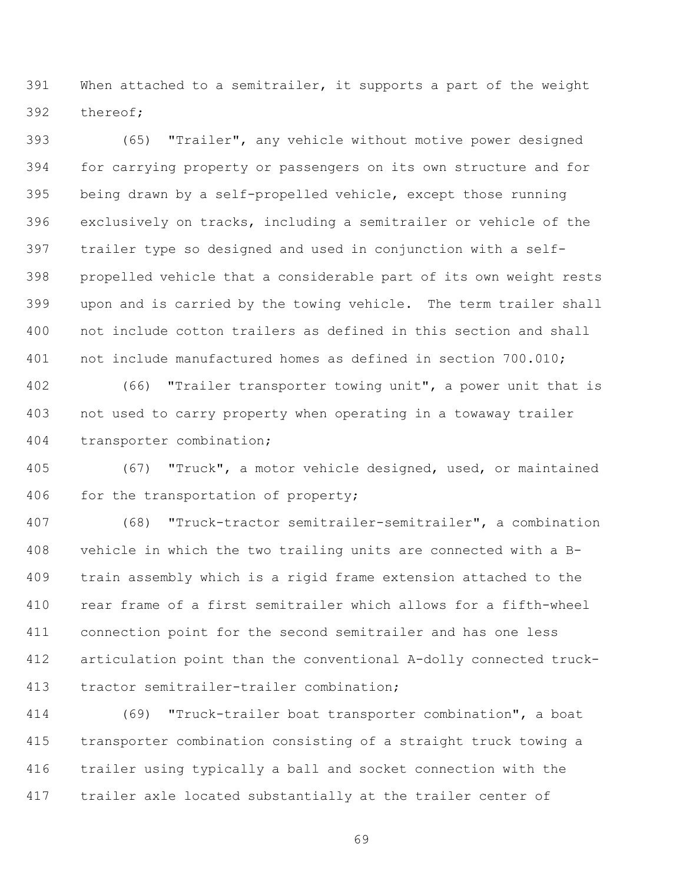When attached to a semitrailer, it supports a part of the weight thereof;

 (65) "Trailer", any vehicle without motive power designed for carrying property or passengers on its own structure and for being drawn by a self-propelled vehicle, except those running exclusively on tracks, including a semitrailer or vehicle of the trailer type so designed and used in conjunction with a self- propelled vehicle that a considerable part of its own weight rests upon and is carried by the towing vehicle. The term trailer shall not include cotton trailers as defined in this section and shall not include manufactured homes as defined in section 700.010;

 (66) "Trailer transporter towing unit", a power unit that is not used to carry property when operating in a towaway trailer transporter combination;

 (67) "Truck", a motor vehicle designed, used, or maintained 406 for the transportation of property;

 (68) "Truck-tractor semitrailer-semitrailer", a combination vehicle in which the two trailing units are connected with a B- train assembly which is a rigid frame extension attached to the rear frame of a first semitrailer which allows for a fifth-wheel connection point for the second semitrailer and has one less articulation point than the conventional A-dolly connected truck-tractor semitrailer-trailer combination;

 (69) "Truck-trailer boat transporter combination", a boat transporter combination consisting of a straight truck towing a trailer using typically a ball and socket connection with the trailer axle located substantially at the trailer center of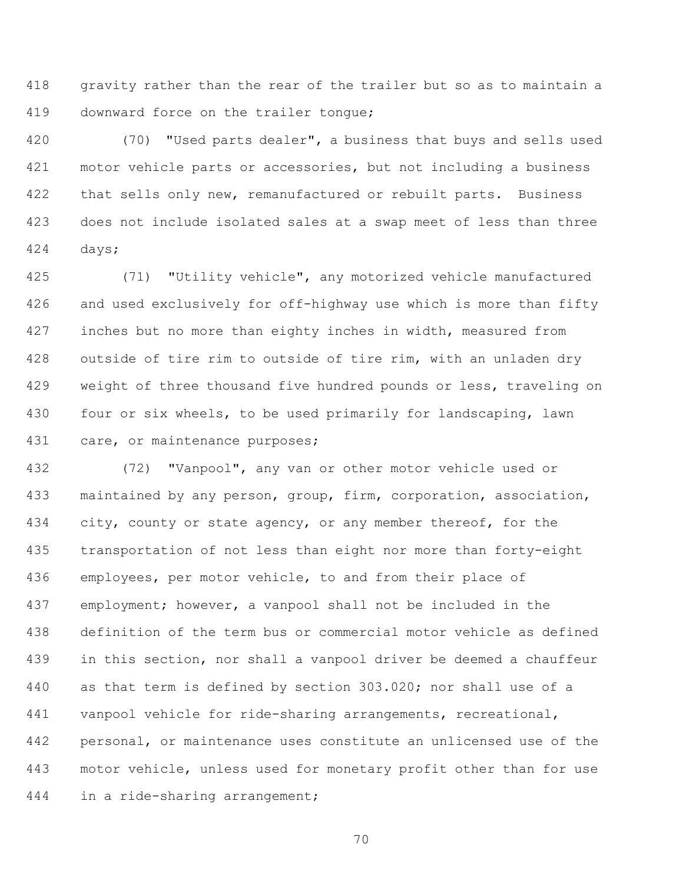gravity rather than the rear of the trailer but so as to maintain a downward force on the trailer tongue;

 (70) "Used parts dealer", a business that buys and sells used motor vehicle parts or accessories, but not including a business 422 that sells only new, remanufactured or rebuilt parts. Business does not include isolated sales at a swap meet of less than three days;

 (71) "Utility vehicle", any motorized vehicle manufactured and used exclusively for off-highway use which is more than fifty inches but no more than eighty inches in width, measured from outside of tire rim to outside of tire rim, with an unladen dry 429 weight of three thousand five hundred pounds or less, traveling on four or six wheels, to be used primarily for landscaping, lawn care, or maintenance purposes;

 (72) "Vanpool", any van or other motor vehicle used or maintained by any person, group, firm, corporation, association, 434 city, county or state agency, or any member thereof, for the transportation of not less than eight nor more than forty-eight employees, per motor vehicle, to and from their place of employment; however, a vanpool shall not be included in the definition of the term bus or commercial motor vehicle as defined in this section, nor shall a vanpool driver be deemed a chauffeur as that term is defined by section 303.020; nor shall use of a vanpool vehicle for ride-sharing arrangements, recreational, personal, or maintenance uses constitute an unlicensed use of the motor vehicle, unless used for monetary profit other than for use in a ride-sharing arrangement;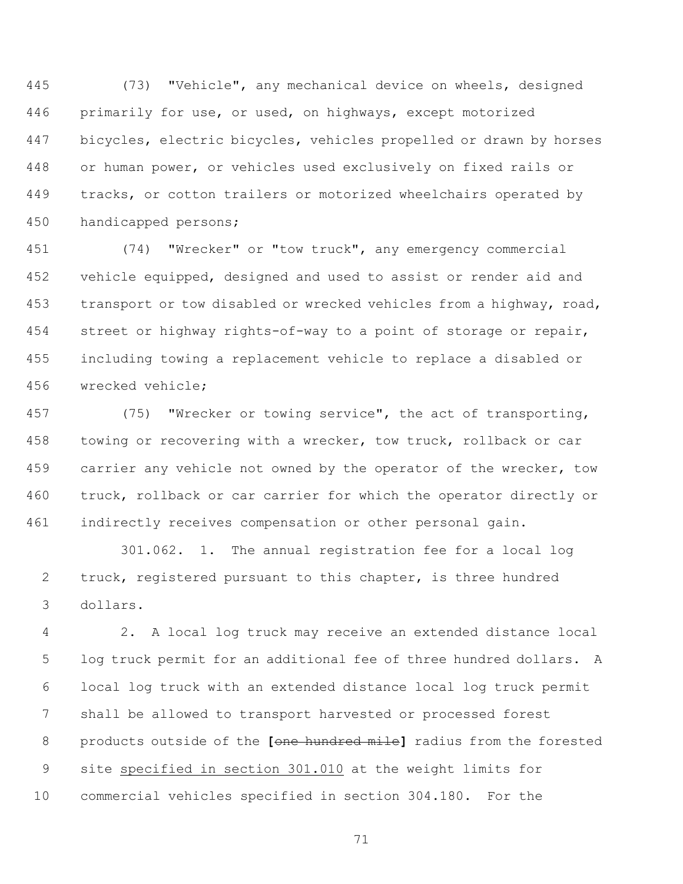(73) "Vehicle", any mechanical device on wheels, designed primarily for use, or used, on highways, except motorized bicycles, electric bicycles, vehicles propelled or drawn by horses or human power, or vehicles used exclusively on fixed rails or tracks, or cotton trailers or motorized wheelchairs operated by handicapped persons;

 (74) "Wrecker" or "tow truck", any emergency commercial vehicle equipped, designed and used to assist or render aid and transport or tow disabled or wrecked vehicles from a highway, road, street or highway rights-of-way to a point of storage or repair, including towing a replacement vehicle to replace a disabled or wrecked vehicle;

 (75) "Wrecker or towing service", the act of transporting, towing or recovering with a wrecker, tow truck, rollback or car 459 carrier any vehicle not owned by the operator of the wrecker, tow truck, rollback or car carrier for which the operator directly or indirectly receives compensation or other personal gain.

301.062. 1. The annual registration fee for a local log truck, registered pursuant to this chapter, is three hundred dollars.

 2. A local log truck may receive an extended distance local log truck permit for an additional fee of three hundred dollars. A local log truck with an extended distance local log truck permit shall be allowed to transport harvested or processed forest products outside of the **[**one hundred mile**]** radius from the forested site specified in section 301.010 at the weight limits for commercial vehicles specified in section 304.180. For the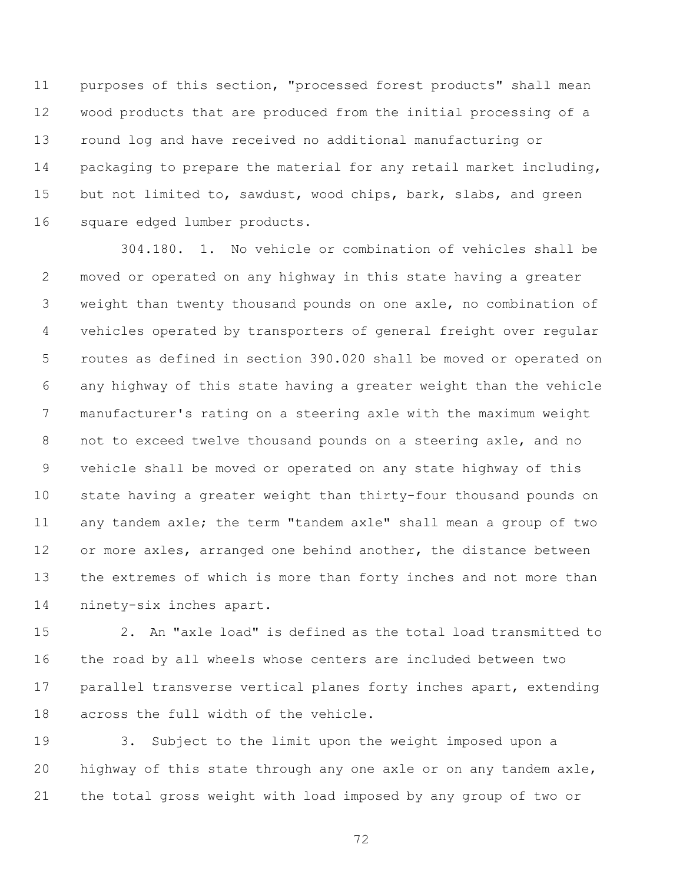purposes of this section, "processed forest products" shall mean wood products that are produced from the initial processing of a round log and have received no additional manufacturing or 14 packaging to prepare the material for any retail market including, but not limited to, sawdust, wood chips, bark, slabs, and green square edged lumber products.

304.180. 1. No vehicle or combination of vehicles shall be moved or operated on any highway in this state having a greater weight than twenty thousand pounds on one axle, no combination of vehicles operated by transporters of general freight over regular routes as defined in section 390.020 shall be moved or operated on any highway of this state having a greater weight than the vehicle manufacturer's rating on a steering axle with the maximum weight not to exceed twelve thousand pounds on a steering axle, and no vehicle shall be moved or operated on any state highway of this state having a greater weight than thirty-four thousand pounds on any tandem axle; the term "tandem axle" shall mean a group of two 12 or more axles, arranged one behind another, the distance between the extremes of which is more than forty inches and not more than ninety-six inches apart.

 2. An "axle load" is defined as the total load transmitted to the road by all wheels whose centers are included between two 17 parallel transverse vertical planes forty inches apart, extending across the full width of the vehicle.

 3. Subject to the limit upon the weight imposed upon a highway of this state through any one axle or on any tandem axle, the total gross weight with load imposed by any group of two or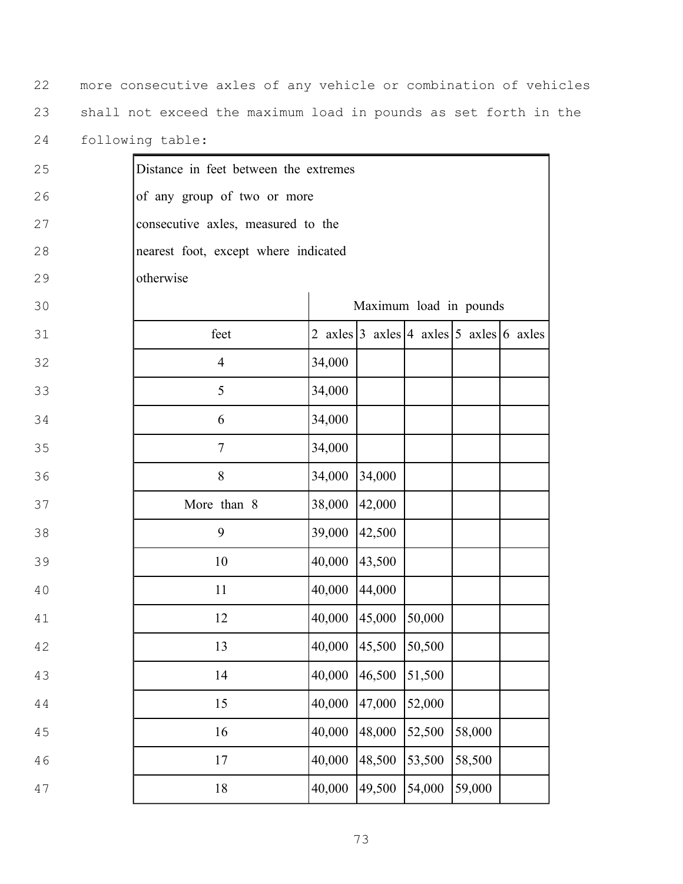more consecutive axles of any vehicle or combination of vehicles shall not exceed the maximum load in pounds as set forth in the following table:

| 25 | Distance in feet between the extremes |        |        |        |                                                    |  |
|----|---------------------------------------|--------|--------|--------|----------------------------------------------------|--|
| 26 | of any group of two or more           |        |        |        |                                                    |  |
| 27 | consecutive axles, measured to the    |        |        |        |                                                    |  |
| 28 | nearest foot, except where indicated  |        |        |        |                                                    |  |
| 29 | otherwise                             |        |        |        |                                                    |  |
| 30 |                                       |        |        |        | Maximum load in pounds                             |  |
| 31 | feet                                  |        |        |        | 2 axles $3$ axles $ 4$ axles $ 5$ axles $ 6$ axles |  |
| 32 | $\overline{4}$                        | 34,000 |        |        |                                                    |  |
| 33 | 5                                     | 34,000 |        |        |                                                    |  |
| 34 | 6                                     | 34,000 |        |        |                                                    |  |
| 35 | $\tau$                                | 34,000 |        |        |                                                    |  |
| 36 | 8                                     | 34,000 | 34,000 |        |                                                    |  |
| 37 | More than 8                           | 38,000 | 42,000 |        |                                                    |  |
| 38 | 9                                     | 39,000 | 42,500 |        |                                                    |  |
| 39 | 10                                    | 40,000 | 43,500 |        |                                                    |  |
| 40 | 11                                    | 40,000 | 44,000 |        |                                                    |  |
| 41 | 12                                    | 40,000 | 45,000 | 50,000 |                                                    |  |
| 42 | 13                                    | 40,000 | 45,500 | 50,500 |                                                    |  |
| 43 | 14                                    | 40,000 | 46,500 | 51,500 |                                                    |  |
| 44 | 15                                    | 40,000 | 47,000 | 52,000 |                                                    |  |
| 45 | 16                                    | 40,000 | 48,000 | 52,500 | 58,000                                             |  |
| 46 | $17\,$                                | 40,000 | 48,500 | 53,500 | 58,500                                             |  |
| 47 | $18\,$                                | 40,000 | 49,500 | 54,000 | 59,000                                             |  |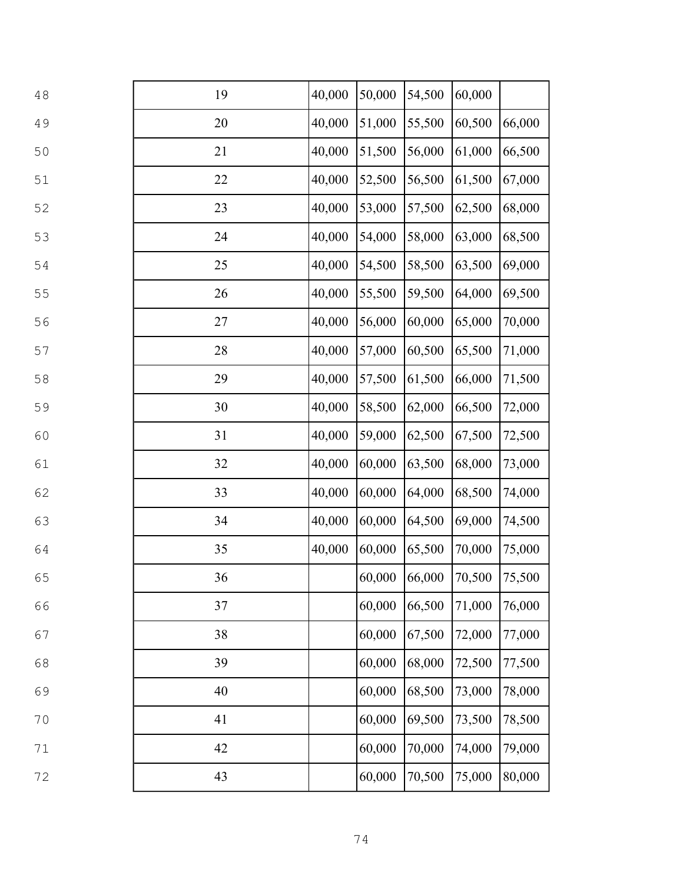| 48 | 19 | 40,000 | 50,000        | 54,500 | 60,000 |        |
|----|----|--------|---------------|--------|--------|--------|
| 49 | 20 | 40,000 | 51,000        | 55,500 | 60,500 | 66,000 |
| 50 | 21 | 40,000 | 51,500        | 56,000 | 61,000 | 66,500 |
| 51 | 22 | 40,000 | 52,500        | 56,500 | 61,500 | 67,000 |
| 52 | 23 | 40,000 | 53,000        | 57,500 | 62,500 | 68,000 |
| 53 | 24 | 40,000 | 54,000        | 58,000 | 63,000 | 68,500 |
| 54 | 25 | 40,000 | 54,500        | 58,500 | 63,500 | 69,000 |
| 55 | 26 | 40,000 | 55,500        | 59,500 | 64,000 | 69,500 |
| 56 | 27 | 40,000 | 56,000        | 60,000 | 65,000 | 70,000 |
| 57 | 28 | 40,000 | 57,000        | 60,500 | 65,500 | 71,000 |
| 58 | 29 | 40,000 | 57,500        | 61,500 | 66,000 | 71,500 |
| 59 | 30 | 40,000 | 58,500        | 62,000 | 66,500 | 72,000 |
| 60 | 31 | 40,000 | 59,000        | 62,500 | 67,500 | 72,500 |
| 61 | 32 | 40,000 | 60,000        | 63,500 | 68,000 | 73,000 |
| 62 | 33 | 40,000 | 60,000        | 64,000 | 68,500 | 74,000 |
| 63 | 34 | 40,000 | 60,000        | 64,500 | 69,000 | 74,500 |
| 64 | 35 | 40,000 | 60,000        | 65,500 | 70,000 | 75,000 |
| 65 | 36 |        | 60,000 66,000 |        | 70,500 | 75,500 |
| 66 | 37 |        | 60,000        | 66,500 | 71,000 | 76,000 |
| 67 | 38 |        | 60,000        | 67,500 | 72,000 | 77,000 |
| 68 | 39 |        | 60,000        | 68,000 | 72,500 | 77,500 |
| 69 | 40 |        | 60,000        | 68,500 | 73,000 | 78,000 |
| 70 | 41 |        | 60,000        | 69,500 | 73,500 | 78,500 |
| 71 | 42 |        | 60,000        | 70,000 | 74,000 | 79,000 |
| 72 | 43 |        | 60,000        | 70,500 | 75,000 | 80,000 |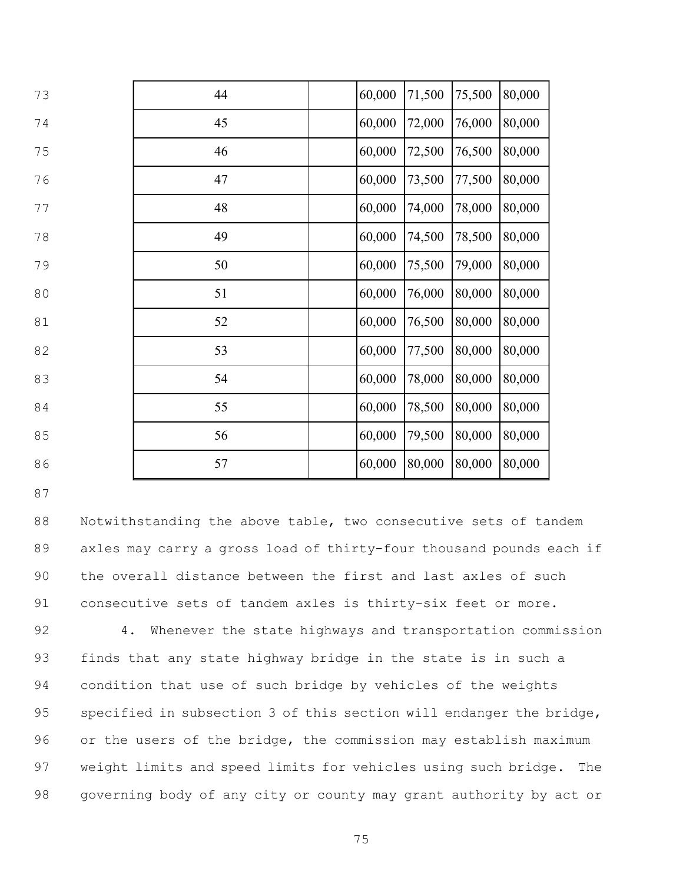| 73 | 44 | 60,000 | 71,500 | 75,500 | 80,000 |
|----|----|--------|--------|--------|--------|
| 74 | 45 | 60,000 | 72,000 | 76,000 | 80,000 |
| 75 | 46 | 60,000 | 72,500 | 76,500 | 80,000 |
| 76 | 47 | 60,000 | 73,500 | 77,500 | 80,000 |
| 77 | 48 | 60,000 | 74,000 | 78,000 | 80,000 |
| 78 | 49 | 60,000 | 74,500 | 78,500 | 80,000 |
| 79 | 50 | 60,000 | 75,500 | 79,000 | 80,000 |
| 80 | 51 | 60,000 | 76,000 | 80,000 | 80,000 |
| 81 | 52 | 60,000 | 76,500 | 80,000 | 80,000 |
| 82 | 53 | 60,000 | 77,500 | 80,000 | 80,000 |
| 83 | 54 | 60,000 | 78,000 | 80,000 | 80,000 |
| 84 | 55 | 60,000 | 78,500 | 80,000 | 80,000 |
| 85 | 56 | 60,000 | 79,500 | 80,000 | 80,000 |
| 86 | 57 | 60,000 | 80,000 | 80,000 | 80,000 |

 Notwithstanding the above table, two consecutive sets of tandem axles may carry a gross load of thirty-four thousand pounds each if the overall distance between the first and last axles of such consecutive sets of tandem axles is thirty-six feet or more.

92 4. Whenever the state highways and transportation commission finds that any state highway bridge in the state is in such a condition that use of such bridge by vehicles of the weights specified in subsection 3 of this section will endanger the bridge, 96 or the users of the bridge, the commission may establish maximum weight limits and speed limits for vehicles using such bridge. The governing body of any city or county may grant authority by act or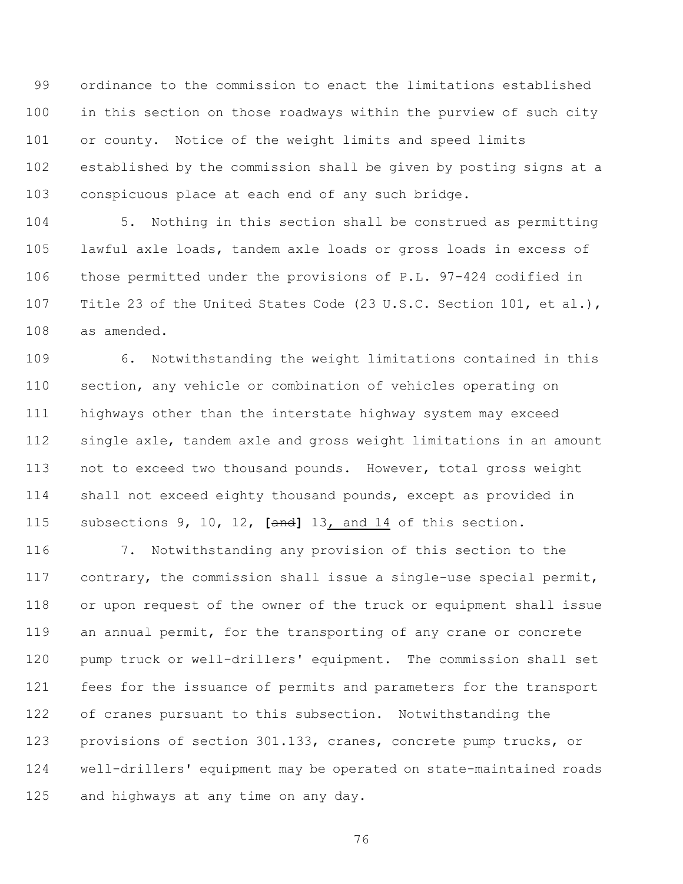ordinance to the commission to enact the limitations established in this section on those roadways within the purview of such city or county. Notice of the weight limits and speed limits established by the commission shall be given by posting signs at a conspicuous place at each end of any such bridge.

 5. Nothing in this section shall be construed as permitting lawful axle loads, tandem axle loads or gross loads in excess of those permitted under the provisions of P.L. 97-424 codified in Title 23 of the United States Code (23 U.S.C. Section 101, et al.), as amended.

 6. Notwithstanding the weight limitations contained in this section, any vehicle or combination of vehicles operating on highways other than the interstate highway system may exceed single axle, tandem axle and gross weight limitations in an amount not to exceed two thousand pounds. However, total gross weight shall not exceed eighty thousand pounds, except as provided in subsections 9, 10, 12, **[**and**]** 13, and 14 of this section.

 7. Notwithstanding any provision of this section to the contrary, the commission shall issue a single-use special permit, or upon request of the owner of the truck or equipment shall issue an annual permit, for the transporting of any crane or concrete pump truck or well-drillers' equipment. The commission shall set fees for the issuance of permits and parameters for the transport of cranes pursuant to this subsection. Notwithstanding the provisions of section 301.133, cranes, concrete pump trucks, or well-drillers' equipment may be operated on state-maintained roads and highways at any time on any day.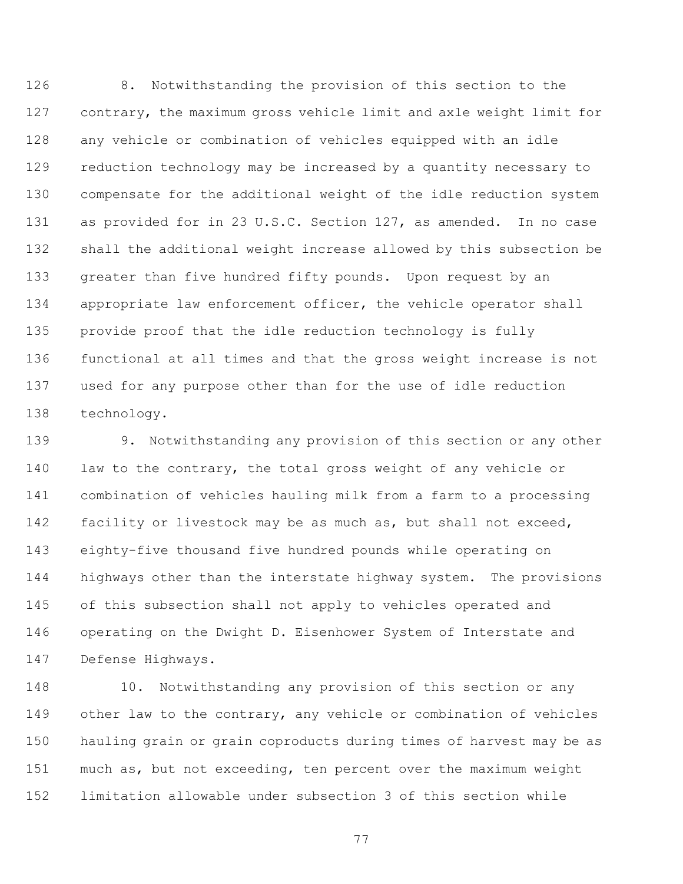8. Notwithstanding the provision of this section to the contrary, the maximum gross vehicle limit and axle weight limit for any vehicle or combination of vehicles equipped with an idle reduction technology may be increased by a quantity necessary to compensate for the additional weight of the idle reduction system as provided for in 23 U.S.C. Section 127, as amended. In no case shall the additional weight increase allowed by this subsection be 133 greater than five hundred fifty pounds. Upon request by an 134 appropriate law enforcement officer, the vehicle operator shall provide proof that the idle reduction technology is fully functional at all times and that the gross weight increase is not used for any purpose other than for the use of idle reduction technology.

 9. Notwithstanding any provision of this section or any other law to the contrary, the total gross weight of any vehicle or combination of vehicles hauling milk from a farm to a processing facility or livestock may be as much as, but shall not exceed, eighty-five thousand five hundred pounds while operating on highways other than the interstate highway system. The provisions of this subsection shall not apply to vehicles operated and operating on the Dwight D. Eisenhower System of Interstate and Defense Highways.

 10. Notwithstanding any provision of this section or any other law to the contrary, any vehicle or combination of vehicles hauling grain or grain coproducts during times of harvest may be as much as, but not exceeding, ten percent over the maximum weight limitation allowable under subsection 3 of this section while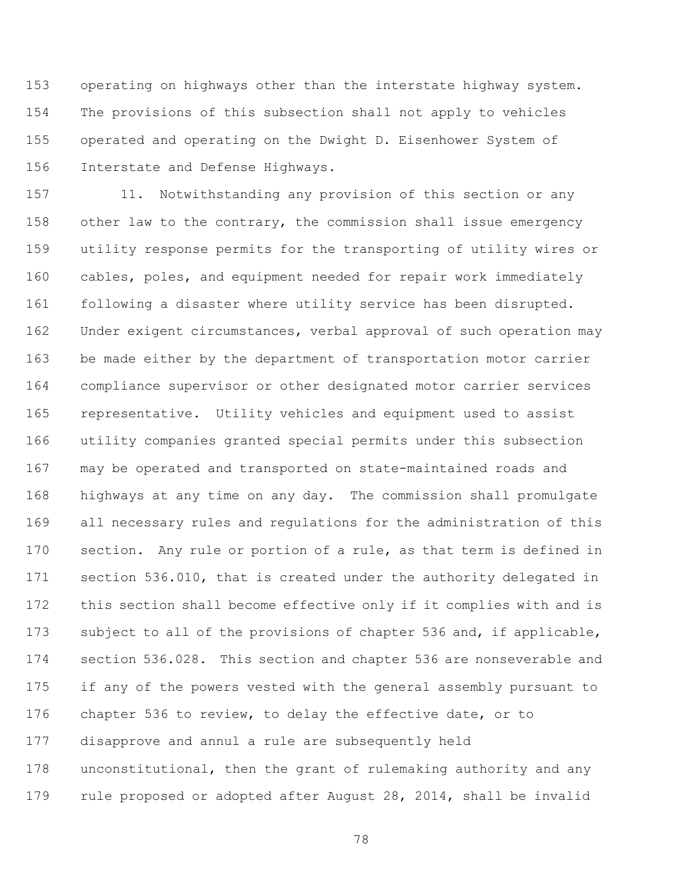operating on highways other than the interstate highway system. The provisions of this subsection shall not apply to vehicles operated and operating on the Dwight D. Eisenhower System of Interstate and Defense Highways.

 11. Notwithstanding any provision of this section or any other law to the contrary, the commission shall issue emergency utility response permits for the transporting of utility wires or cables, poles, and equipment needed for repair work immediately following a disaster where utility service has been disrupted. Under exigent circumstances, verbal approval of such operation may be made either by the department of transportation motor carrier compliance supervisor or other designated motor carrier services representative. Utility vehicles and equipment used to assist utility companies granted special permits under this subsection may be operated and transported on state-maintained roads and highways at any time on any day. The commission shall promulgate all necessary rules and regulations for the administration of this section. Any rule or portion of a rule, as that term is defined in section 536.010, that is created under the authority delegated in this section shall become effective only if it complies with and is subject to all of the provisions of chapter 536 and, if applicable, section 536.028. This section and chapter 536 are nonseverable and if any of the powers vested with the general assembly pursuant to chapter 536 to review, to delay the effective date, or to disapprove and annul a rule are subsequently held unconstitutional, then the grant of rulemaking authority and any rule proposed or adopted after August 28, 2014, shall be invalid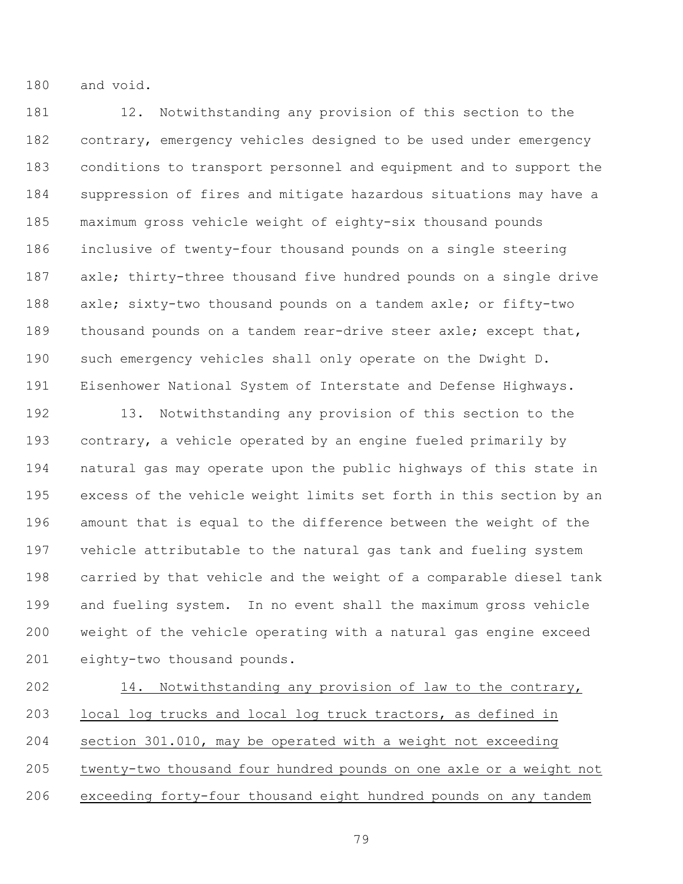and void.

 12. Notwithstanding any provision of this section to the contrary, emergency vehicles designed to be used under emergency conditions to transport personnel and equipment and to support the suppression of fires and mitigate hazardous situations may have a maximum gross vehicle weight of eighty-six thousand pounds inclusive of twenty-four thousand pounds on a single steering axle; thirty-three thousand five hundred pounds on a single drive axle; sixty-two thousand pounds on a tandem axle; or fifty-two thousand pounds on a tandem rear-drive steer axle; except that, such emergency vehicles shall only operate on the Dwight D. Eisenhower National System of Interstate and Defense Highways.

 13. Notwithstanding any provision of this section to the contrary, a vehicle operated by an engine fueled primarily by natural gas may operate upon the public highways of this state in excess of the vehicle weight limits set forth in this section by an amount that is equal to the difference between the weight of the vehicle attributable to the natural gas tank and fueling system carried by that vehicle and the weight of a comparable diesel tank and fueling system. In no event shall the maximum gross vehicle weight of the vehicle operating with a natural gas engine exceed eighty-two thousand pounds.

 14. Notwithstanding any provision of law to the contrary, local log trucks and local log truck tractors, as defined in section 301.010, may be operated with a weight not exceeding twenty-two thousand four hundred pounds on one axle or a weight not exceeding forty-four thousand eight hundred pounds on any tandem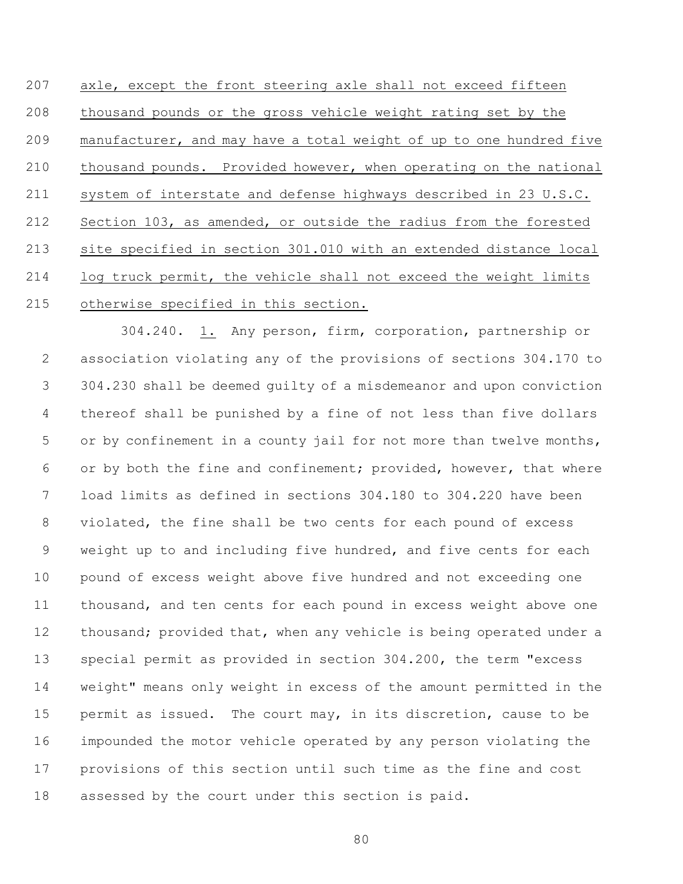axle, except the front steering axle shall not exceed fifteen thousand pounds or the gross vehicle weight rating set by the manufacturer, and may have a total weight of up to one hundred five thousand pounds. Provided however, when operating on the national system of interstate and defense highways described in 23 U.S.C. Section 103, as amended, or outside the radius from the forested site specified in section 301.010 with an extended distance local log truck permit, the vehicle shall not exceed the weight limits otherwise specified in this section.

304.240. 1. Any person, firm, corporation, partnership or association violating any of the provisions of sections 304.170 to 304.230 shall be deemed guilty of a misdemeanor and upon conviction thereof shall be punished by a fine of not less than five dollars 5 or by confinement in a county jail for not more than twelve months, 6 or by both the fine and confinement; provided, however, that where load limits as defined in sections 304.180 to 304.220 have been violated, the fine shall be two cents for each pound of excess weight up to and including five hundred, and five cents for each pound of excess weight above five hundred and not exceeding one thousand, and ten cents for each pound in excess weight above one 12 thousand; provided that, when any vehicle is being operated under a special permit as provided in section 304.200, the term "excess weight" means only weight in excess of the amount permitted in the permit as issued. The court may, in its discretion, cause to be impounded the motor vehicle operated by any person violating the provisions of this section until such time as the fine and cost assessed by the court under this section is paid.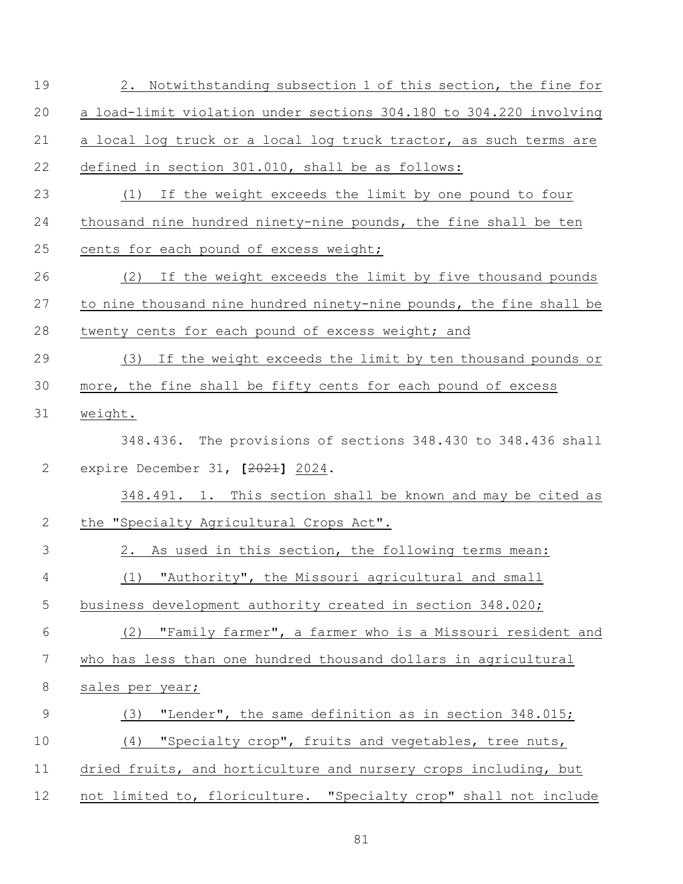| 19             | 2. Notwithstanding subsection 1 of this section, the fine for       |
|----------------|---------------------------------------------------------------------|
| 20             | a load-limit violation under sections 304.180 to 304.220 involving  |
| 21             | a local log truck or a local log truck tractor, as such terms are   |
| 22             | defined in section 301.010, shall be as follows:                    |
| 23             | If the weight exceeds the limit by one pound to four<br>(1)         |
| 24             | thousand nine hundred ninety-nine pounds, the fine shall be ten     |
| 25             | cents for each pound of excess weight;                              |
| 26             | If the weight exceeds the limit by five thousand pounds<br>(2)      |
| 27             | to nine thousand nine hundred ninety-nine pounds, the fine shall be |
| 28             | twenty cents for each pound of excess weight; and                   |
| 29             | If the weight exceeds the limit by ten thousand pounds or<br>(3)    |
| 30             | more, the fine shall be fifty cents for each pound of excess        |
| 31             | weight.                                                             |
|                | 348.436. The provisions of sections 348.430 to 348.436 shall        |
| 2              | expire December 31, [2021] 2024.                                    |
|                | 348.491. 1. This section shall be known and may be cited as         |
| $\mathbf{2}$   | the "Specialty Agricultural Crops Act".                             |
| 3              | As used in this section, the following terms mean:<br>2.            |
| $\overline{4}$ | "Authority", the Missouri agricultural and small<br>(1)             |
| 5              | business development authority created in section 348.020;          |
| $\sqrt{6}$     | (2) "Family farmer", a farmer who is a Missouri resident and        |
| 7              | who has less than one hundred thousand dollars in agricultural      |
| $\,8\,$        | sales per year;                                                     |
| $\mathsf 9$    | "Lender", the same definition as in section 348.015;<br>(3)         |
| 10             | "Specialty crop", fruits and vegetables, tree nuts,<br>(4)          |
| 11             | dried fruits, and horticulture and nursery crops including, but     |
| 12             | not limited to, floriculture. "Specialty crop" shall not include    |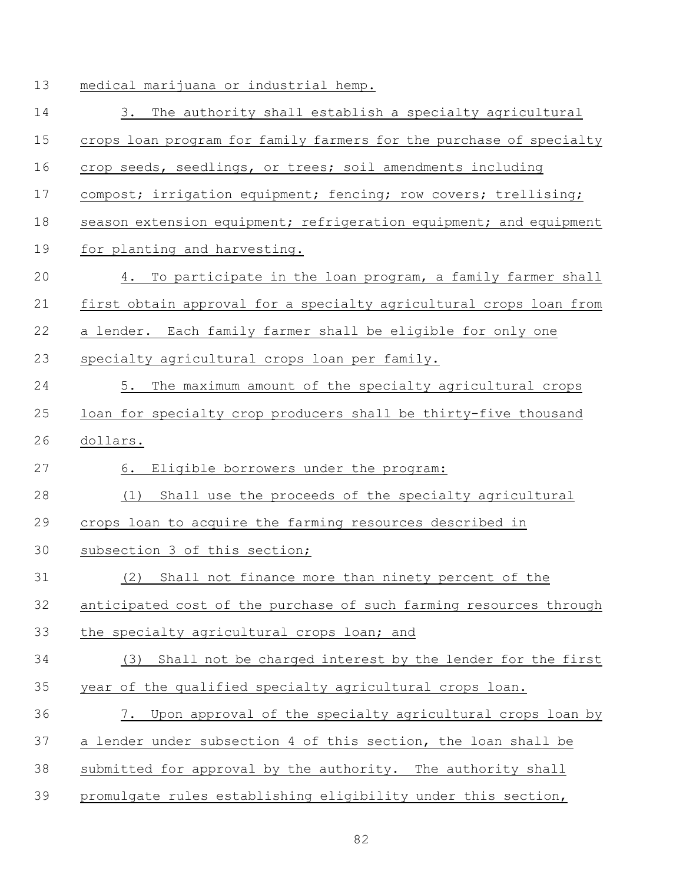medical marijuana or industrial hemp.

 3. The authority shall establish a specialty agricultural crops loan program for family farmers for the purchase of specialty crop seeds, seedlings, or trees; soil amendments including 17 compost; irrigation equipment; fencing; row covers; trellising; 18 season extension equipment; refrigeration equipment; and equipment for planting and harvesting. 4. To participate in the loan program, a family farmer shall first obtain approval for a specialty agricultural crops loan from a lender. Each family farmer shall be eligible for only one specialty agricultural crops loan per family. 5. The maximum amount of the specialty agricultural crops loan for specialty crop producers shall be thirty-five thousand dollars. 6. Eligible borrowers under the program: (1) Shall use the proceeds of the specialty agricultural crops loan to acquire the farming resources described in subsection 3 of this section; (2) Shall not finance more than ninety percent of the anticipated cost of the purchase of such farming resources through the specialty agricultural crops loan; and (3) Shall not be charged interest by the lender for the first year of the qualified specialty agricultural crops loan. 7. Upon approval of the specialty agricultural crops loan by a lender under subsection 4 of this section, the loan shall be submitted for approval by the authority. The authority shall promulgate rules establishing eligibility under this section,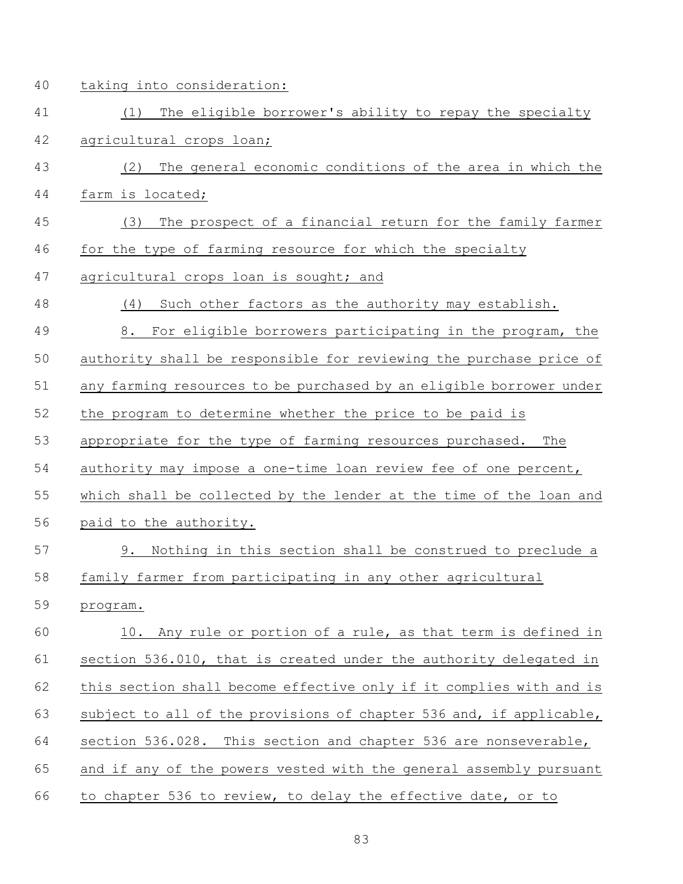taking into consideration:

- (1) The eligible borrower's ability to repay the specialty agricultural crops loan;
- (2) The general economic conditions of the area in which the farm is located;
- (3) The prospect of a financial return for the family farmer for the type of farming resource for which the specialty
- 47 agricultural crops loan is sought; and
- (4) Such other factors as the authority may establish.
- 8. For eligible borrowers participating in the program, the

authority shall be responsible for reviewing the purchase price of

any farming resources to be purchased by an eligible borrower under

the program to determine whether the price to be paid is

appropriate for the type of farming resources purchased. The

- authority may impose a one-time loan review fee of one percent,
- which shall be collected by the lender at the time of the loan and paid to the authority.
- 9. Nothing in this section shall be construed to preclude a
- family farmer from participating in any other agricultural
- program.

 10. Any rule or portion of a rule, as that term is defined in section 536.010, that is created under the authority delegated in this section shall become effective only if it complies with and is subject to all of the provisions of chapter 536 and, if applicable, section 536.028. This section and chapter 536 are nonseverable, and if any of the powers vested with the general assembly pursuant to chapter 536 to review, to delay the effective date, or to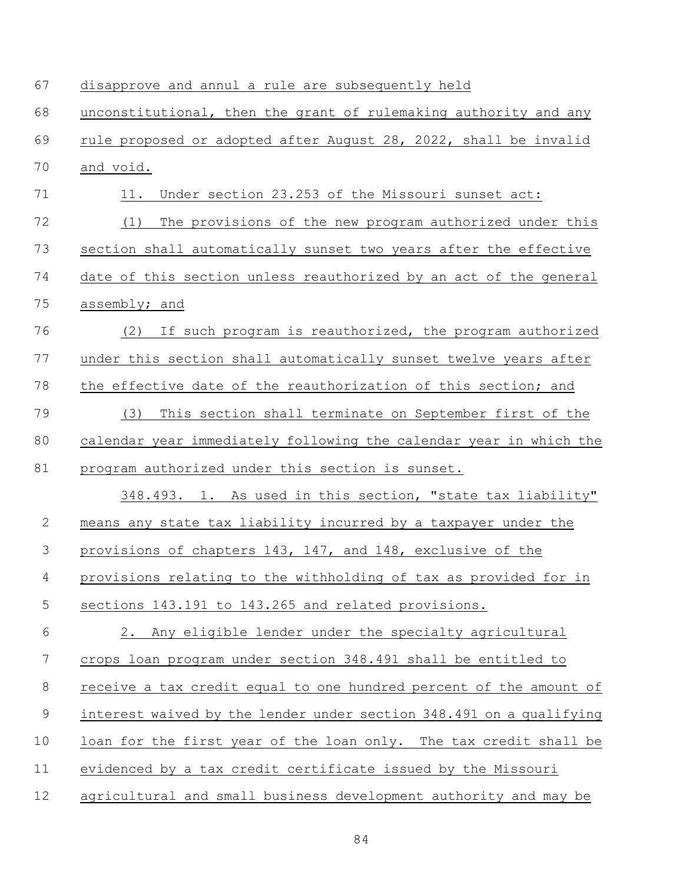| 67          | disapprove and annul a rule are subsequently held                   |
|-------------|---------------------------------------------------------------------|
| 68          | unconstitutional, then the grant of rulemaking authority and any    |
| 69          | rule proposed or adopted after August 28, 2022, shall be invalid    |
| 70          | and void.                                                           |
| 71          | Under section 23.253 of the Missouri sunset act:<br>11.             |
| 72          | The provisions of the new program authorized under this<br>(1)      |
| 73          | section shall automatically sunset two years after the effective    |
| 74          | date of this section unless reauthorized by an act of the general   |
| 75          | assembly; and                                                       |
| 76          | If such program is reauthorized, the program authorized<br>(2)      |
| 77          | under this section shall automatically sunset twelve years after    |
| 78          | the effective date of the reauthorization of this section; and      |
| 79          | This section shall terminate on September first of the<br>(3)       |
| 80          | calendar year immediately following the calendar year in which the  |
| 81          | program authorized under this section is sunset.                    |
|             | 348.493. 1. As used in this section, "state tax liability"          |
| 2           | means any state tax liability incurred by a taxpayer under the      |
| 3           | provisions of chapters 143, 147, and 148, exclusive of the          |
| 4           | provisions relating to the withholding of tax as provided for in    |
| 5           | sections 143.191 to 143.265 and related provisions.                 |
| 6           | Any eligible lender under the specialty agricultural<br>2.          |
| 7           | crops loan program under section 348.491 shall be entitled to       |
| $\,8\,$     | receive a tax credit equal to one hundred percent of the amount of  |
| $\mathsf 9$ | interest waived by the lender under section 348.491 on a qualifying |
| 10          | loan for the first year of the loan only. The tax credit shall be   |
| 11          | evidenced by a tax credit certificate issued by the Missouri        |
| 12          | agricultural and small business development authority and may be    |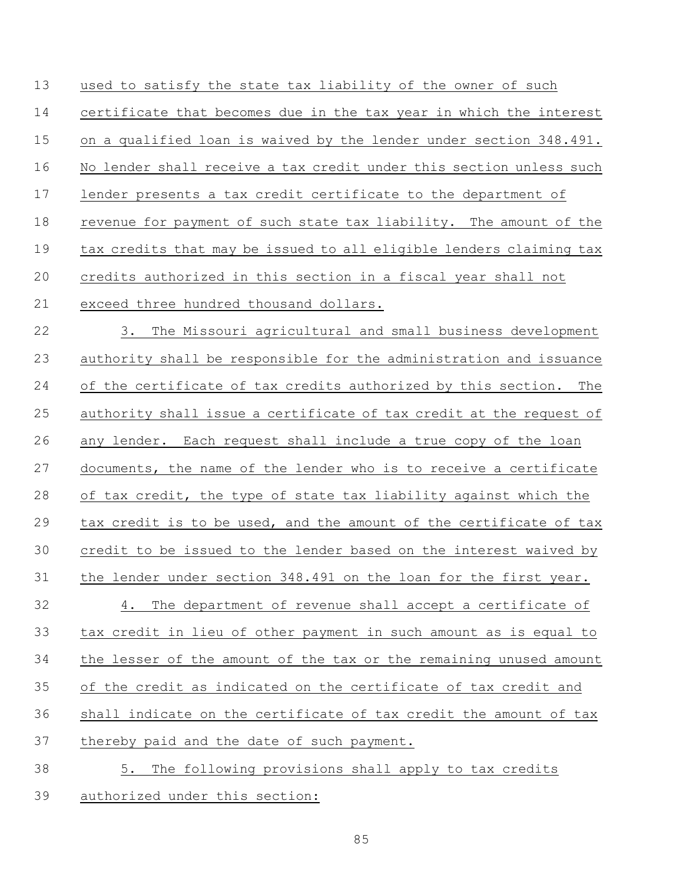used to satisfy the state tax liability of the owner of such certificate that becomes due in the tax year in which the interest on a qualified loan is waived by the lender under section 348.491. No lender shall receive a tax credit under this section unless such lender presents a tax credit certificate to the department of revenue for payment of such state tax liability. The amount of the tax credits that may be issued to all eligible lenders claiming tax credits authorized in this section in a fiscal year shall not exceed three hundred thousand dollars.

 3. The Missouri agricultural and small business development authority shall be responsible for the administration and issuance of the certificate of tax credits authorized by this section. The authority shall issue a certificate of tax credit at the request of any lender. Each request shall include a true copy of the loan documents, the name of the lender who is to receive a certificate of tax credit, the type of state tax liability against which the tax credit is to be used, and the amount of the certificate of tax credit to be issued to the lender based on the interest waived by the lender under section 348.491 on the loan for the first year. 4. The department of revenue shall accept a certificate of tax credit in lieu of other payment in such amount as is equal to the lesser of the amount of the tax or the remaining unused amount of the credit as indicated on the certificate of tax credit and shall indicate on the certificate of tax credit the amount of tax thereby paid and the date of such payment. 5. The following provisions shall apply to tax credits

authorized under this section: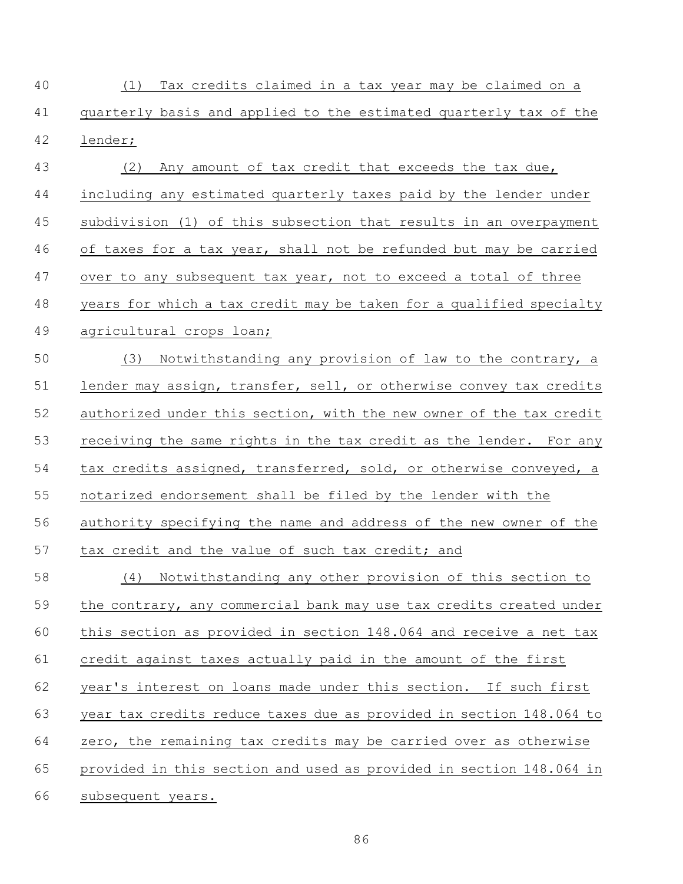(1) Tax credits claimed in a tax year may be claimed on a quarterly basis and applied to the estimated quarterly tax of the lender;

 (2) Any amount of tax credit that exceeds the tax due, including any estimated quarterly taxes paid by the lender under subdivision (1) of this subsection that results in an overpayment 46 of taxes for a tax year, shall not be refunded but may be carried 47 over to any subsequent tax year, not to exceed a total of three years for which a tax credit may be taken for a qualified specialty agricultural crops loan;

 (3) Notwithstanding any provision of law to the contrary, a lender may assign, transfer, sell, or otherwise convey tax credits authorized under this section, with the new owner of the tax credit receiving the same rights in the tax credit as the lender. For any tax credits assigned, transferred, sold, or otherwise conveyed, a notarized endorsement shall be filed by the lender with the authority specifying the name and address of the new owner of the tax credit and the value of such tax credit; and

 (4) Notwithstanding any other provision of this section to the contrary, any commercial bank may use tax credits created under this section as provided in section 148.064 and receive a net tax credit against taxes actually paid in the amount of the first 62 year's interest on loans made under this section. If such first year tax credits reduce taxes due as provided in section 148.064 to zero, the remaining tax credits may be carried over as otherwise provided in this section and used as provided in section 148.064 in subsequent years.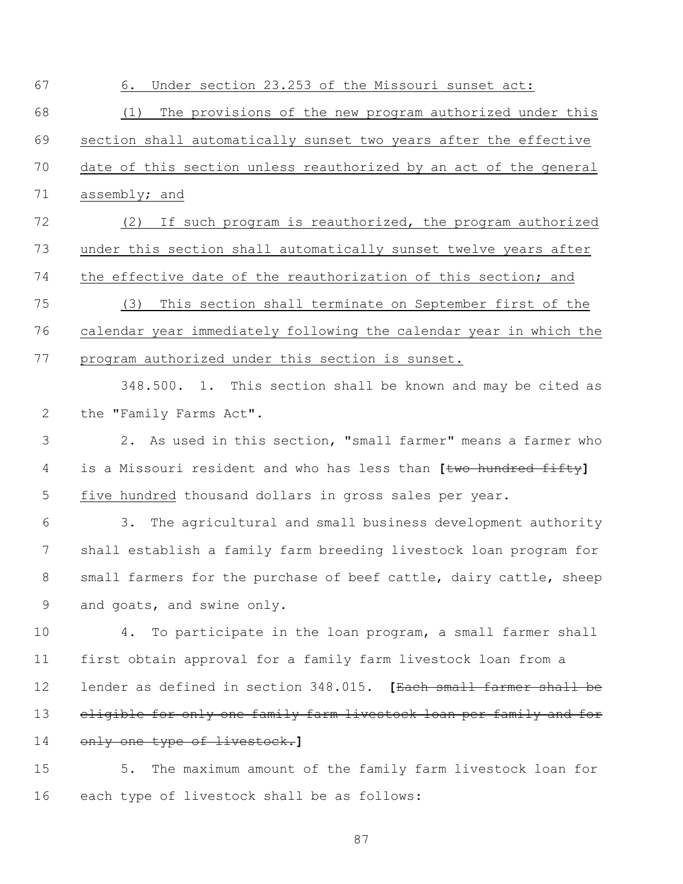| 67             | 6.<br>Under section 23.253 of the Missouri sunset act:              |
|----------------|---------------------------------------------------------------------|
| 68             | The provisions of the new program authorized under this<br>(1)      |
| 69             | section shall automatically sunset two years after the effective    |
| 70             | date of this section unless reauthorized by an act of the general   |
| 71             | assembly; and                                                       |
| 72             | If such program is reauthorized, the program authorized<br>(2)      |
| 73             | under this section shall automatically sunset twelve years after    |
| 74             | the effective date of the reauthorization of this section; and      |
| 75             | This section shall terminate on September first of the<br>(3)       |
| 76             | calendar year immediately following the calendar year in which the  |
| 77             | program authorized under this section is sunset.                    |
|                | 348.500. 1. This section shall be known and may be cited as         |
| 2              | the "Family Farms Act".                                             |
| 3              | As used in this section, "small farmer" means a farmer who<br>2.    |
| $\overline{4}$ | is a Missouri resident and who has less than [two hundred fifty]    |
| 5              | five hundred thousand dollars in gross sales per year.              |
| 6              | The agricultural and small business development authority<br>3.     |
| 7              | shall establish a family farm breeding livestock loan program for   |
| 8              | small farmers for the purchase of beef cattle, dairy cattle, sheep  |
| 9              | and goats, and swine only.                                          |
| 10             | To participate in the loan program, a small farmer shall<br>4.      |
| 11             | first obtain approval for a family farm livestock loan from a       |
| 12             | lender as defined in section 348.015. [Each small farmer shall be   |
| 13             | eligible for only one family farm livestock loan per family and for |
| 14             | only one type of livestock.]                                        |
| 15             | The maximum amount of the family farm livestock loan for<br>5.      |
| 16             | each type of livestock shall be as follows:                         |
|                |                                                                     |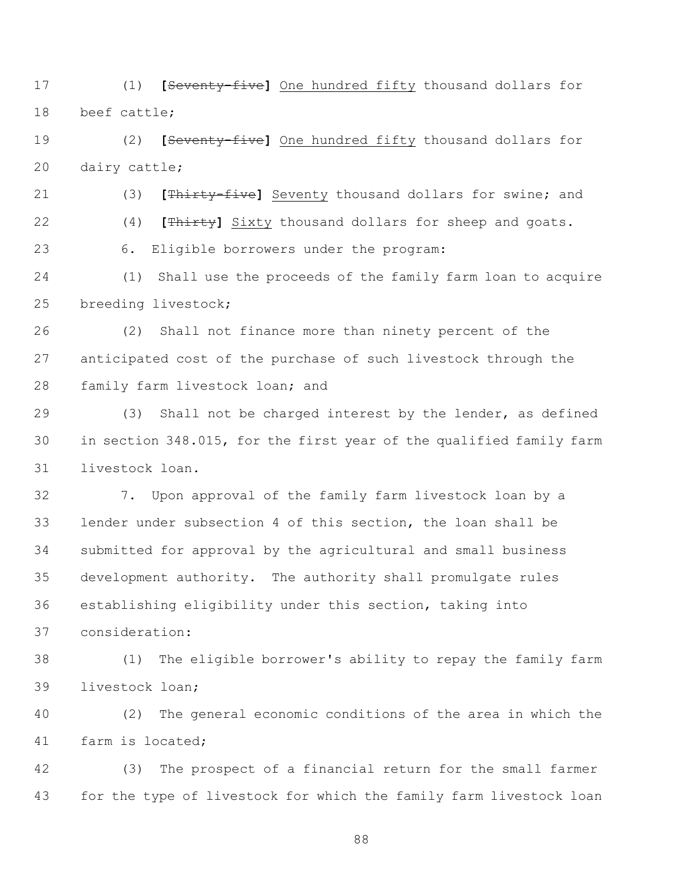(1) **[**Seventy-five**]** One hundred fifty thousand dollars for beef cattle;

 (2) **[**Seventy-five**]** One hundred fifty thousand dollars for dairy cattle;

(3) **[**Thirty-five**]** Seventy thousand dollars for swine; and

(4) **[**Thirty**]** Sixty thousand dollars for sheep and goats.

6. Eligible borrowers under the program:

 (1) Shall use the proceeds of the family farm loan to acquire breeding livestock;

 (2) Shall not finance more than ninety percent of the anticipated cost of the purchase of such livestock through the family farm livestock loan; and

 (3) Shall not be charged interest by the lender, as defined in section 348.015, for the first year of the qualified family farm livestock loan.

 7. Upon approval of the family farm livestock loan by a lender under subsection 4 of this section, the loan shall be submitted for approval by the agricultural and small business development authority. The authority shall promulgate rules establishing eligibility under this section, taking into consideration:

 (1) The eligible borrower's ability to repay the family farm livestock loan;

 (2) The general economic conditions of the area in which the farm is located;

 (3) The prospect of a financial return for the small farmer for the type of livestock for which the family farm livestock loan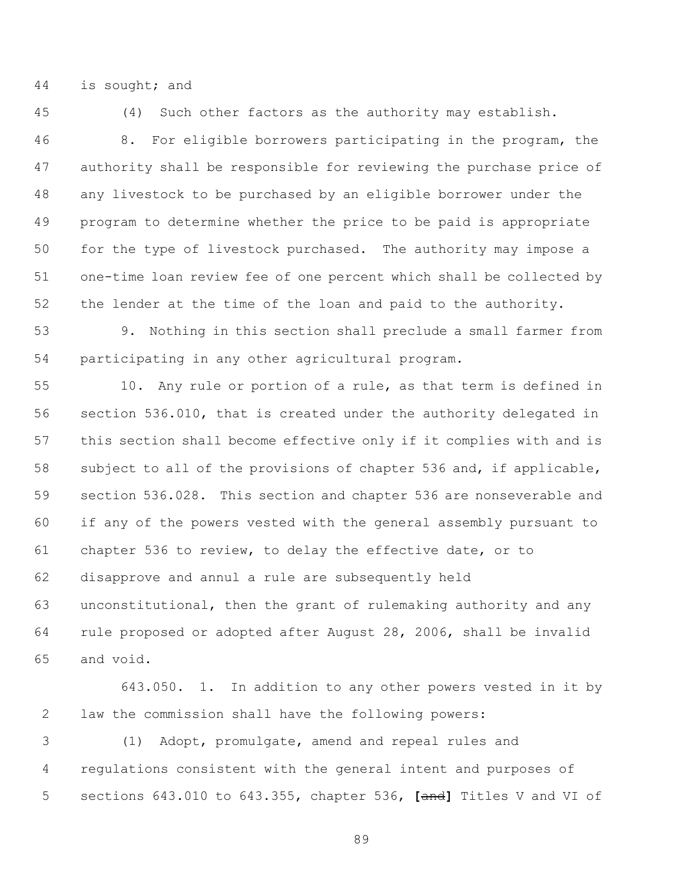is sought; and

(4) Such other factors as the authority may establish.

 8. For eligible borrowers participating in the program, the authority shall be responsible for reviewing the purchase price of any livestock to be purchased by an eligible borrower under the program to determine whether the price to be paid is appropriate for the type of livestock purchased. The authority may impose a one-time loan review fee of one percent which shall be collected by the lender at the time of the loan and paid to the authority.

 9. Nothing in this section shall preclude a small farmer from participating in any other agricultural program.

 10. Any rule or portion of a rule, as that term is defined in section 536.010, that is created under the authority delegated in this section shall become effective only if it complies with and is subject to all of the provisions of chapter 536 and, if applicable, section 536.028. This section and chapter 536 are nonseverable and if any of the powers vested with the general assembly pursuant to chapter 536 to review, to delay the effective date, or to disapprove and annul a rule are subsequently held unconstitutional, then the grant of rulemaking authority and any rule proposed or adopted after August 28, 2006, shall be invalid and void.

643.050. 1. In addition to any other powers vested in it by law the commission shall have the following powers:

 (1) Adopt, promulgate, amend and repeal rules and regulations consistent with the general intent and purposes of sections 643.010 to 643.355, chapter 536, **[**and**]** Titles V and VI of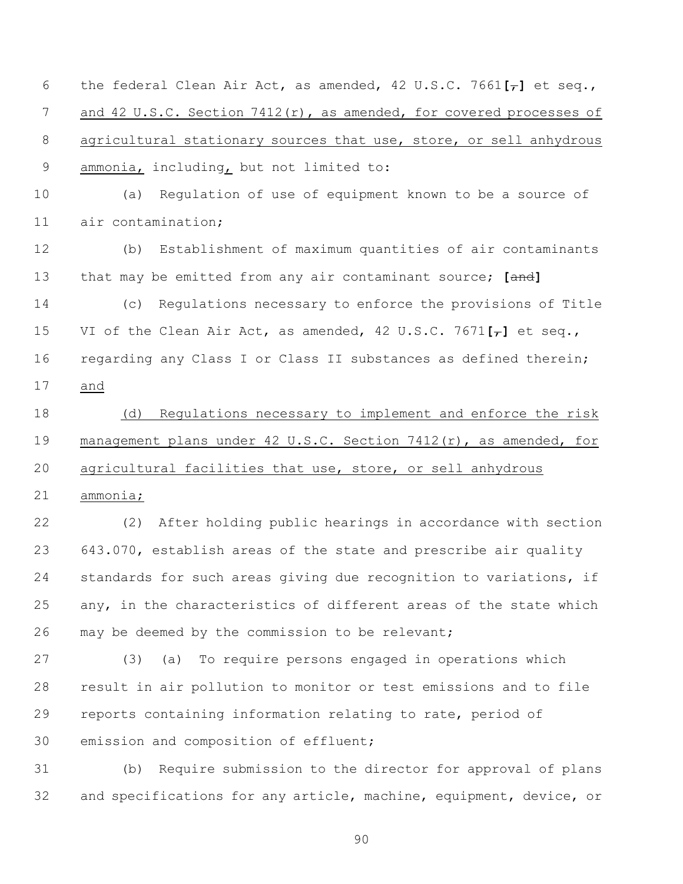the federal Clean Air Act, as amended, 42 U.S.C. 7661**[**,**]** et seq., 7 and 42 U.S.C. Section 7412(r), as amended, for covered processes of 8 agricultural stationary sources that use, store, or sell anhydrous ammonia, including, but not limited to:

 (a) Regulation of use of equipment known to be a source of air contamination;

 (b) Establishment of maximum quantities of air contaminants that may be emitted from any air contaminant source; **[**and**]**

 (c) Regulations necessary to enforce the provisions of Title VI of the Clean Air Act, as amended, 42 U.S.C. 7671**[**,**]** et seq., regarding any Class I or Class II substances as defined therein; and

 (d) Regulations necessary to implement and enforce the risk 19 management plans under 42 U.S.C. Section 7412(r), as amended, for agricultural facilities that use, store, or sell anhydrous

ammonia;

 (2) After holding public hearings in accordance with section 643.070, establish areas of the state and prescribe air quality standards for such areas giving due recognition to variations, if any, in the characteristics of different areas of the state which may be deemed by the commission to be relevant;

 (3) (a) To require persons engaged in operations which result in air pollution to monitor or test emissions and to file reports containing information relating to rate, period of emission and composition of effluent;

 (b) Require submission to the director for approval of plans and specifications for any article, machine, equipment, device, or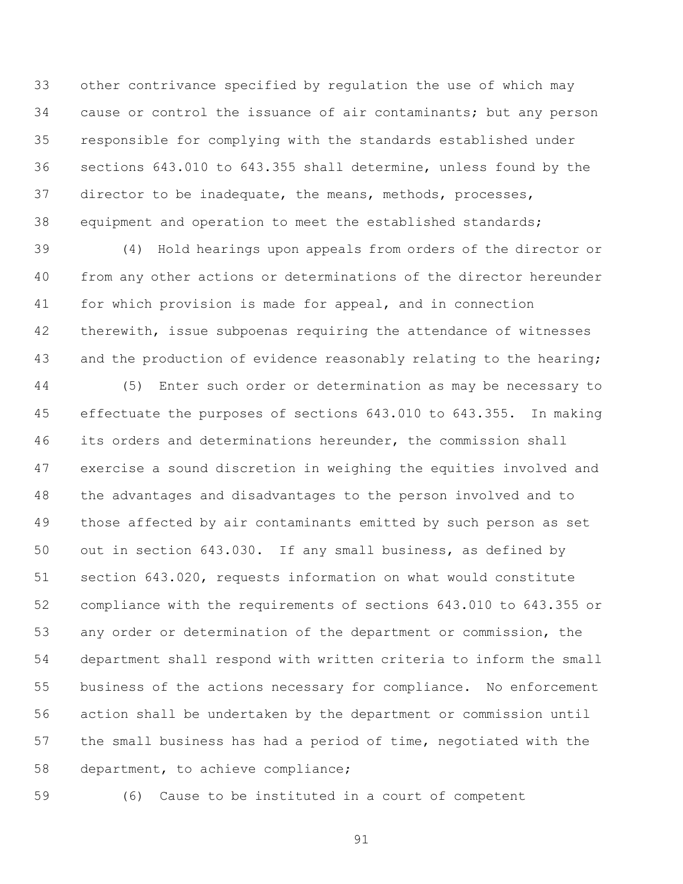other contrivance specified by regulation the use of which may 34 cause or control the issuance of air contaminants; but any person responsible for complying with the standards established under sections 643.010 to 643.355 shall determine, unless found by the director to be inadequate, the means, methods, processes, equipment and operation to meet the established standards;

 (4) Hold hearings upon appeals from orders of the director or from any other actions or determinations of the director hereunder 41 for which provision is made for appeal, and in connection 42 therewith, issue subpoenas requiring the attendance of witnesses 43 and the production of evidence reasonably relating to the hearing;

 (5) Enter such order or determination as may be necessary to effectuate the purposes of sections 643.010 to 643.355. In making its orders and determinations hereunder, the commission shall exercise a sound discretion in weighing the equities involved and the advantages and disadvantages to the person involved and to those affected by air contaminants emitted by such person as set out in section 643.030. If any small business, as defined by section 643.020, requests information on what would constitute compliance with the requirements of sections 643.010 to 643.355 or any order or determination of the department or commission, the department shall respond with written criteria to inform the small business of the actions necessary for compliance. No enforcement action shall be undertaken by the department or commission until the small business has had a period of time, negotiated with the department, to achieve compliance;

(6) Cause to be instituted in a court of competent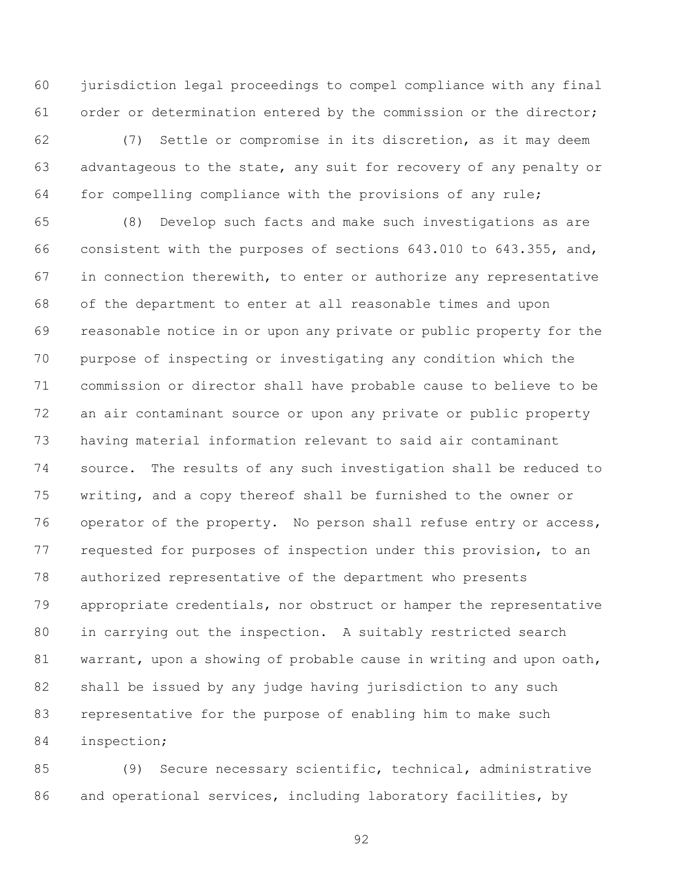jurisdiction legal proceedings to compel compliance with any final order or determination entered by the commission or the director;

 (7) Settle or compromise in its discretion, as it may deem advantageous to the state, any suit for recovery of any penalty or for compelling compliance with the provisions of any rule;

 (8) Develop such facts and make such investigations as are consistent with the purposes of sections 643.010 to 643.355, and, 67 in connection therewith, to enter or authorize any representative of the department to enter at all reasonable times and upon reasonable notice in or upon any private or public property for the purpose of inspecting or investigating any condition which the commission or director shall have probable cause to believe to be an air contaminant source or upon any private or public property having material information relevant to said air contaminant source. The results of any such investigation shall be reduced to writing, and a copy thereof shall be furnished to the owner or 76 operator of the property. No person shall refuse entry or access, requested for purposes of inspection under this provision, to an authorized representative of the department who presents appropriate credentials, nor obstruct or hamper the representative in carrying out the inspection. A suitably restricted search warrant, upon a showing of probable cause in writing and upon oath, shall be issued by any judge having jurisdiction to any such representative for the purpose of enabling him to make such inspection;

 (9) Secure necessary scientific, technical, administrative and operational services, including laboratory facilities, by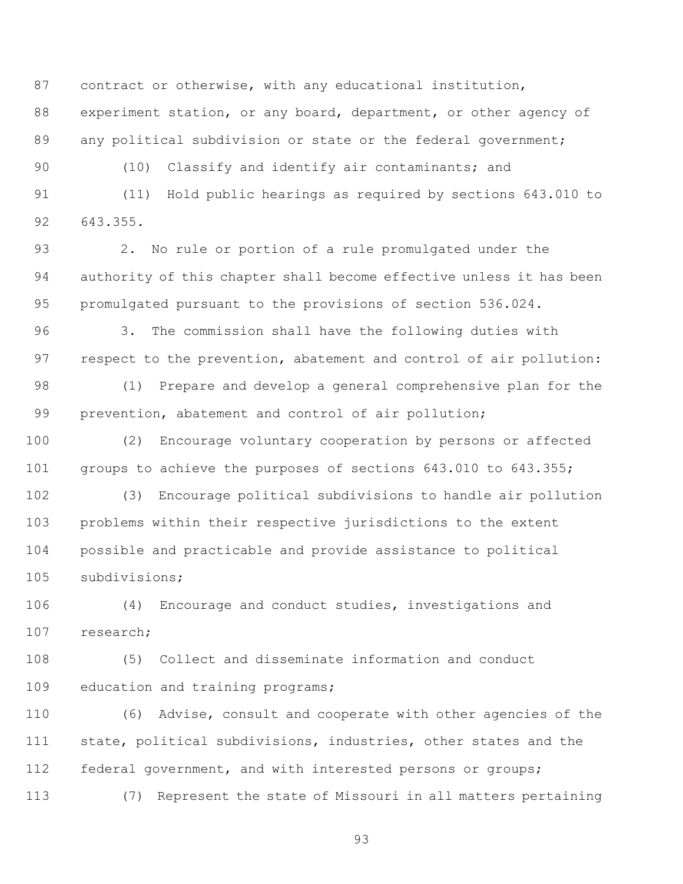contract or otherwise, with any educational institution, experiment station, or any board, department, or other agency of 89 any political subdivision or state or the federal government;

(10) Classify and identify air contaminants; and

 (11) Hold public hearings as required by sections 643.010 to 643.355.

 2. No rule or portion of a rule promulgated under the authority of this chapter shall become effective unless it has been promulgated pursuant to the provisions of section 536.024.

 3. The commission shall have the following duties with respect to the prevention, abatement and control of air pollution:

 (1) Prepare and develop a general comprehensive plan for the prevention, abatement and control of air pollution;

 (2) Encourage voluntary cooperation by persons or affected groups to achieve the purposes of sections 643.010 to 643.355;

 (3) Encourage political subdivisions to handle air pollution problems within their respective jurisdictions to the extent possible and practicable and provide assistance to political subdivisions;

 (4) Encourage and conduct studies, investigations and research;

 (5) Collect and disseminate information and conduct education and training programs;

 (6) Advise, consult and cooperate with other agencies of the state, political subdivisions, industries, other states and the federal government, and with interested persons or groups;

(7) Represent the state of Missouri in all matters pertaining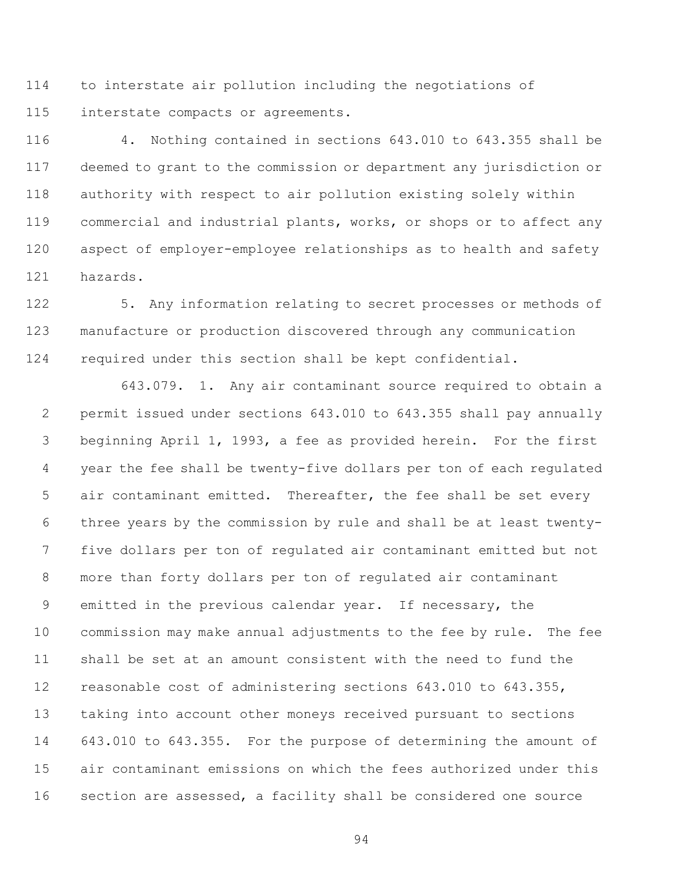to interstate air pollution including the negotiations of interstate compacts or agreements.

 4. Nothing contained in sections 643.010 to 643.355 shall be deemed to grant to the commission or department any jurisdiction or authority with respect to air pollution existing solely within commercial and industrial plants, works, or shops or to affect any aspect of employer-employee relationships as to health and safety hazards.

 5. Any information relating to secret processes or methods of manufacture or production discovered through any communication required under this section shall be kept confidential.

643.079. 1. Any air contaminant source required to obtain a permit issued under sections 643.010 to 643.355 shall pay annually beginning April 1, 1993, a fee as provided herein. For the first year the fee shall be twenty-five dollars per ton of each regulated air contaminant emitted. Thereafter, the fee shall be set every three years by the commission by rule and shall be at least twenty- five dollars per ton of regulated air contaminant emitted but not more than forty dollars per ton of regulated air contaminant emitted in the previous calendar year. If necessary, the commission may make annual adjustments to the fee by rule. The fee shall be set at an amount consistent with the need to fund the reasonable cost of administering sections 643.010 to 643.355, taking into account other moneys received pursuant to sections 643.010 to 643.355. For the purpose of determining the amount of air contaminant emissions on which the fees authorized under this section are assessed, a facility shall be considered one source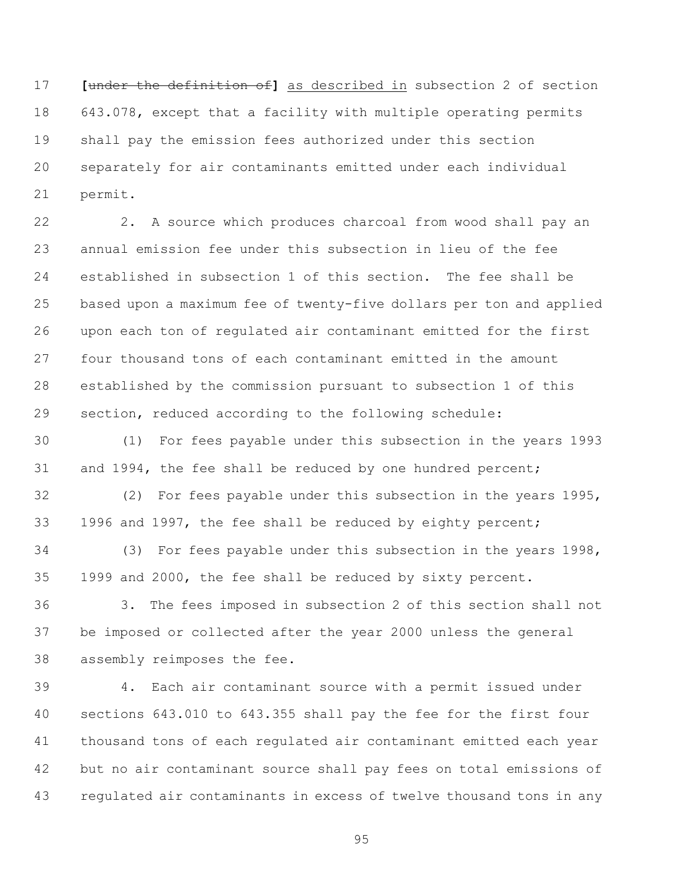**[**under the definition of**]** as described in subsection 2 of section 643.078, except that a facility with multiple operating permits shall pay the emission fees authorized under this section separately for air contaminants emitted under each individual permit.

 2. A source which produces charcoal from wood shall pay an annual emission fee under this subsection in lieu of the fee established in subsection 1 of this section. The fee shall be based upon a maximum fee of twenty-five dollars per ton and applied upon each ton of regulated air contaminant emitted for the first four thousand tons of each contaminant emitted in the amount established by the commission pursuant to subsection 1 of this section, reduced according to the following schedule:

 (1) For fees payable under this subsection in the years 1993 31 and 1994, the fee shall be reduced by one hundred percent;

 (2) For fees payable under this subsection in the years 1995, 1996 and 1997, the fee shall be reduced by eighty percent;

 (3) For fees payable under this subsection in the years 1998, 1999 and 2000, the fee shall be reduced by sixty percent.

 3. The fees imposed in subsection 2 of this section shall not be imposed or collected after the year 2000 unless the general assembly reimposes the fee.

 4. Each air contaminant source with a permit issued under sections 643.010 to 643.355 shall pay the fee for the first four thousand tons of each regulated air contaminant emitted each year but no air contaminant source shall pay fees on total emissions of regulated air contaminants in excess of twelve thousand tons in any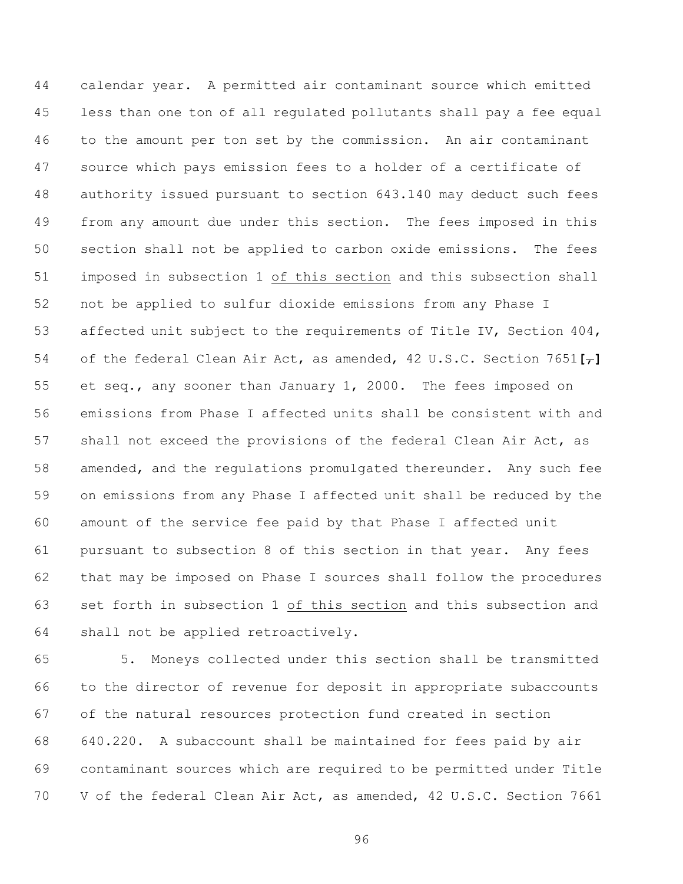calendar year. A permitted air contaminant source which emitted less than one ton of all regulated pollutants shall pay a fee equal to the amount per ton set by the commission. An air contaminant source which pays emission fees to a holder of a certificate of authority issued pursuant to section 643.140 may deduct such fees from any amount due under this section. The fees imposed in this section shall not be applied to carbon oxide emissions. The fees imposed in subsection 1 of this section and this subsection shall not be applied to sulfur dioxide emissions from any Phase I affected unit subject to the requirements of Title IV, Section 404, of the federal Clean Air Act, as amended, 42 U.S.C. Section 7651**[**,**]** et seq., any sooner than January 1, 2000. The fees imposed on emissions from Phase I affected units shall be consistent with and 57 shall not exceed the provisions of the federal Clean Air Act, as amended, and the regulations promulgated thereunder. Any such fee on emissions from any Phase I affected unit shall be reduced by the amount of the service fee paid by that Phase I affected unit pursuant to subsection 8 of this section in that year. Any fees that may be imposed on Phase I sources shall follow the procedures set forth in subsection 1 of this section and this subsection and shall not be applied retroactively.

 5. Moneys collected under this section shall be transmitted to the director of revenue for deposit in appropriate subaccounts of the natural resources protection fund created in section 640.220. A subaccount shall be maintained for fees paid by air contaminant sources which are required to be permitted under Title V of the federal Clean Air Act, as amended, 42 U.S.C. Section 7661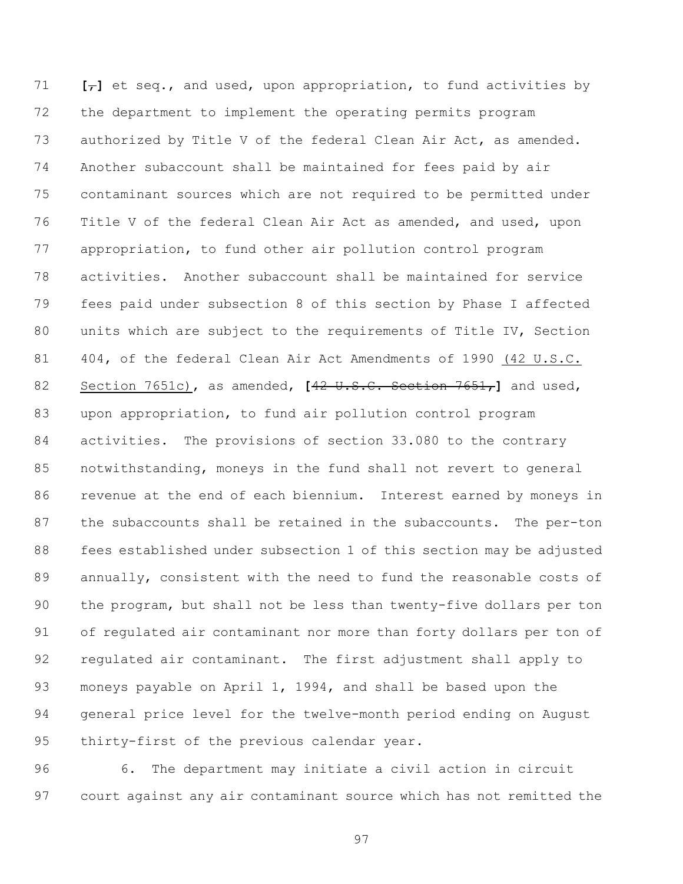$[-]$  et seq., and used, upon appropriation, to fund activities by the department to implement the operating permits program authorized by Title V of the federal Clean Air Act, as amended. Another subaccount shall be maintained for fees paid by air contaminant sources which are not required to be permitted under Title V of the federal Clean Air Act as amended, and used, upon appropriation, to fund other air pollution control program activities. Another subaccount shall be maintained for service fees paid under subsection 8 of this section by Phase I affected units which are subject to the requirements of Title IV, Section 404, of the federal Clean Air Act Amendments of 1990 (42 U.S.C. Section 7651c), as amended, **[**42 U.S.C. Section 7651,**]** and used, upon appropriation, to fund air pollution control program activities. The provisions of section 33.080 to the contrary notwithstanding, moneys in the fund shall not revert to general revenue at the end of each biennium. Interest earned by moneys in the subaccounts shall be retained in the subaccounts. The per-ton fees established under subsection 1 of this section may be adjusted annually, consistent with the need to fund the reasonable costs of the program, but shall not be less than twenty-five dollars per ton of regulated air contaminant nor more than forty dollars per ton of regulated air contaminant. The first adjustment shall apply to moneys payable on April 1, 1994, and shall be based upon the general price level for the twelve-month period ending on August thirty-first of the previous calendar year.

 6. The department may initiate a civil action in circuit court against any air contaminant source which has not remitted the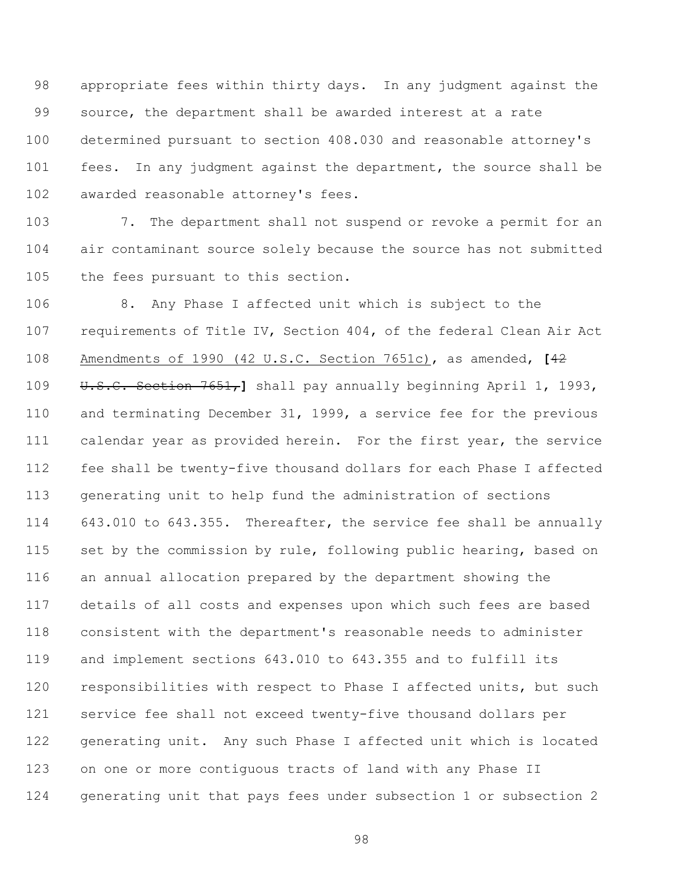appropriate fees within thirty days. In any judgment against the source, the department shall be awarded interest at a rate determined pursuant to section 408.030 and reasonable attorney's fees. In any judgment against the department, the source shall be awarded reasonable attorney's fees.

 7. The department shall not suspend or revoke a permit for an air contaminant source solely because the source has not submitted the fees pursuant to this section.

 8. Any Phase I affected unit which is subject to the requirements of Title IV, Section 404, of the federal Clean Air Act Amendments of 1990 (42 U.S.C. Section 7651c), as amended, **[**42 U.S.C. Section 7651,**]** shall pay annually beginning April 1, 1993, and terminating December 31, 1999, a service fee for the previous calendar year as provided herein. For the first year, the service fee shall be twenty-five thousand dollars for each Phase I affected generating unit to help fund the administration of sections 643.010 to 643.355. Thereafter, the service fee shall be annually set by the commission by rule, following public hearing, based on an annual allocation prepared by the department showing the details of all costs and expenses upon which such fees are based consistent with the department's reasonable needs to administer and implement sections 643.010 to 643.355 and to fulfill its 120 responsibilities with respect to Phase I affected units, but such service fee shall not exceed twenty-five thousand dollars per generating unit. Any such Phase I affected unit which is located on one or more contiguous tracts of land with any Phase II generating unit that pays fees under subsection 1 or subsection 2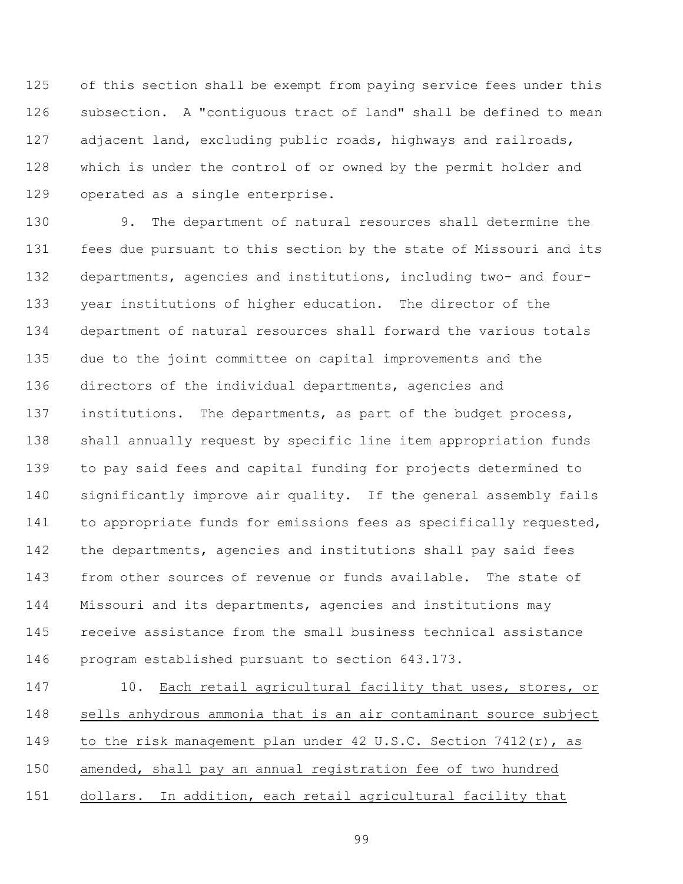of this section shall be exempt from paying service fees under this subsection. A "contiguous tract of land" shall be defined to mean adjacent land, excluding public roads, highways and railroads, which is under the control of or owned by the permit holder and operated as a single enterprise.

 9. The department of natural resources shall determine the fees due pursuant to this section by the state of Missouri and its departments, agencies and institutions, including two- and four- year institutions of higher education. The director of the department of natural resources shall forward the various totals due to the joint committee on capital improvements and the directors of the individual departments, agencies and institutions. The departments, as part of the budget process, shall annually request by specific line item appropriation funds to pay said fees and capital funding for projects determined to significantly improve air quality. If the general assembly fails to appropriate funds for emissions fees as specifically requested, the departments, agencies and institutions shall pay said fees from other sources of revenue or funds available. The state of Missouri and its departments, agencies and institutions may receive assistance from the small business technical assistance program established pursuant to section 643.173.

147 10. Each retail agricultural facility that uses, stores, or sells anhydrous ammonia that is an air contaminant source subject 149 to the risk management plan under 42 U.S.C. Section 7412(r), as amended, shall pay an annual registration fee of two hundred dollars. In addition, each retail agricultural facility that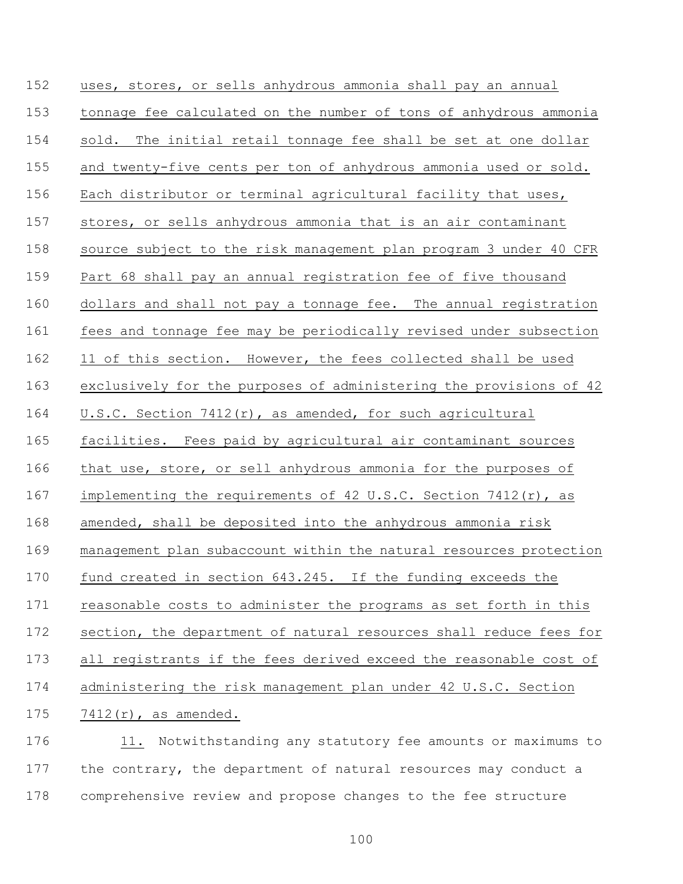uses, stores, or sells anhydrous ammonia shall pay an annual tonnage fee calculated on the number of tons of anhydrous ammonia sold. The initial retail tonnage fee shall be set at one dollar and twenty-five cents per ton of anhydrous ammonia used or sold. Each distributor or terminal agricultural facility that uses, stores, or sells anhydrous ammonia that is an air contaminant source subject to the risk management plan program 3 under 40 CFR Part 68 shall pay an annual registration fee of five thousand dollars and shall not pay a tonnage fee. The annual registration fees and tonnage fee may be periodically revised under subsection 11 of this section. However, the fees collected shall be used exclusively for the purposes of administering the provisions of 42 U.S.C. Section 7412(r), as amended, for such agricultural facilities. Fees paid by agricultural air contaminant sources that use, store, or sell anhydrous ammonia for the purposes of 167 implementing the requirements of 42 U.S.C. Section 7412(r), as amended, shall be deposited into the anhydrous ammonia risk management plan subaccount within the natural resources protection fund created in section 643.245. If the funding exceeds the reasonable costs to administer the programs as set forth in this section, the department of natural resources shall reduce fees for all registrants if the fees derived exceed the reasonable cost of administering the risk management plan under 42 U.S.C. Section 7412(r), as amended.

 11. Notwithstanding any statutory fee amounts or maximums to the contrary, the department of natural resources may conduct a comprehensive review and propose changes to the fee structure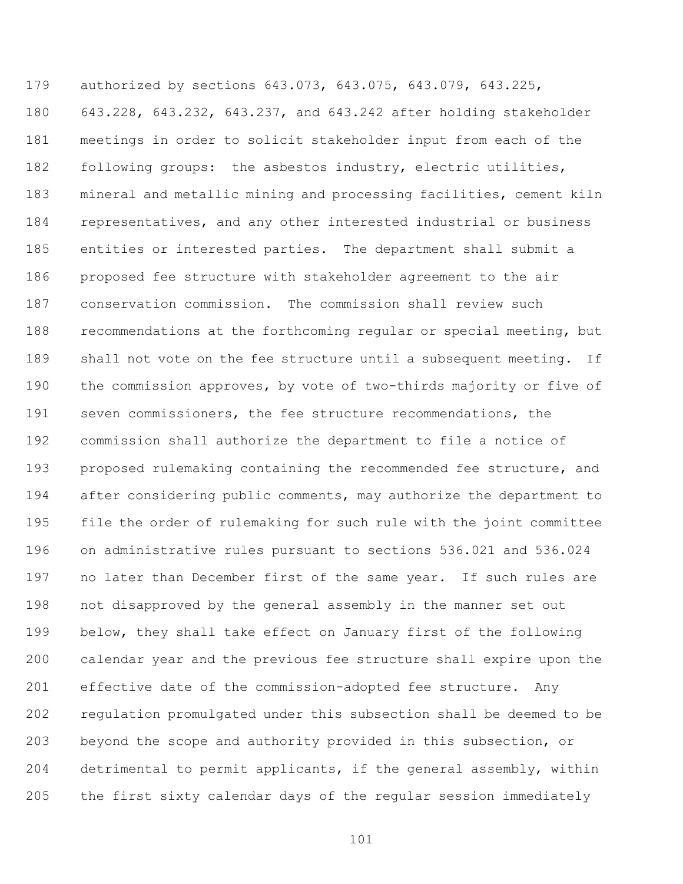authorized by sections 643.073, 643.075, 643.079, 643.225, 643.228, 643.232, 643.237, and 643.242 after holding stakeholder meetings in order to solicit stakeholder input from each of the following groups: the asbestos industry, electric utilities, mineral and metallic mining and processing facilities, cement kiln representatives, and any other interested industrial or business entities or interested parties. The department shall submit a proposed fee structure with stakeholder agreement to the air conservation commission. The commission shall review such recommendations at the forthcoming regular or special meeting, but 189 shall not vote on the fee structure until a subsequent meeting. If the commission approves, by vote of two-thirds majority or five of seven commissioners, the fee structure recommendations, the commission shall authorize the department to file a notice of proposed rulemaking containing the recommended fee structure, and after considering public comments, may authorize the department to file the order of rulemaking for such rule with the joint committee on administrative rules pursuant to sections 536.021 and 536.024 197 no later than December first of the same year. If such rules are not disapproved by the general assembly in the manner set out below, they shall take effect on January first of the following calendar year and the previous fee structure shall expire upon the effective date of the commission-adopted fee structure. Any regulation promulgated under this subsection shall be deemed to be beyond the scope and authority provided in this subsection, or detrimental to permit applicants, if the general assembly, within the first sixty calendar days of the regular session immediately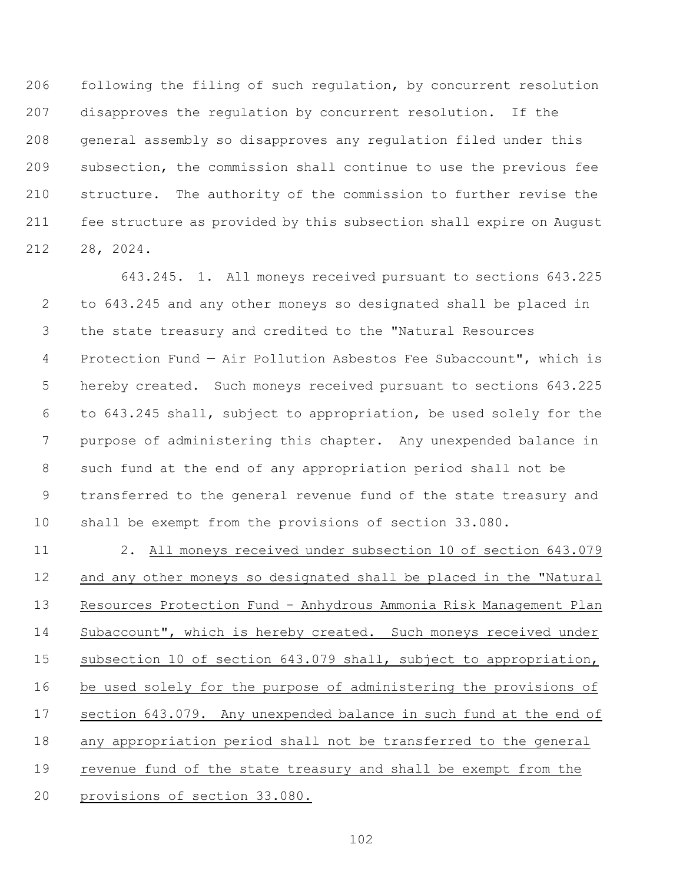following the filing of such regulation, by concurrent resolution disapproves the regulation by concurrent resolution. If the general assembly so disapproves any regulation filed under this subsection, the commission shall continue to use the previous fee structure. The authority of the commission to further revise the fee structure as provided by this subsection shall expire on August 28, 2024.

643.245. 1. All moneys received pursuant to sections 643.225 to 643.245 and any other moneys so designated shall be placed in the state treasury and credited to the "Natural Resources Protection Fund — Air Pollution Asbestos Fee Subaccount", which is hereby created. Such moneys received pursuant to sections 643.225 to 643.245 shall, subject to appropriation, be used solely for the purpose of administering this chapter. Any unexpended balance in such fund at the end of any appropriation period shall not be transferred to the general revenue fund of the state treasury and shall be exempt from the provisions of section 33.080.

 2. All moneys received under subsection 10 of section 643.079 and any other moneys so designated shall be placed in the "Natural Resources Protection Fund - Anhydrous Ammonia Risk Management Plan 14 Subaccount", which is hereby created. Such moneys received under 15 subsection 10 of section 643.079 shall, subject to appropriation, 16 be used solely for the purpose of administering the provisions of section 643.079. Any unexpended balance in such fund at the end of any appropriation period shall not be transferred to the general revenue fund of the state treasury and shall be exempt from the provisions of section 33.080.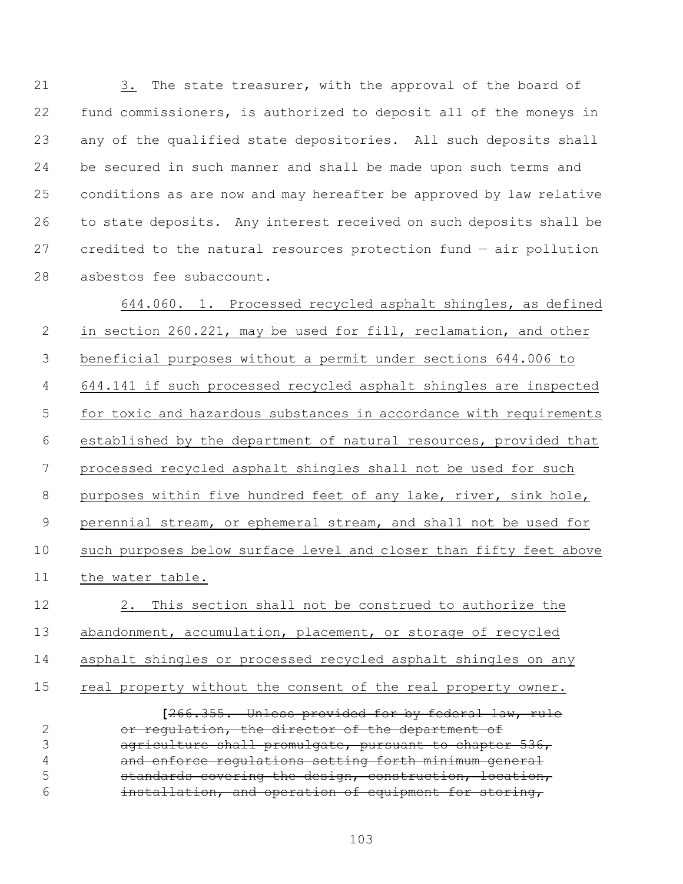21 3. The state treasurer, with the approval of the board of fund commissioners, is authorized to deposit all of the moneys in any of the qualified state depositories. All such deposits shall be secured in such manner and shall be made upon such terms and conditions as are now and may hereafter be approved by law relative to state deposits. Any interest received on such deposits shall be credited to the natural resources protection fund — air pollution asbestos fee subaccount.

644.060. 1. Processed recycled asphalt shingles, as defined in section 260.221, may be used for fill, reclamation, and other beneficial purposes without a permit under sections 644.006 to 644.141 if such processed recycled asphalt shingles are inspected for toxic and hazardous substances in accordance with requirements established by the department of natural resources, provided that processed recycled asphalt shingles shall not be used for such purposes within five hundred feet of any lake, river, sink hole, perennial stream, or ephemeral stream, and shall not be used for such purposes below surface level and closer than fifty feet above the water table. 2. This section shall not be construed to authorize the abandonment, accumulation, placement, or storage of recycled asphalt shingles or processed recycled asphalt shingles on any 15 real property without the consent of the real property owner.

**[**266.355. Unless provided for by federal law, rule or regulation, the director of the department of 3 agriculture shall promulgate, pursuant to chapter 536, and enforce regulations setting forth minimum general **standards covering the design, construction, location,** installation, and operation of equipment for storing,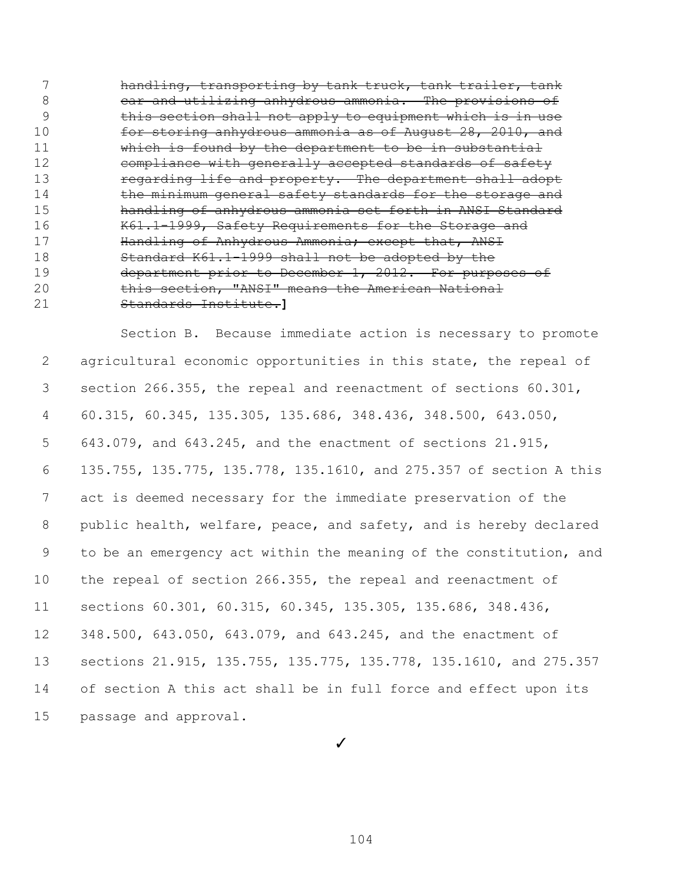handling, transporting by tank truck, tank trailer, tank 8 car and utilizing anhydrous ammonia. The provisions of this section shall not apply to equipment which is in use for storing anhydrous ammonia as of August 28, 2010, and 11 Which is found by the department to be in substantial **compliance with generally accepted standards of safety** 13 regarding life and property. The department shall adopt 14 the minimum general safety standards for the storage and handling of anhydrous ammonia set forth in ANSI Standard 16 K61.1-1999, Safety Requirements for the Storage and **Handling of Anhydrous Ammonia; except that, ANSI**  Standard K61.1-1999 shall not be adopted by the 19 department prior to December 1, 2012. For purposes of **this section, "ANSI" means the American National** Standards Institute.**]**

Section B. Because immediate action is necessary to promote agricultural economic opportunities in this state, the repeal of section 266.355, the repeal and reenactment of sections 60.301, 60.315, 60.345, 135.305, 135.686, 348.436, 348.500, 643.050, 643.079, and 643.245, and the enactment of sections 21.915, 135.755, 135.775, 135.778, 135.1610, and 275.357 of section A this act is deemed necessary for the immediate preservation of the public health, welfare, peace, and safety, and is hereby declared to be an emergency act within the meaning of the constitution, and the repeal of section 266.355, the repeal and reenactment of sections 60.301, 60.315, 60.345, 135.305, 135.686, 348.436, 348.500, 643.050, 643.079, and 643.245, and the enactment of sections 21.915, 135.755, 135.775, 135.778, 135.1610, and 275.357 of section A this act shall be in full force and effect upon its passage and approval.

✓